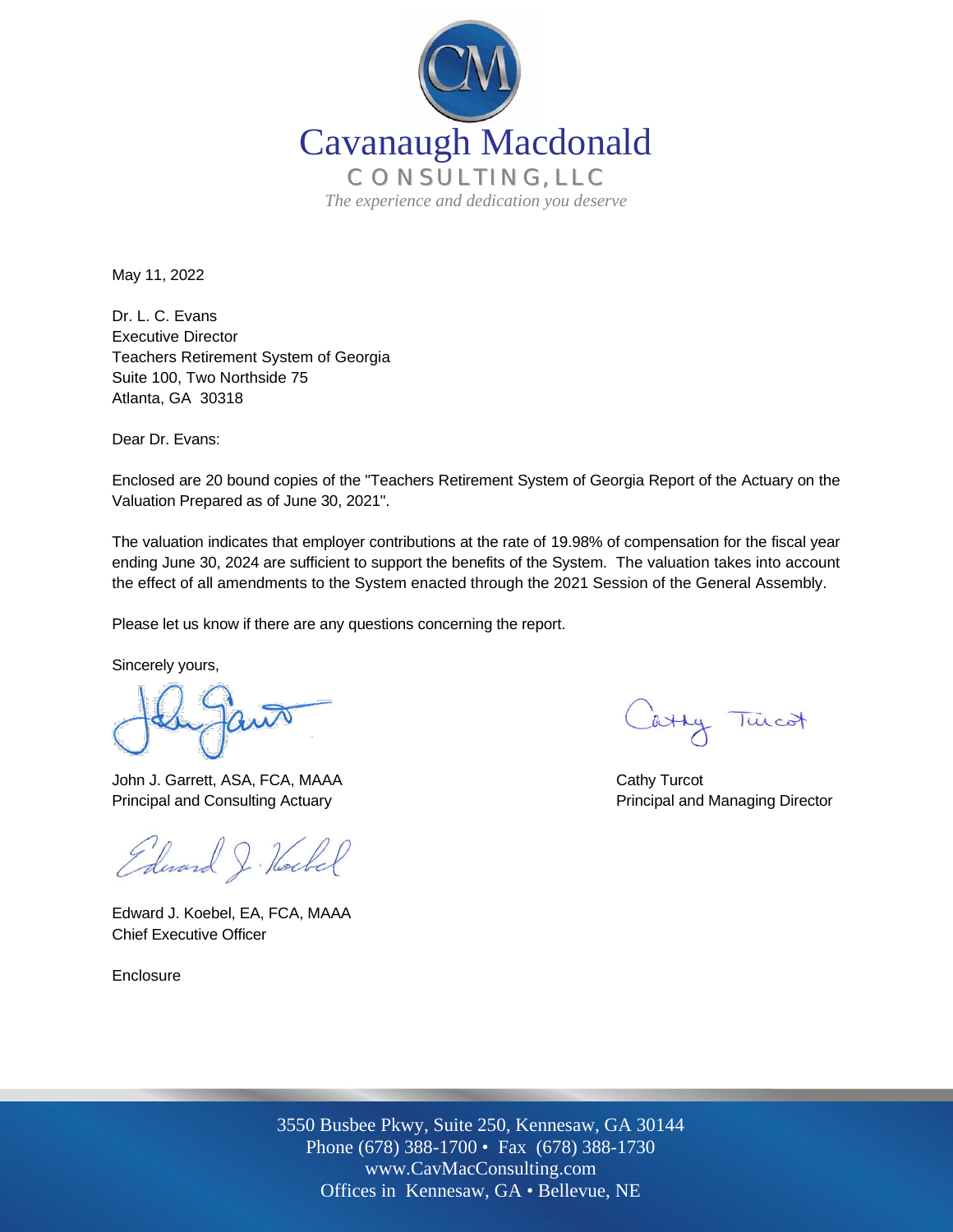

May 11, 2022

Dr. L. C. Evans Executive Director Teachers Retirement System of Georgia Suite 100, Two Northside 75 Atlanta, GA 30318

Dear Dr. Evans:

Enclosed are 20 bound copies of the "Teachers Retirement System of Georgia Report of the Actuary on the Valuation Prepared as of June 30, 2021".

The valuation indicates that employer contributions at the rate of 19.98% of compensation for the fiscal year ending June 30, 2024 are sufficient to support the benefits of the System. The valuation takes into account the effect of all amendments to the System enacted through the 2021 Session of the General Assembly.

Please let us know if there are any questions concerning the report.

Sincerely yours,

John J. Garrett, ASA, FCA, MAAA Cathy Turcot Principal and Consulting Actuary **Principal and Managing Director** Principal and Managing Director

Edward J. Hockel

Edward J. Koebel, EA, FCA, MAAA Chief Executive Officer

Enclosure

atty Turcot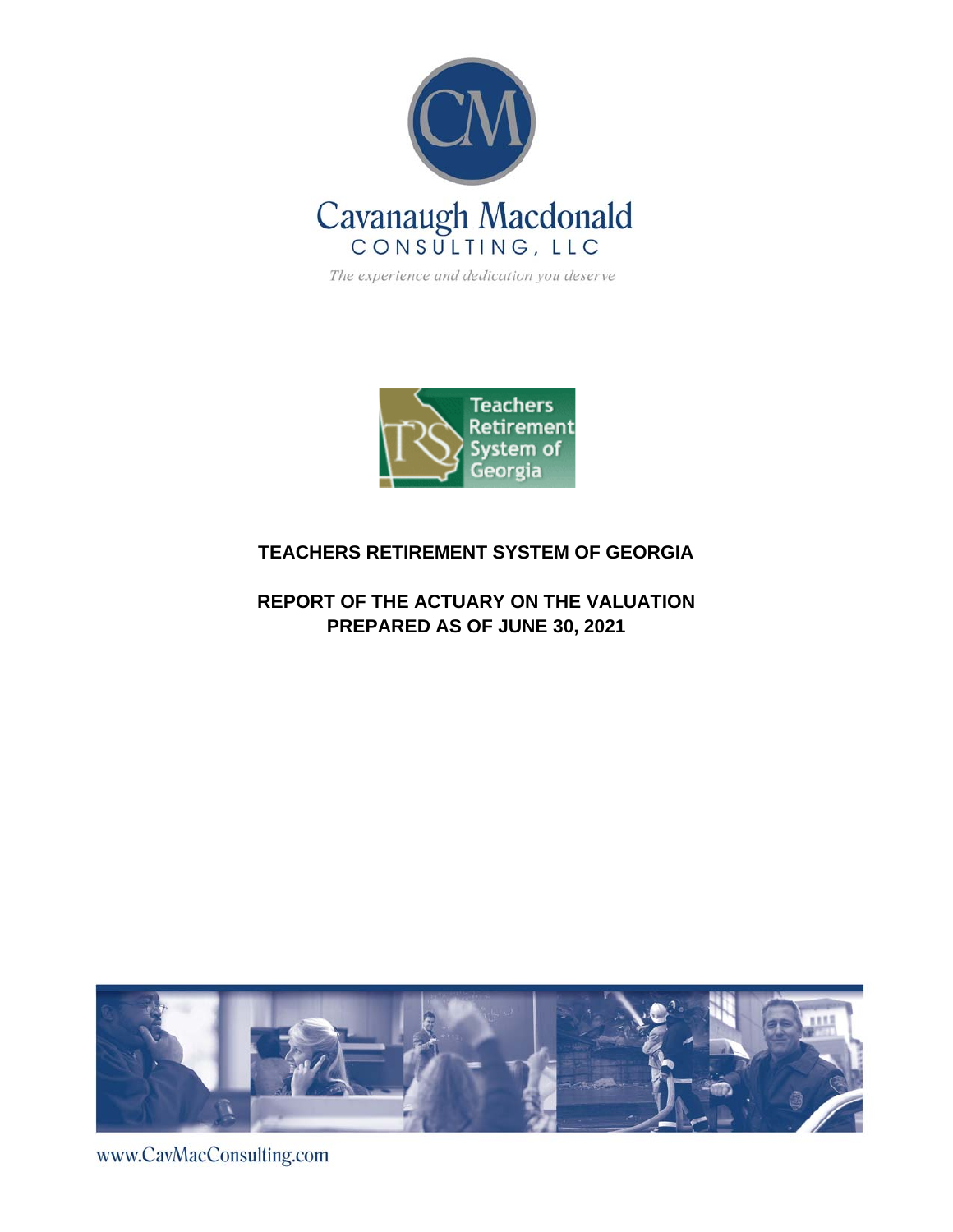

The experience and dedication you deserve



## **TEACHERS RETIREMENT SYSTEM OF GEORGIA**

## **REPORT OF THE ACTUARY ON THE VALUATION PREPARED AS OF JUNE 30, 2021**



www.CavMacConsulting.com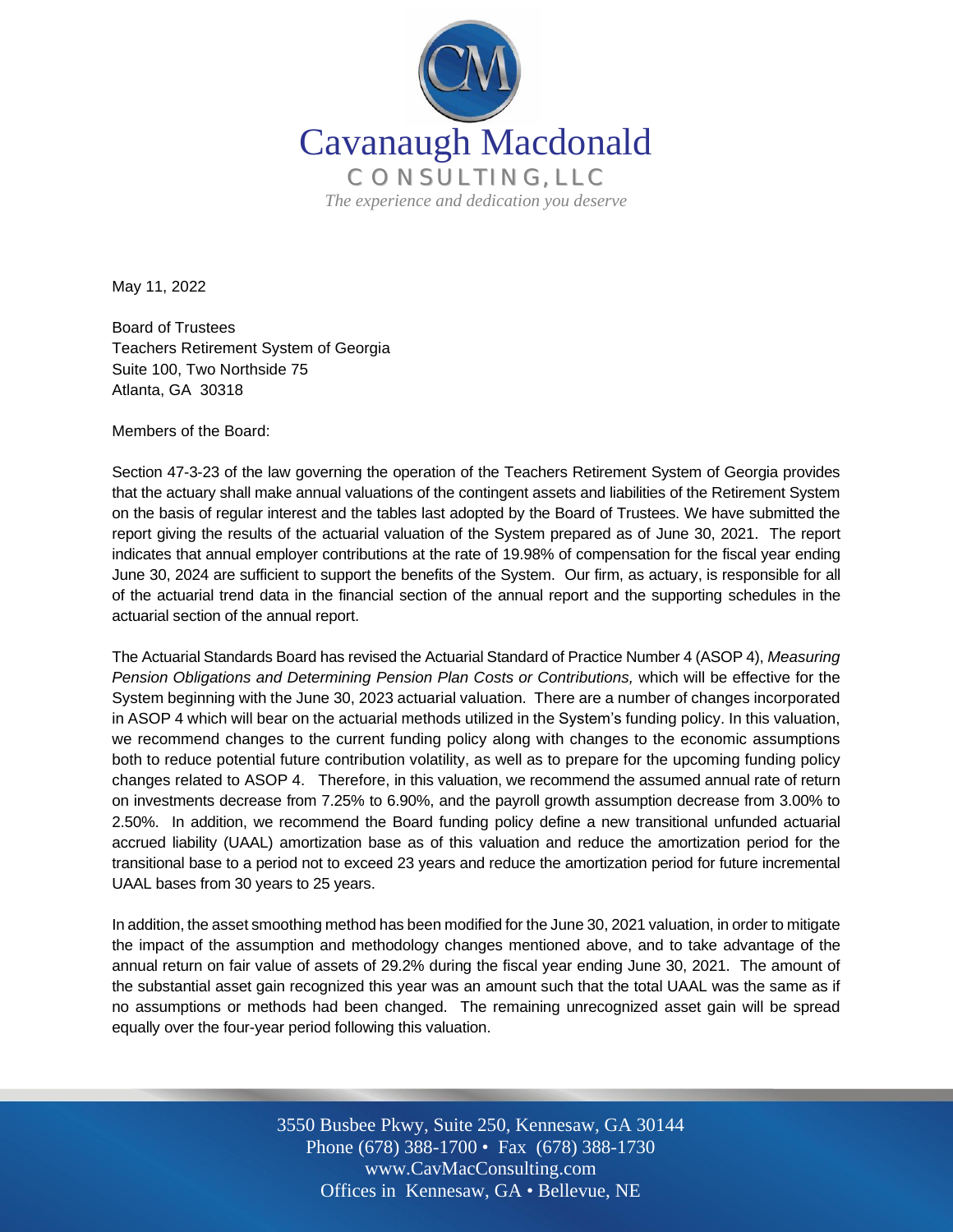

May 11, 2022

Board of Trustees Teachers Retirement System of Georgia Suite 100, Two Northside 75 Atlanta, GA 30318

Members of the Board:

Section 47-3-23 of the law governing the operation of the Teachers Retirement System of Georgia provides that the actuary shall make annual valuations of the contingent assets and liabilities of the Retirement System on the basis of regular interest and the tables last adopted by the Board of Trustees. We have submitted the report giving the results of the actuarial valuation of the System prepared as of June 30, 2021. The report indicates that annual employer contributions at the rate of 19.98% of compensation for the fiscal year ending June 30, 2024 are sufficient to support the benefits of the System. Our firm, as actuary, is responsible for all of the actuarial trend data in the financial section of the annual report and the supporting schedules in the actuarial section of the annual report.

The Actuarial Standards Board has revised the Actuarial Standard of Practice Number 4 (ASOP 4), *Measuring Pension Obligations and Determining Pension Plan Costs or Contributions,* which will be effective for the System beginning with the June 30, 2023 actuarial valuation. There are a number of changes incorporated in ASOP 4 which will bear on the actuarial methods utilized in the System's funding policy. In this valuation, we recommend changes to the current funding policy along with changes to the economic assumptions both to reduce potential future contribution volatility, as well as to prepare for the upcoming funding policy changes related to ASOP 4. Therefore, in this valuation, we recommend the assumed annual rate of return on investments decrease from 7.25% to 6.90%, and the payroll growth assumption decrease from 3.00% to 2.50%. In addition, we recommend the Board funding policy define a new transitional unfunded actuarial accrued liability (UAAL) amortization base as of this valuation and reduce the amortization period for the transitional base to a period not to exceed 23 years and reduce the amortization period for future incremental UAAL bases from 30 years to 25 years.

In addition, the asset smoothing method has been modified for the June 30, 2021 valuation, in order to mitigate the impact of the assumption and methodology changes mentioned above, and to take advantage of the annual return on fair value of assets of 29.2% during the fiscal year ending June 30, 2021. The amount of the substantial asset gain recognized this year was an amount such that the total UAAL was the same as if no assumptions or methods had been changed. The remaining unrecognized asset gain will be spread equally over the four-year period following this valuation.

> Off Offices in Kennesaw, GA • Bellevue, NE 3550 Busbee Pkwy, Suite 250, Kennesaw, GA 30144 Phone (678) 388-1700 • Fax (678) 388-1730 www.CavMacConsulting.com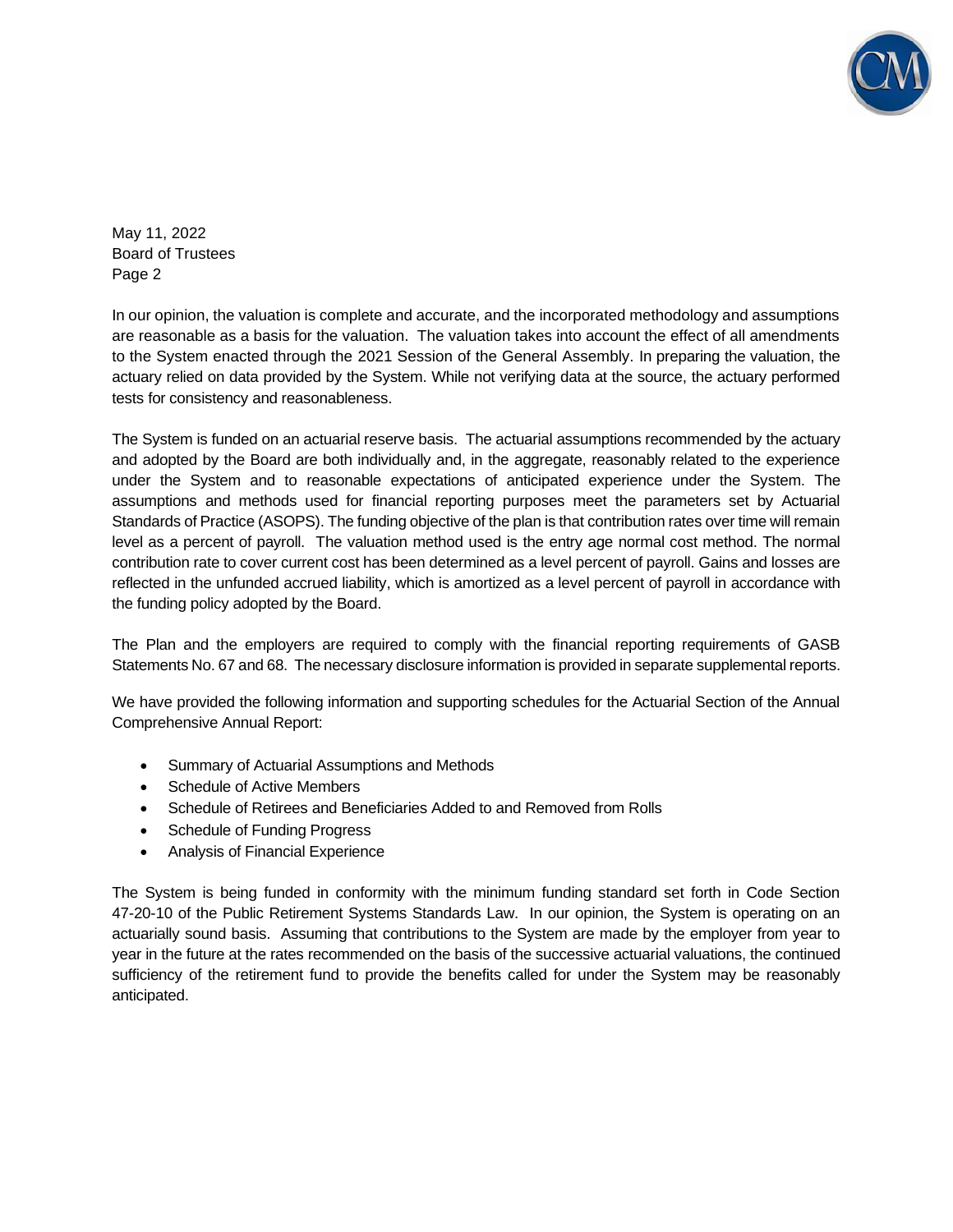

May 11, 2022 Board of Trustees Page 2

In our opinion, the valuation is complete and accurate, and the incorporated methodology and assumptions are reasonable as a basis for the valuation. The valuation takes into account the effect of all amendments to the System enacted through the 2021 Session of the General Assembly. In preparing the valuation, the actuary relied on data provided by the System. While not verifying data at the source, the actuary performed tests for consistency and reasonableness.

The System is funded on an actuarial reserve basis. The actuarial assumptions recommended by the actuary and adopted by the Board are both individually and, in the aggregate, reasonably related to the experience under the System and to reasonable expectations of anticipated experience under the System. The assumptions and methods used for financial reporting purposes meet the parameters set by Actuarial Standards of Practice (ASOPS). The funding objective of the plan is that contribution rates over time will remain level as a percent of payroll. The valuation method used is the entry age normal cost method. The normal contribution rate to cover current cost has been determined as a level percent of payroll. Gains and losses are reflected in the unfunded accrued liability, which is amortized as a level percent of payroll in accordance with the funding policy adopted by the Board.

The Plan and the employers are required to comply with the financial reporting requirements of GASB Statements No. 67 and 68. The necessary disclosure information is provided in separate supplemental reports.

We have provided the following information and supporting schedules for the Actuarial Section of the Annual Comprehensive Annual Report:

- Summary of Actuarial Assumptions and Methods
- Schedule of Active Members
- Schedule of Retirees and Beneficiaries Added to and Removed from Rolls
- Schedule of Funding Progress
- Analysis of Financial Experience

The System is being funded in conformity with the minimum funding standard set forth in Code Section 47-20-10 of the Public Retirement Systems Standards Law. In our opinion, the System is operating on an actuarially sound basis. Assuming that contributions to the System are made by the employer from year to year in the future at the rates recommended on the basis of the successive actuarial valuations, the continued sufficiency of the retirement fund to provide the benefits called for under the System may be reasonably anticipated.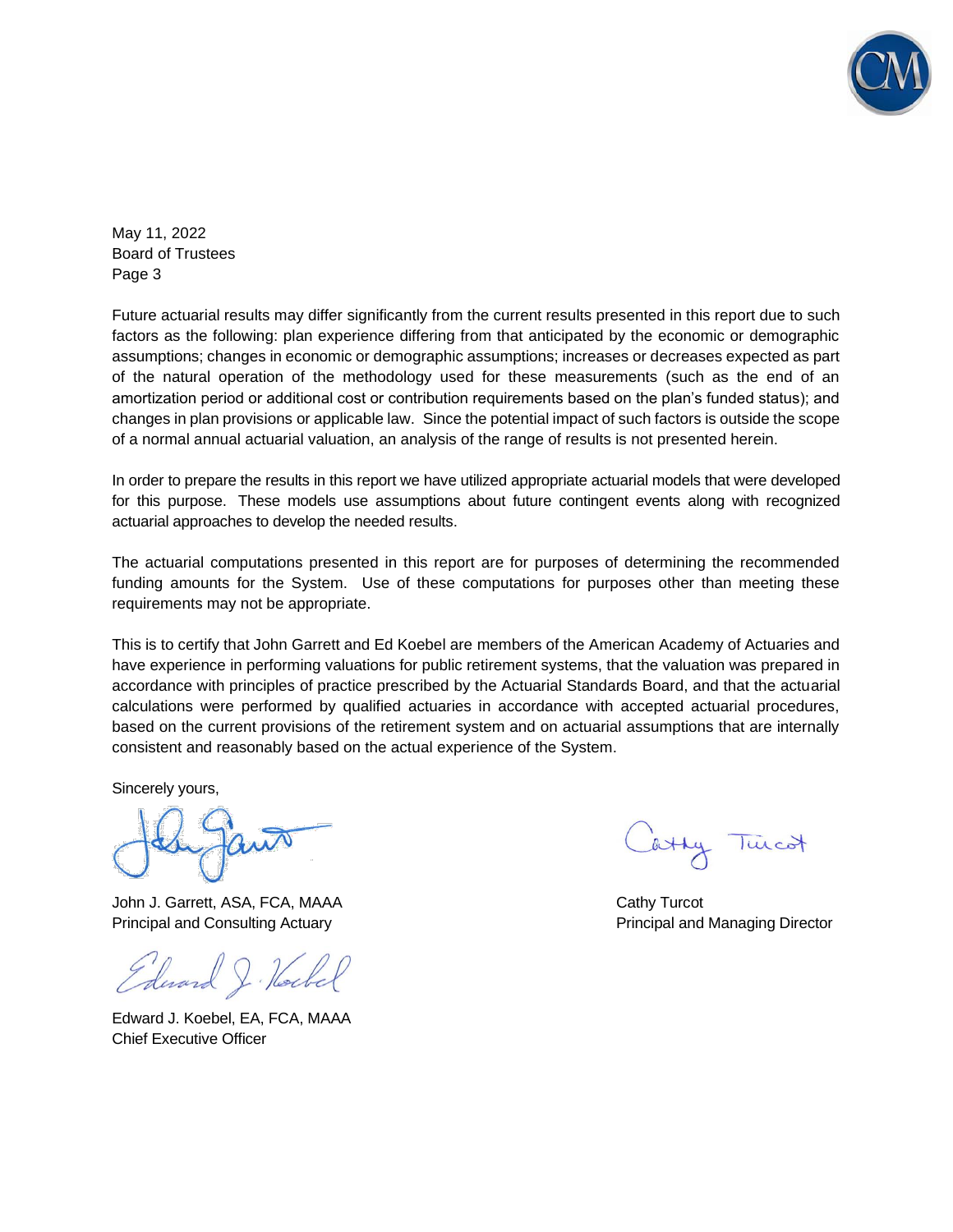

May 11, 2022 Board of Trustees Page 3

Future actuarial results may differ significantly from the current results presented in this report due to such factors as the following: plan experience differing from that anticipated by the economic or demographic assumptions; changes in economic or demographic assumptions; increases or decreases expected as part of the natural operation of the methodology used for these measurements (such as the end of an amortization period or additional cost or contribution requirements based on the plan's funded status); and changes in plan provisions or applicable law. Since the potential impact of such factors is outside the scope of a normal annual actuarial valuation, an analysis of the range of results is not presented herein.

In order to prepare the results in this report we have utilized appropriate actuarial models that were developed for this purpose. These models use assumptions about future contingent events along with recognized actuarial approaches to develop the needed results.

The actuarial computations presented in this report are for purposes of determining the recommended funding amounts for the System. Use of these computations for purposes other than meeting these requirements may not be appropriate.

This is to certify that John Garrett and Ed Koebel are members of the American Academy of Actuaries and have experience in performing valuations for public retirement systems, that the valuation was prepared in accordance with principles of practice prescribed by the Actuarial Standards Board, and that the actuarial calculations were performed by qualified actuaries in accordance with accepted actuarial procedures, based on the current provisions of the retirement system and on actuarial assumptions that are internally consistent and reasonably based on the actual experience of the System.

Sincerely yours,

John J. Garrett, ASA, FCA, MAAA Cathy Turcot Principal and Consulting Actuary **Principal and Managing Director** Principal and Managing Director

Edward J. Hockel

Edward J. Koebel, EA, FCA, MAAA Chief Executive Officer

atty Twicot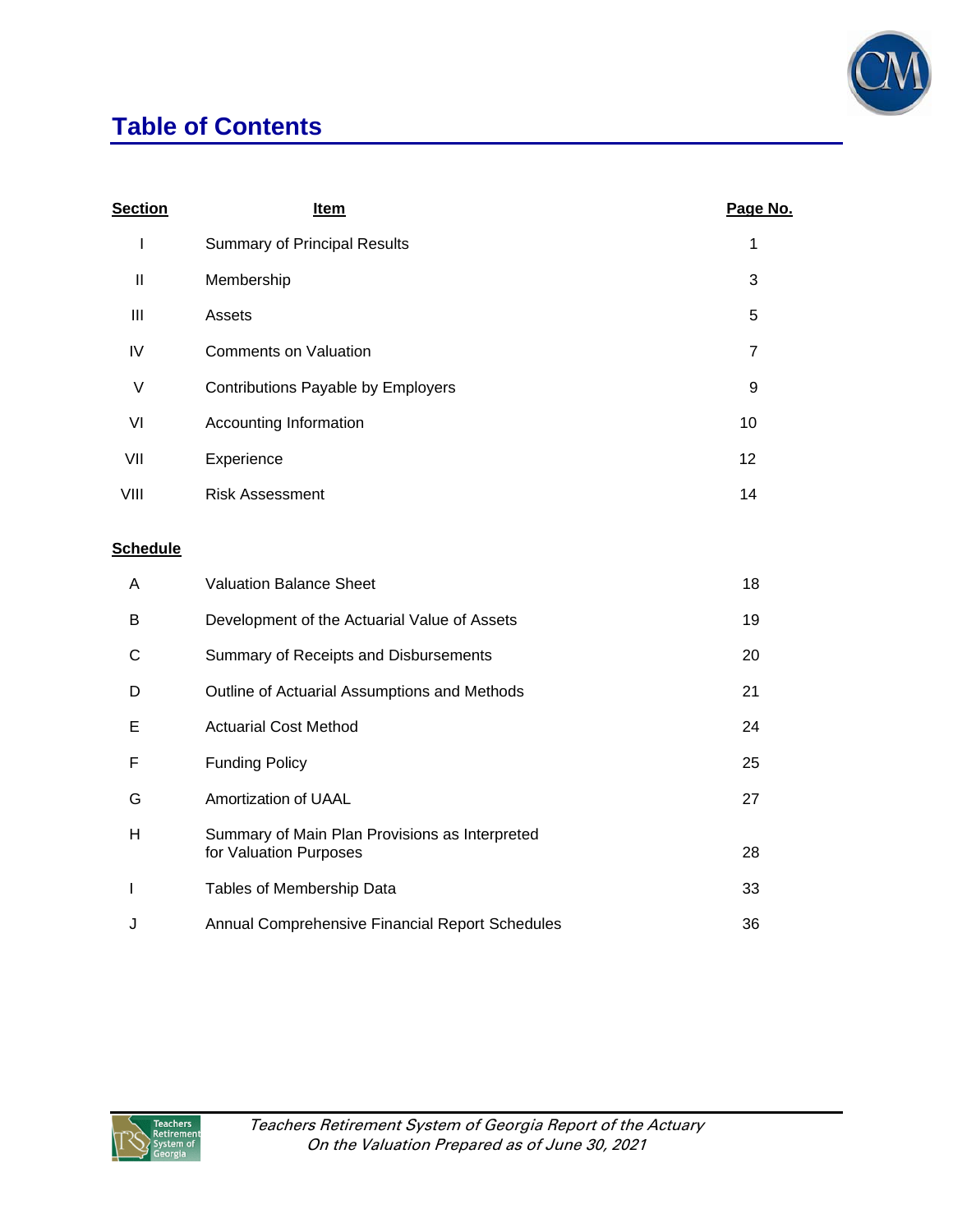

# **Table of Contents**

| <b>Section</b> | Item                                | Page No.       |
|----------------|-------------------------------------|----------------|
| I              | <b>Summary of Principal Results</b> | 1              |
| Ш              | Membership                          | 3              |
| $\mathbf{III}$ | Assets                              | 5              |
| IV             | <b>Comments on Valuation</b>        | $\overline{7}$ |
| V              | Contributions Payable by Employers  | 9              |
| VI             | Accounting Information              | 10             |
| VII            | Experience                          | 12             |
| VIII           | <b>Risk Assessment</b>              | 14             |
|                |                                     |                |

## **Schedule**

| A | <b>Valuation Balance Sheet</b>                                           | 18 |
|---|--------------------------------------------------------------------------|----|
| В | Development of the Actuarial Value of Assets                             | 19 |
| С | Summary of Receipts and Disbursements                                    | 20 |
| D | Outline of Actuarial Assumptions and Methods                             | 21 |
| Е | <b>Actuarial Cost Method</b>                                             | 24 |
| F | <b>Funding Policy</b>                                                    | 25 |
| G | Amortization of UAAL                                                     | 27 |
| H | Summary of Main Plan Provisions as Interpreted<br>for Valuation Purposes | 28 |
|   | Tables of Membership Data                                                | 33 |
| J | Annual Comprehensive Financial Report Schedules                          | 36 |

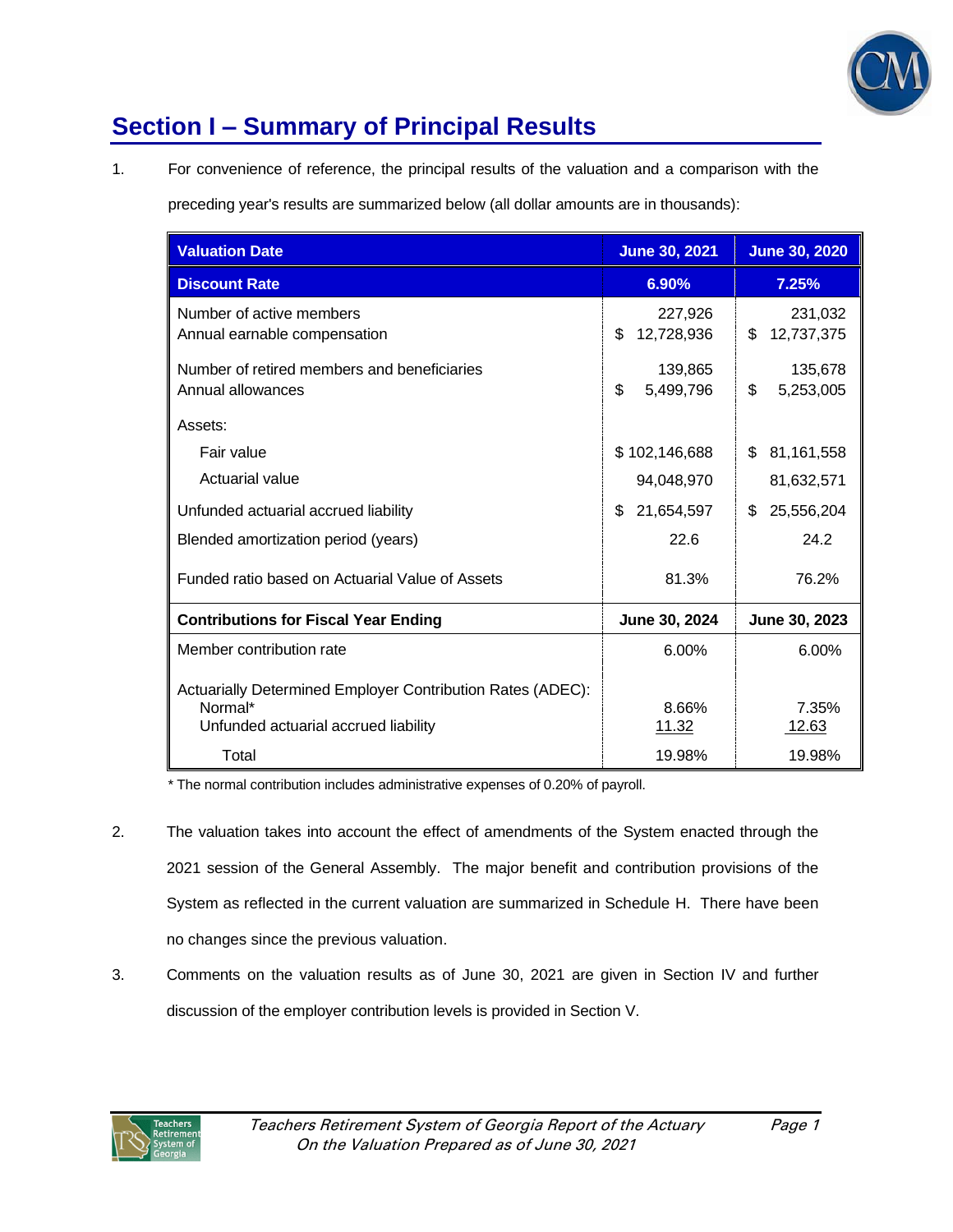

# **Section I – Summary of Principal Results**

1. For convenience of reference, the principal results of the valuation and a comparison with the

preceding year's results are summarized below (all dollar amounts are in thousands):

| <b>Valuation Date</b>                                                                                         | <b>June 30, 2021</b>        | <b>June 30, 2020</b>        |
|---------------------------------------------------------------------------------------------------------------|-----------------------------|-----------------------------|
| <b>Discount Rate</b>                                                                                          | 6.90%                       | 7.25%                       |
| Number of active members<br>Annual earnable compensation                                                      | 227,926<br>\$<br>12,728,936 | 231,032<br>\$<br>12,737,375 |
| Number of retired members and beneficiaries<br>Annual allowances                                              | 139,865<br>\$<br>5,499,796  | 135,678<br>\$<br>5,253,005  |
| Assets:                                                                                                       |                             |                             |
| Fair value                                                                                                    | \$102,146,688               | \$<br>81,161,558            |
| Actuarial value                                                                                               | 94,048,970                  | 81,632,571                  |
| Unfunded actuarial accrued liability                                                                          | \$<br>21,654,597            | 25,556,204<br>\$            |
| Blended amortization period (years)                                                                           | 22.6                        | 24.2                        |
| Funded ratio based on Actuarial Value of Assets                                                               | 81.3%                       | 76.2%                       |
| <b>Contributions for Fiscal Year Ending</b>                                                                   | June 30, 2024               | June 30, 2023               |
| Member contribution rate                                                                                      | 6.00%                       | 6.00%                       |
| Actuarially Determined Employer Contribution Rates (ADEC):<br>Normal*<br>Unfunded actuarial accrued liability | 8.66%<br>11.32              | 7.35%<br>12.63              |
| Total                                                                                                         | 19.98%                      | 19.98%                      |

\* The normal contribution includes administrative expenses of 0.20% of payroll.

- 2. The valuation takes into account the effect of amendments of the System enacted through the 2021 session of the General Assembly. The major benefit and contribution provisions of the System as reflected in the current valuation are summarized in Schedule H. There have been no changes since the previous valuation.
- 3. Comments on the valuation results as of June 30, 2021 are given in Section IV and further discussion of the employer contribution levels is provided in Section V.

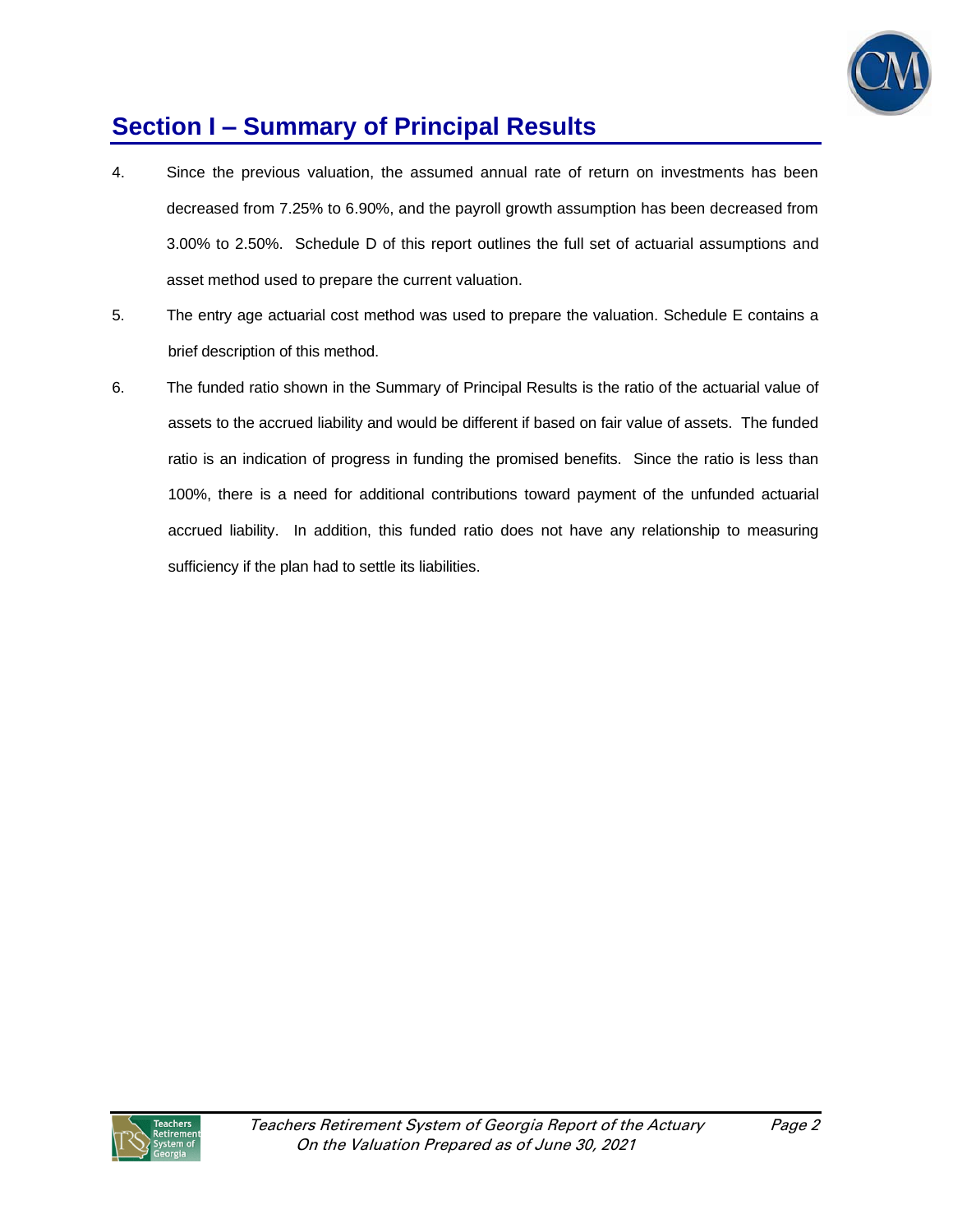

# **Section I – Summary of Principal Results**

- 4. Since the previous valuation, the assumed annual rate of return on investments has been decreased from 7.25% to 6.90%, and the payroll growth assumption has been decreased from 3.00% to 2.50%. Schedule D of this report outlines the full set of actuarial assumptions and asset method used to prepare the current valuation.
- 5. The entry age actuarial cost method was used to prepare the valuation. Schedule E contains a brief description of this method.
- 6. The funded ratio shown in the Summary of Principal Results is the ratio of the actuarial value of assets to the accrued liability and would be different if based on fair value of assets. The funded ratio is an indication of progress in funding the promised benefits. Since the ratio is less than 100%, there is a need for additional contributions toward payment of the unfunded actuarial accrued liability. In addition, this funded ratio does not have any relationship to measuring sufficiency if the plan had to settle its liabilities.

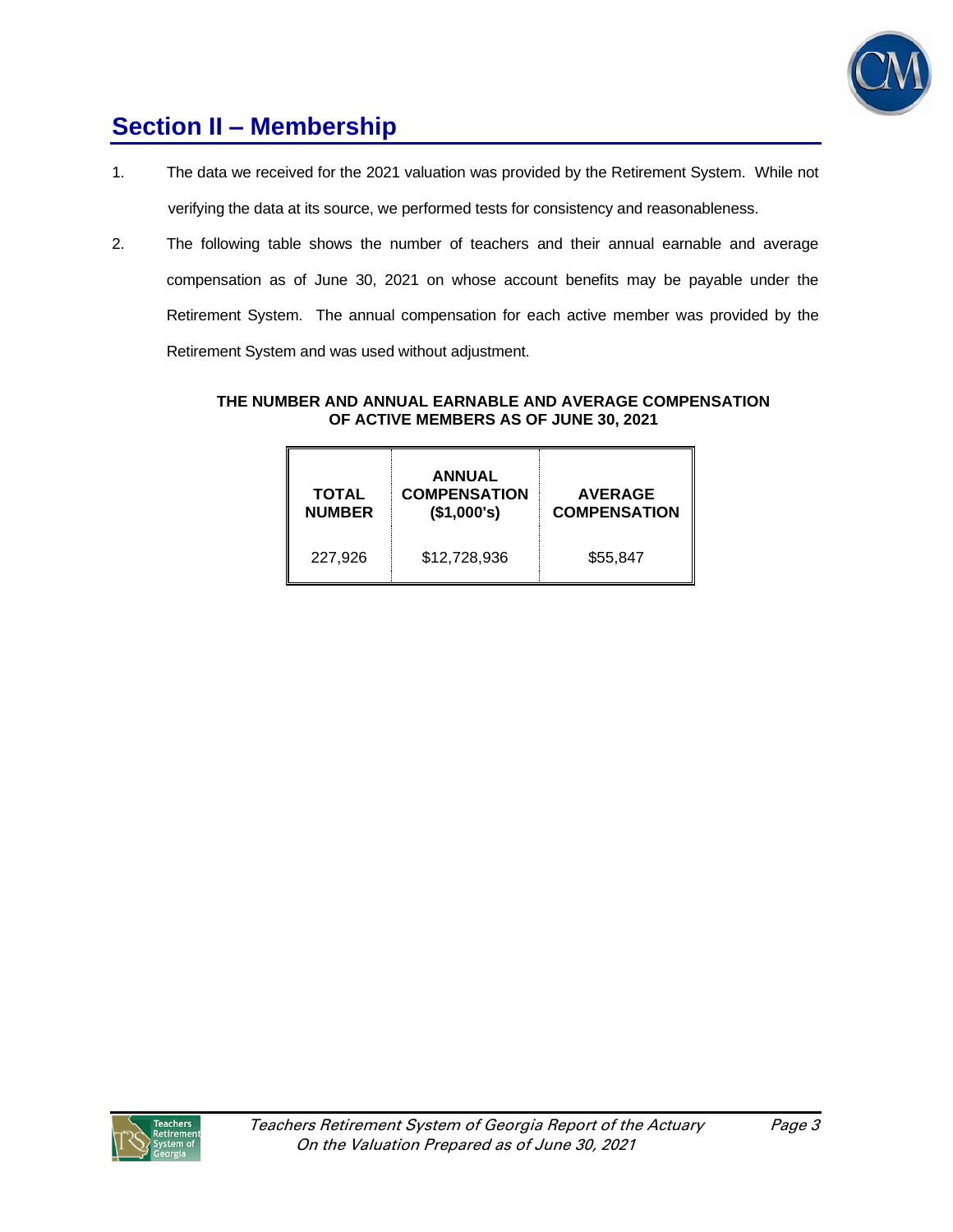

## **Section II – Membership**

- 1. The data we received for the 2021 valuation was provided by the Retirement System. While not verifying the data at its source, we performed tests for consistency and reasonableness.
- 2. The following table shows the number of teachers and their annual earnable and average compensation as of June 30, 2021 on whose account benefits may be payable under the Retirement System. The annual compensation for each active member was provided by the Retirement System and was used without adjustment.

## **THE NUMBER AND ANNUAL EARNABLE AND AVERAGE COMPENSATION OF ACTIVE MEMBERS AS OF JUNE 30, 2021**

| TOTAL<br><b>NUMBER</b> | <b>ANNUAL</b><br><b>COMPENSATION</b><br>(\$1,000's) | <b>AVERAGE</b><br><b>COMPENSATION</b> |
|------------------------|-----------------------------------------------------|---------------------------------------|
| 227,926                | \$12,728,936                                        | \$55,847                              |

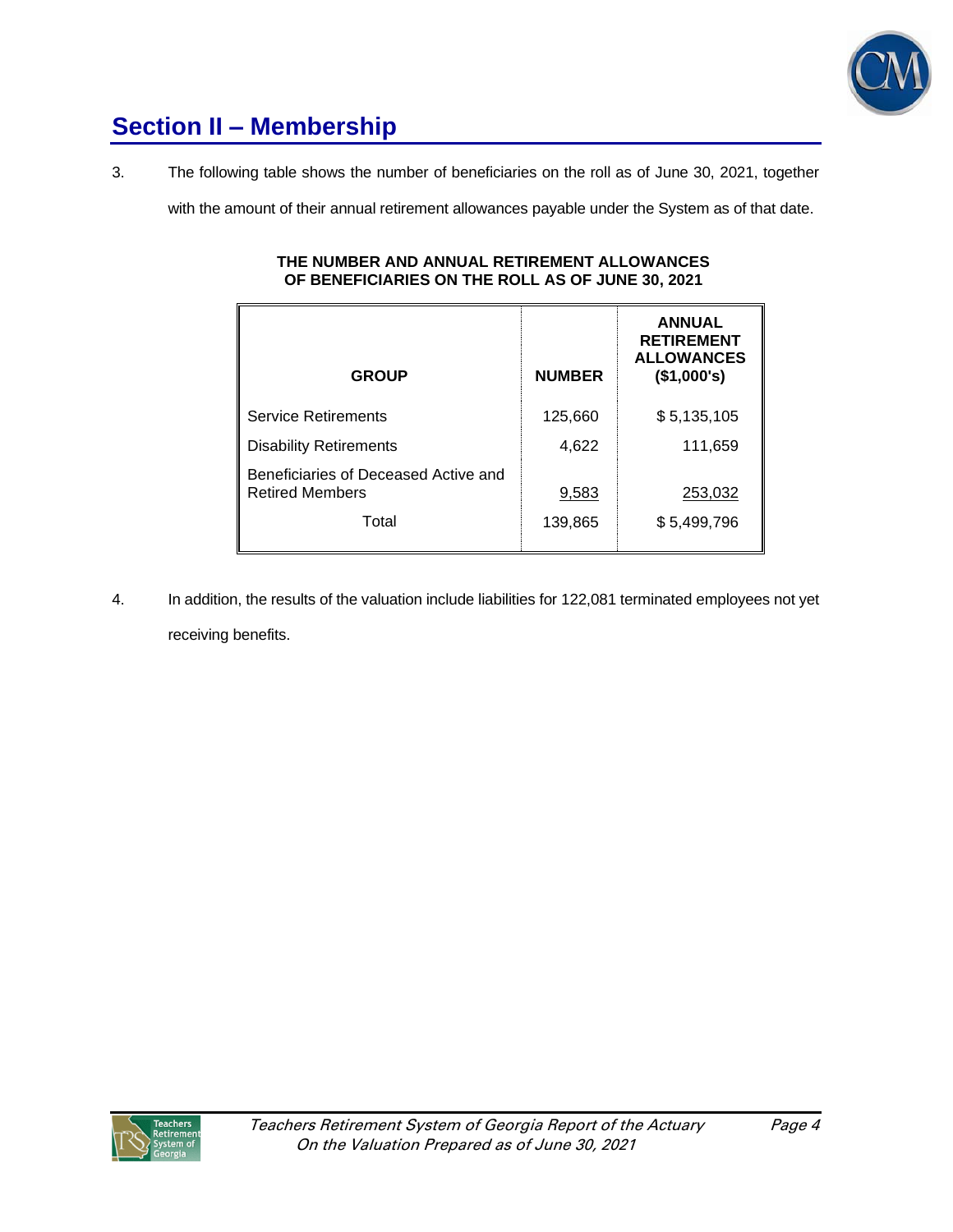

# **Section II – Membership**

3. The following table shows the number of beneficiaries on the roll as of June 30, 2021, together

with the amount of their annual retirement allowances payable under the System as of that date.

#### **THE NUMBER AND ANNUAL RETIREMENT ALLOWANCES OF BENEFICIARIES ON THE ROLL AS OF JUNE 30, 2021**

| <b>GROUP</b>                                                   | <b>NUMBER</b> | <b>ANNUAL</b><br><b>RETIREMENT</b><br><b>ALLOWANCES</b><br>(\$1,000's) |
|----------------------------------------------------------------|---------------|------------------------------------------------------------------------|
| <b>Service Retirements</b>                                     | 125,660       | \$5,135,105                                                            |
| <b>Disability Retirements</b>                                  | 4,622         | 111,659                                                                |
| Beneficiaries of Deceased Active and<br><b>Retired Members</b> | 9,583         | 253,032                                                                |
| Total                                                          | 139,865       | \$5,499,796                                                            |

4. In addition, the results of the valuation include liabilities for 122,081 terminated employees not yet receiving benefits.

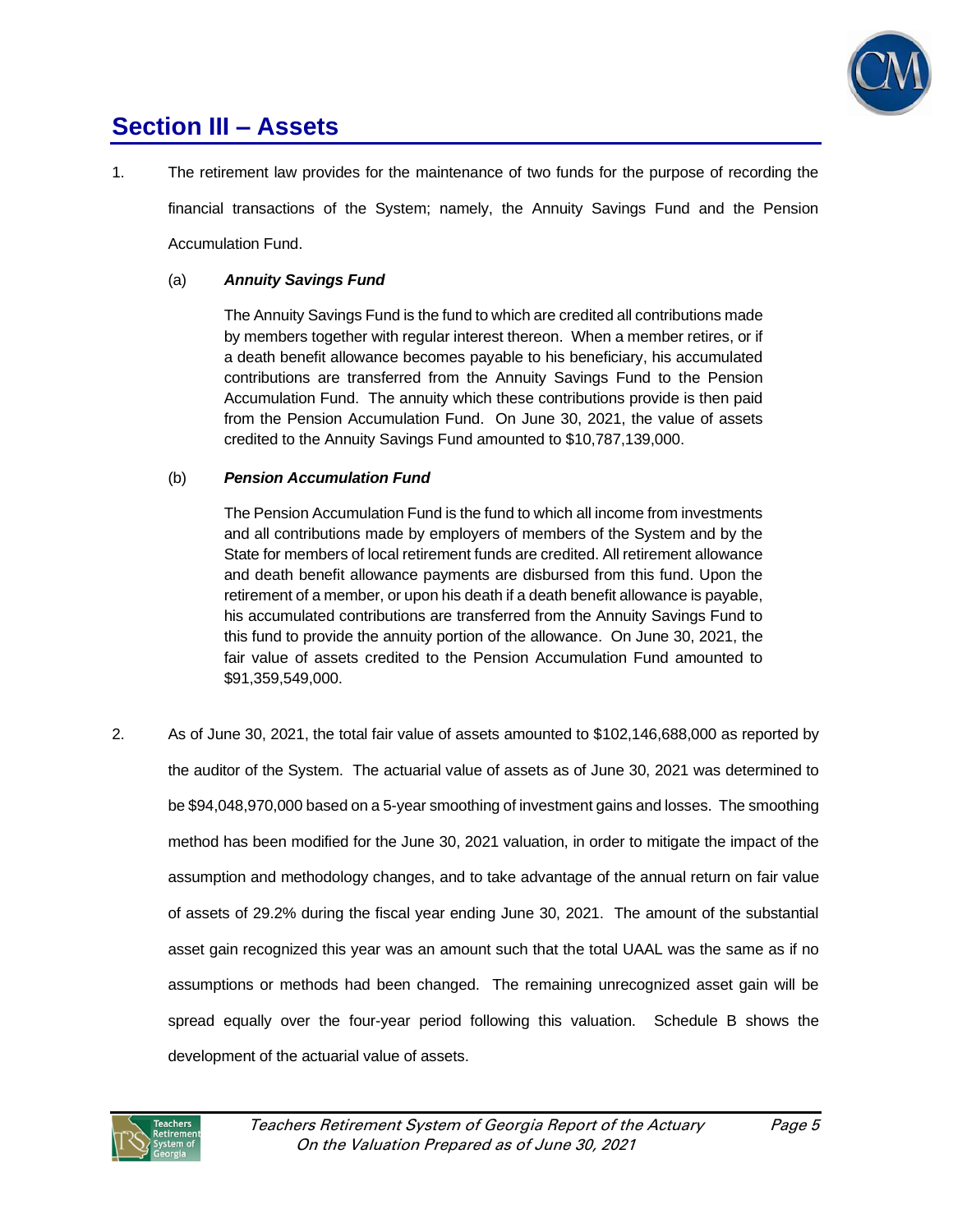

## **Section III – Assets**

1. The retirement law provides for the maintenance of two funds for the purpose of recording the

financial transactions of the System; namely, the Annuity Savings Fund and the Pension Accumulation Fund.

## (a) *Annuity Savings Fund*

The Annuity Savings Fund is the fund to which are credited all contributions made by members together with regular interest thereon. When a member retires, or if a death benefit allowance becomes payable to his beneficiary, his accumulated contributions are transferred from the Annuity Savings Fund to the Pension Accumulation Fund. The annuity which these contributions provide is then paid from the Pension Accumulation Fund. On June 30, 2021, the value of assets credited to the Annuity Savings Fund amounted to \$10,787,139,000.

## (b) *Pension Accumulation Fund*

The Pension Accumulation Fund is the fund to which all income from investments and all contributions made by employers of members of the System and by the State for members of local retirement funds are credited. All retirement allowance and death benefit allowance payments are disbursed from this fund. Upon the retirement of a member, or upon his death if a death benefit allowance is payable, his accumulated contributions are transferred from the Annuity Savings Fund to this fund to provide the annuity portion of the allowance. On June 30, 2021, the fair value of assets credited to the Pension Accumulation Fund amounted to \$91,359,549,000.

2. As of June 30, 2021, the total fair value of assets amounted to \$102,146,688,000 as reported by the auditor of the System. The actuarial value of assets as of June 30, 2021 was determined to be \$94,048,970,000 based on a 5-year smoothing of investment gains and losses. The smoothing method has been modified for the June 30, 2021 valuation, in order to mitigate the impact of the assumption and methodology changes, and to take advantage of the annual return on fair value of assets of 29.2% during the fiscal year ending June 30, 2021. The amount of the substantial asset gain recognized this year was an amount such that the total UAAL was the same as if no assumptions or methods had been changed. The remaining unrecognized asset gain will be spread equally over the four-year period following this valuation. Schedule B shows the development of the actuarial value of assets.

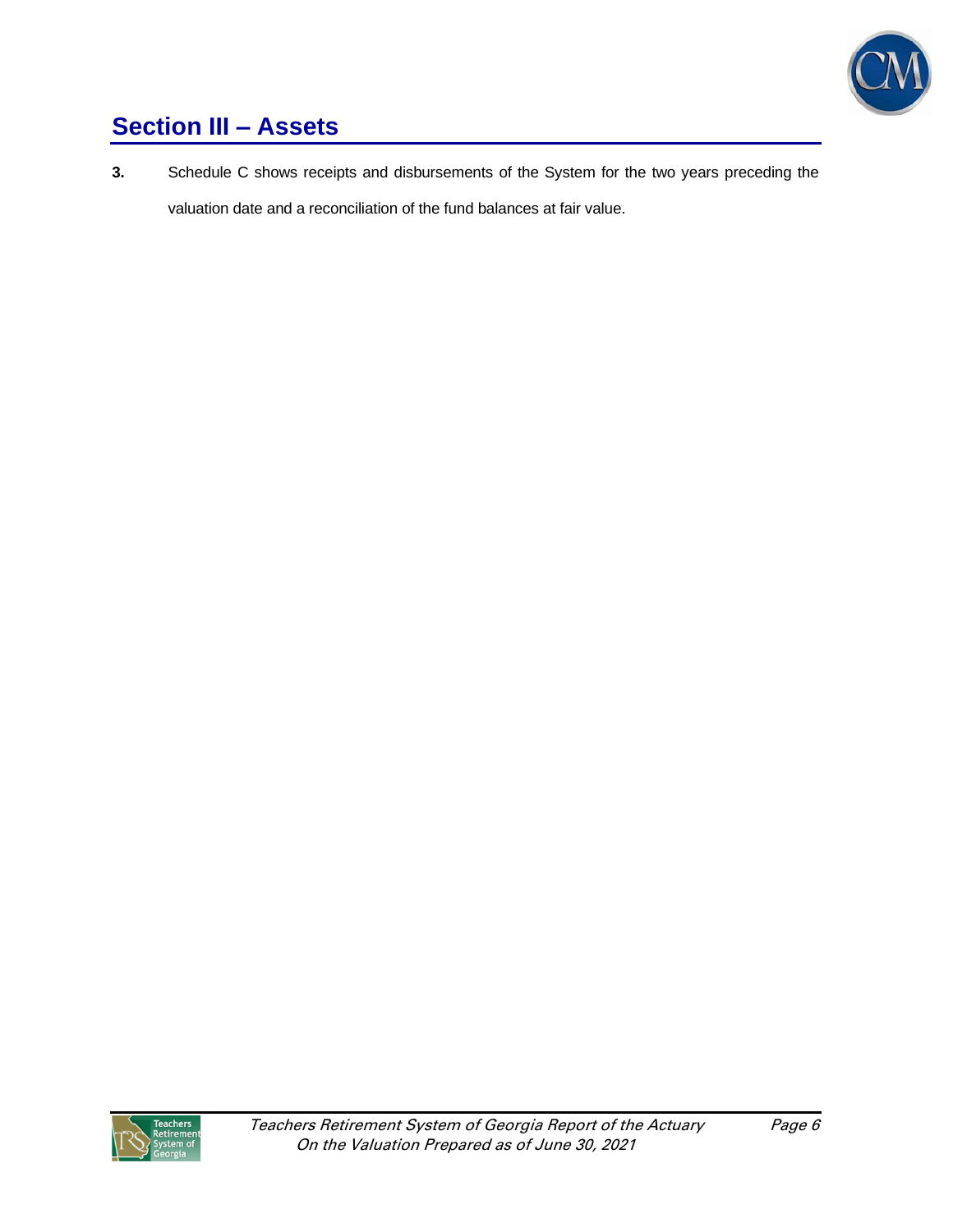

# **Section III – Assets**

**3.** Schedule C shows receipts and disbursements of the System for the two years preceding the valuation date and a reconciliation of the fund balances at fair value.

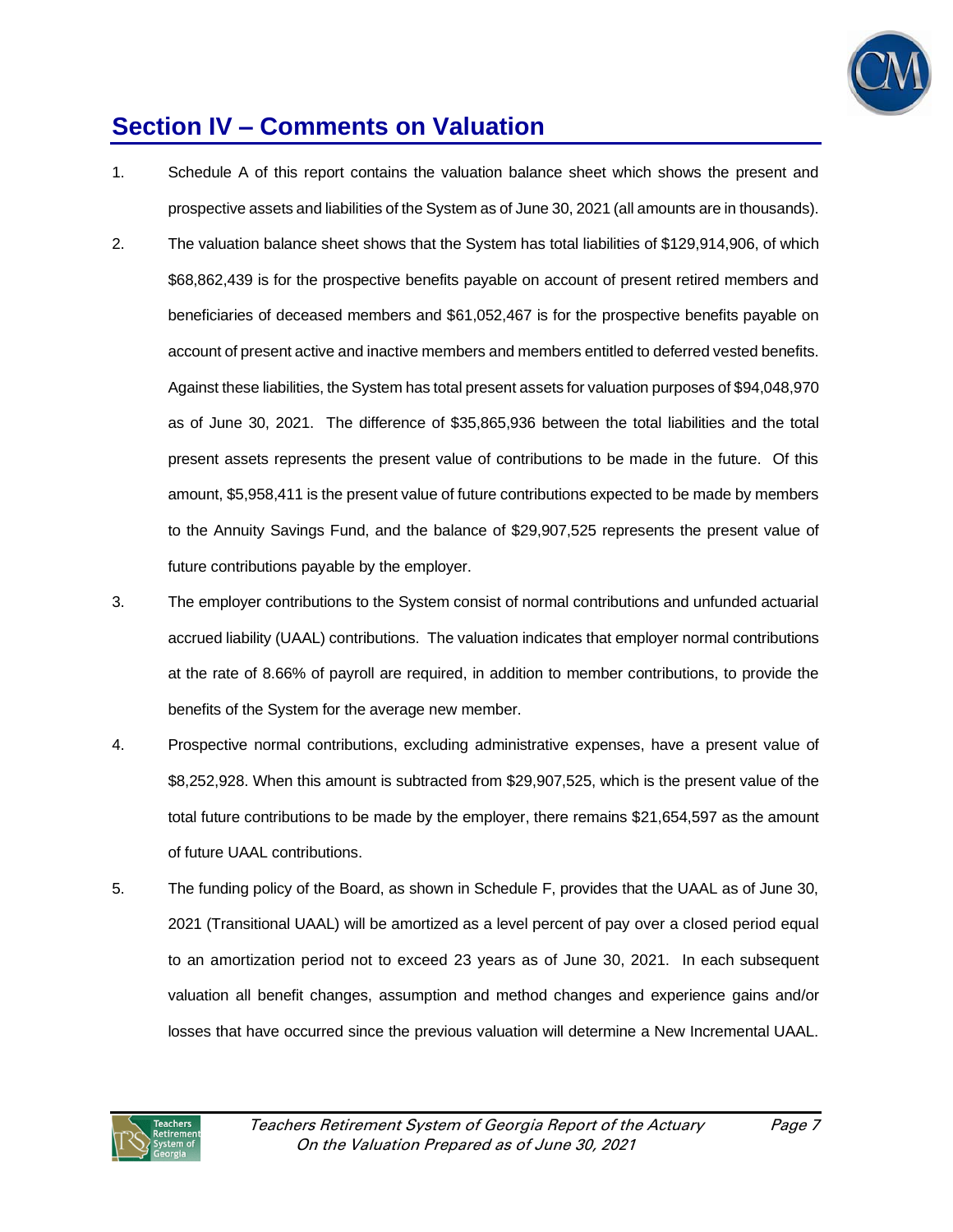

## **Section IV – Comments on Valuation**

- 1. Schedule A of this report contains the valuation balance sheet which shows the present and prospective assets and liabilities of the System as of June 30, 2021 (all amounts are in thousands).
- 2. The valuation balance sheet shows that the System has total liabilities of \$129,914,906, of which \$68,862,439 is for the prospective benefits payable on account of present retired members and beneficiaries of deceased members and \$61,052,467 is for the prospective benefits payable on account of present active and inactive members and members entitled to deferred vested benefits. Against these liabilities, the System has total present assets for valuation purposes of \$94,048,970 as of June 30, 2021. The difference of \$35,865,936 between the total liabilities and the total present assets represents the present value of contributions to be made in the future. Of this amount, \$5,958,411 is the present value of future contributions expected to be made by members to the Annuity Savings Fund, and the balance of \$29,907,525 represents the present value of future contributions payable by the employer.
- 3. The employer contributions to the System consist of normal contributions and unfunded actuarial accrued liability (UAAL) contributions. The valuation indicates that employer normal contributions at the rate of 8.66% of payroll are required, in addition to member contributions, to provide the benefits of the System for the average new member.
- 4. Prospective normal contributions, excluding administrative expenses, have a present value of \$8,252,928. When this amount is subtracted from \$29,907,525, which is the present value of the total future contributions to be made by the employer, there remains \$21,654,597 as the amount of future UAAL contributions.
- 5. The funding policy of the Board, as shown in Schedule F, provides that the UAAL as of June 30, 2021 (Transitional UAAL) will be amortized as a level percent of pay over a closed period equal to an amortization period not to exceed 23 years as of June 30, 2021. In each subsequent valuation all benefit changes, assumption and method changes and experience gains and/or losses that have occurred since the previous valuation will determine a New Incremental UAAL.

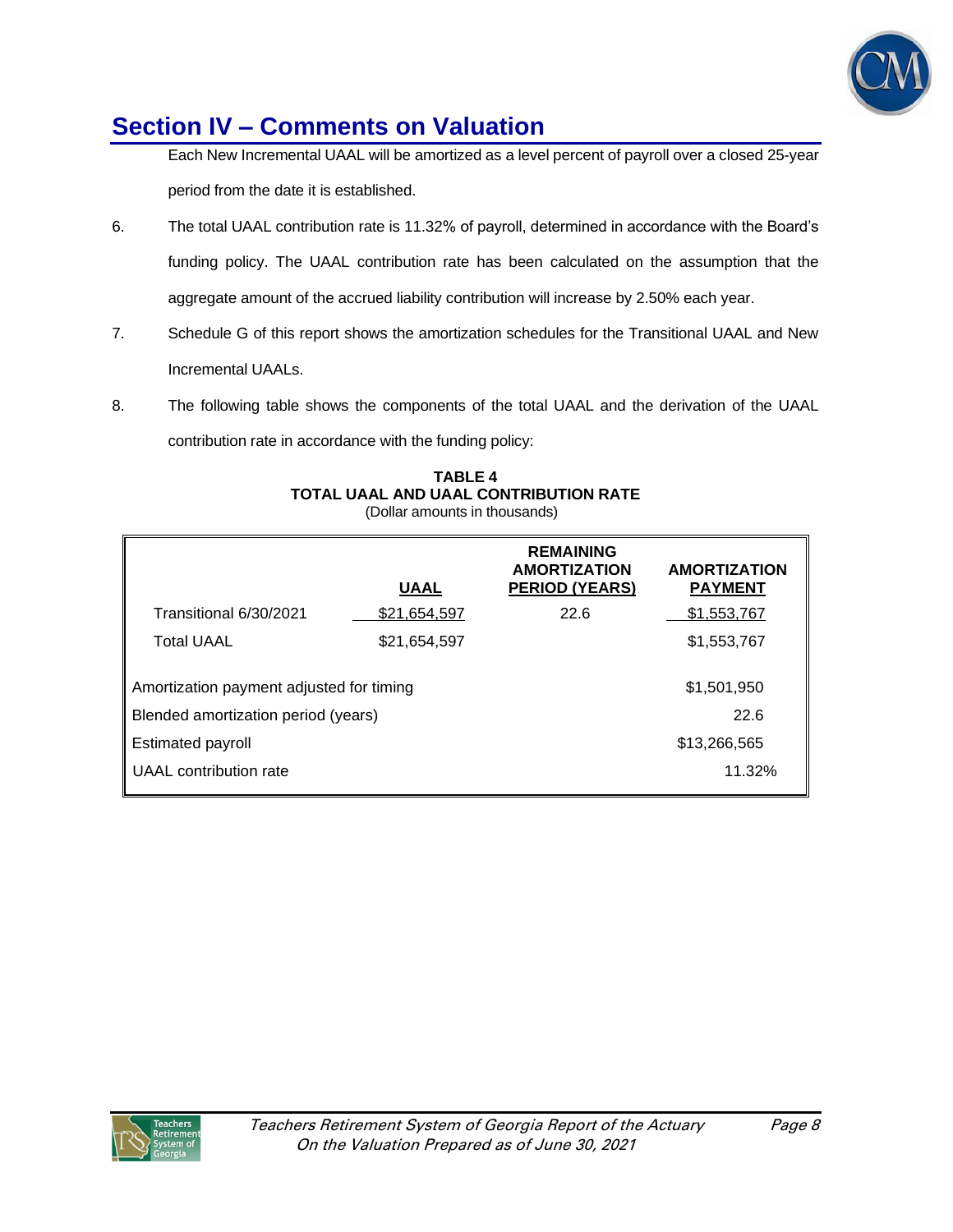

# **Section IV – Comments on Valuation**

Each New Incremental UAAL will be amortized as a level percent of payroll over a closed 25-year period from the date it is established.

- 6. The total UAAL contribution rate is 11.32% of payroll, determined in accordance with the Board's funding policy. The UAAL contribution rate has been calculated on the assumption that the aggregate amount of the accrued liability contribution will increase by 2.50% each year.
- 7. Schedule G of this report shows the amortization schedules for the Transitional UAAL and New Incremental UAALs.
- 8. The following table shows the components of the total UAAL and the derivation of the UAAL contribution rate in accordance with the funding policy:

| <b>TABLE 4</b>                        |
|---------------------------------------|
| TOTAL UAAL AND UAAL CONTRIBUTION RATE |
| (Dollar amounts in thousands)         |

|                                                                                 | <b>UAAL</b>  | <b>REMAINING</b><br><b>AMORTIZATION</b><br><b>PERIOD (YEARS)</b> | <b>AMORTIZATION</b><br><b>PAYMENT</b> |
|---------------------------------------------------------------------------------|--------------|------------------------------------------------------------------|---------------------------------------|
| Transitional 6/30/2021                                                          | \$21,654,597 | 22.6                                                             | \$1,553,767                           |
| <b>Total UAAL</b>                                                               | \$21,654,597 |                                                                  | \$1,553,767                           |
| Amortization payment adjusted for timing<br>Blended amortization period (years) |              |                                                                  | \$1,501,950<br>22.6                   |
| Estimated payroll                                                               |              |                                                                  | \$13,266,565                          |
| UAAL contribution rate                                                          |              |                                                                  | 11.32%                                |
|                                                                                 |              |                                                                  |                                       |

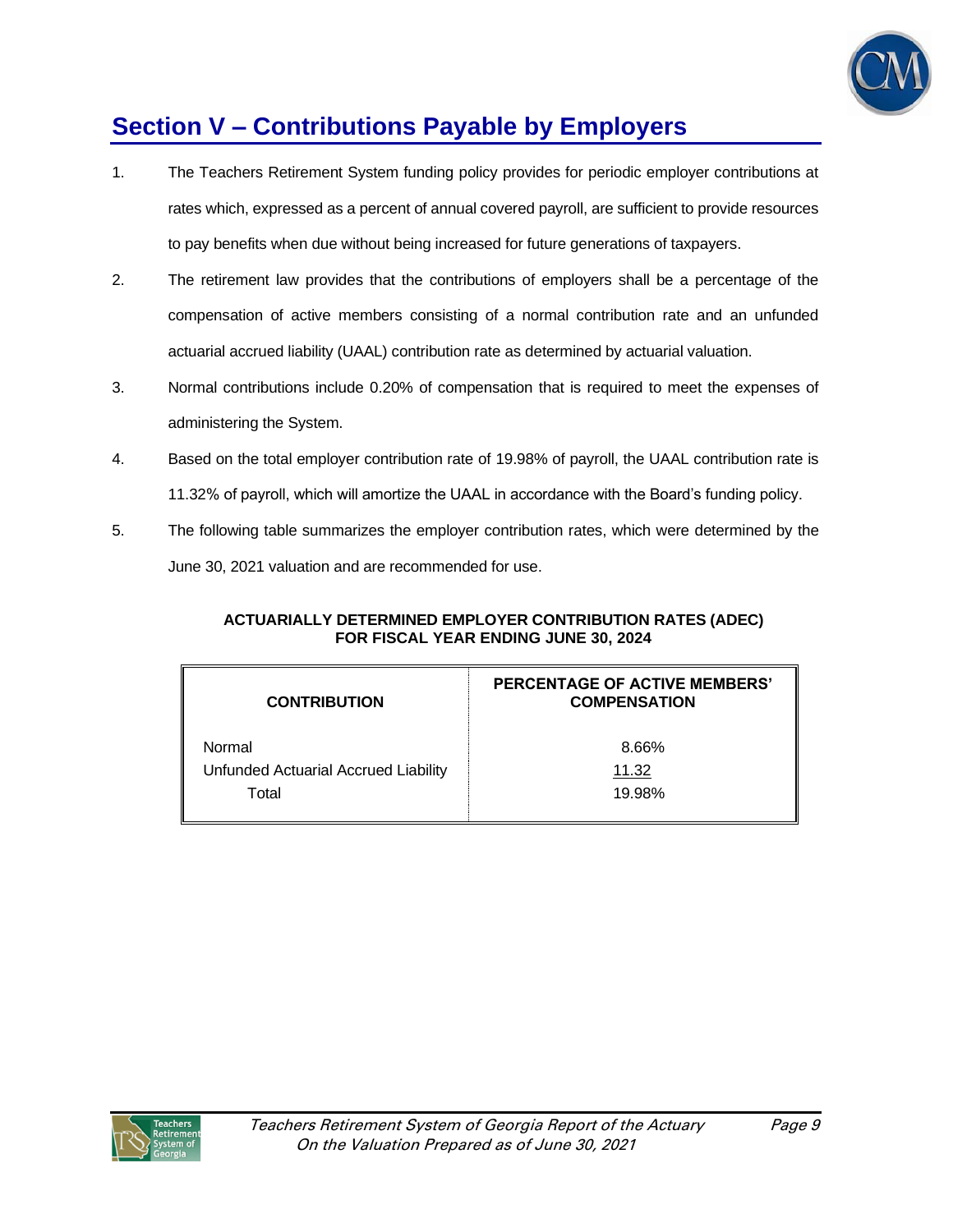

# **Section V – Contributions Payable by Employers**

- 1. The Teachers Retirement System funding policy provides for periodic employer contributions at rates which, expressed as a percent of annual covered payroll, are sufficient to provide resources to pay benefits when due without being increased for future generations of taxpayers.
- 2. The retirement law provides that the contributions of employers shall be a percentage of the compensation of active members consisting of a normal contribution rate and an unfunded actuarial accrued liability (UAAL) contribution rate as determined by actuarial valuation.
- 3. Normal contributions include 0.20% of compensation that is required to meet the expenses of administering the System.
- 4. Based on the total employer contribution rate of 19.98% of payroll, the UAAL contribution rate is 11.32% of payroll, which will amortize the UAAL in accordance with the Board's funding policy.
- 5. The following table summarizes the employer contribution rates, which were determined by the June 30, 2021 valuation and are recommended for use.

## **ACTUARIALLY DETERMINED EMPLOYER CONTRIBUTION RATES (ADEC) FOR FISCAL YEAR ENDING JUNE 30, 2024**

| <b>CONTRIBUTION</b>                  | <b>PERCENTAGE OF ACTIVE MEMBERS'</b><br><b>COMPENSATION</b> |
|--------------------------------------|-------------------------------------------------------------|
| Normal                               | 8.66%                                                       |
| Unfunded Actuarial Accrued Liability | 11.32                                                       |
| Total                                | 19.98%                                                      |
|                                      |                                                             |

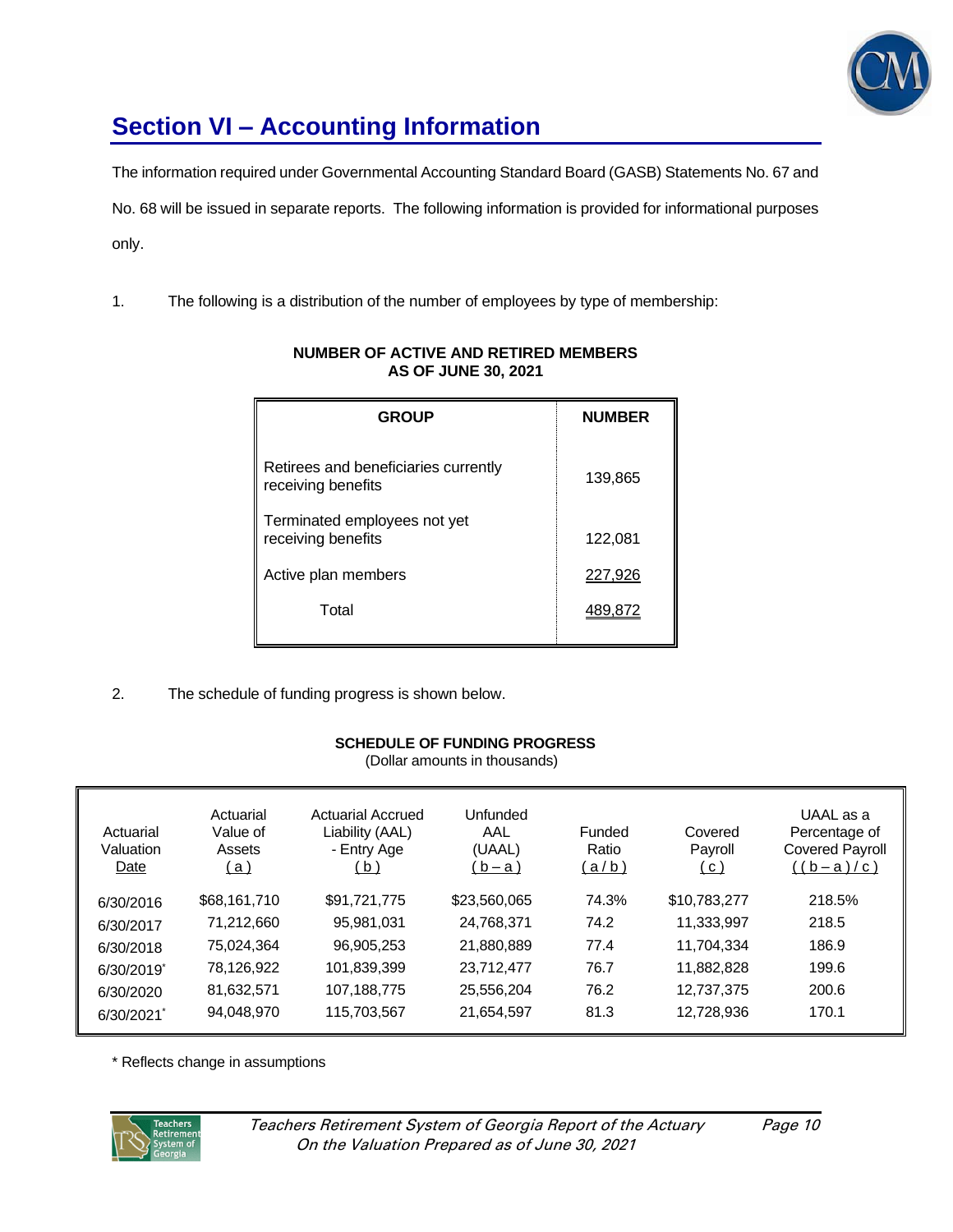

# **Section VI – Accounting Information**

The information required under Governmental Accounting Standard Board (GASB) Statements No. 67 and No. 68 will be issued in separate reports. The following information is provided for informational purposes only.

1. The following is a distribution of the number of employees by type of membership:

| <b>GROUP</b>                                               | <b>NUMBER</b> |
|------------------------------------------------------------|---------------|
| Retirees and beneficiaries currently<br>receiving benefits | 139,865       |
| Terminated employees not yet<br>receiving benefits         | 122,081       |
| Active plan members                                        | 227,926       |
| Total                                                      | 489,872       |

## **NUMBER OF ACTIVE AND RETIRED MEMBERS AS OF JUNE 30, 2021**

2. The schedule of funding progress is shown below.

## **SCHEDULE OF FUNDING PROGRESS**

(Dollar amounts in thousands)

| Actuarial<br>Valuation<br>Date | Actuarial<br>Value of<br>Assets<br><u>(a)</u> | Actuarial Accrued<br>Liability (AAL)<br>- Entry Age<br>( b ) | Unfunded<br>AAL<br>(UAAL)<br>(b-a) | Funded<br>Ratio<br><u>(a/b)</u> | Covered<br>Payroll<br>( C ) | UAAL as a<br>Percentage of<br><b>Covered Payroll</b><br><u>((b-a)/c)</u> |
|--------------------------------|-----------------------------------------------|--------------------------------------------------------------|------------------------------------|---------------------------------|-----------------------------|--------------------------------------------------------------------------|
| 6/30/2016                      | \$68,161,710                                  | \$91,721,775                                                 | \$23,560,065                       | 74.3%                           | \$10,783,277                | 218.5%                                                                   |
| 6/30/2017                      | 71,212,660                                    | 95,981,031                                                   | 24,768,371                         | 74.2                            | 11,333,997                  | 218.5                                                                    |
| 6/30/2018                      | 75,024,364                                    | 96,905,253                                                   | 21,880,889                         | 77.4                            | 11,704,334                  | 186.9                                                                    |
| 6/30/2019                      | 78,126,922                                    | 101,839,399                                                  | 23,712,477                         | 76.7                            | 11,882,828                  | 199.6                                                                    |
| 6/30/2020                      | 81,632,571                                    | 107,188,775                                                  | 25,556,204                         | 76.2                            | 12,737,375                  | 200.6                                                                    |
| 6/30/2021                      | 94,048,970                                    | 115,703,567                                                  | 21,654,597                         | 81.3                            | 12,728,936                  | 170.1                                                                    |

\* Reflects change in assumptions

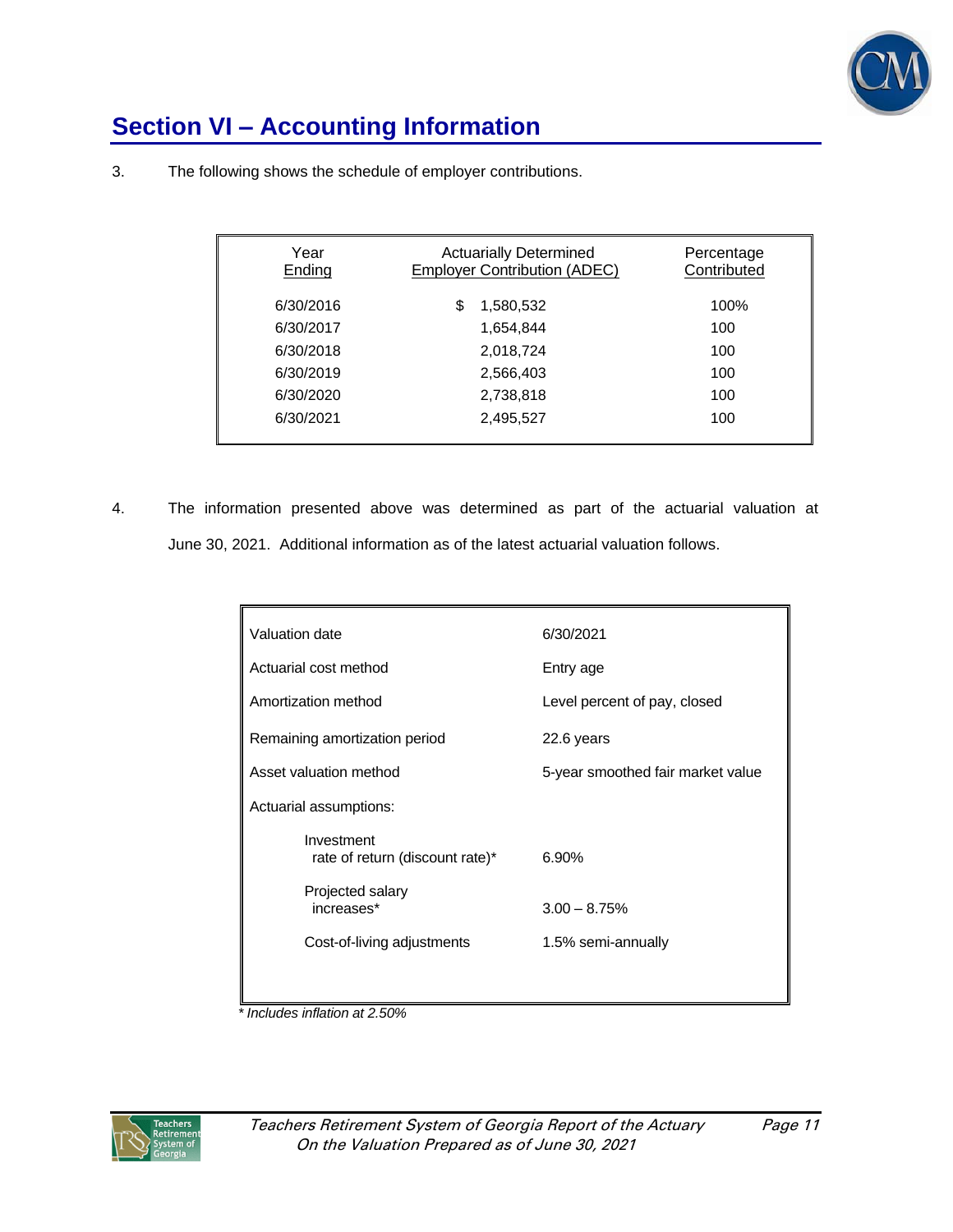

# **Section VI – Accounting Information**

| Year<br>Ending | <b>Actuarially Determined</b><br><b>Employer Contribution (ADEC)</b> | Percentage<br>Contributed |
|----------------|----------------------------------------------------------------------|---------------------------|
| 6/30/2016      | S<br>1,580,532                                                       | 100%                      |
| 6/30/2017      | 1,654,844                                                            | 100                       |
| 6/30/2018      | 2,018,724                                                            | 100                       |
| 6/30/2019      | 2,566,403                                                            | 100                       |
| 6/30/2020      | 2,738,818                                                            | 100                       |
| 6/30/2021      | 2,495,527                                                            | 100                       |
|                |                                                                      |                           |

3. The following shows the schedule of employer contributions.

4. The information presented above was determined as part of the actuarial valuation at June 30, 2021. Additional information as of the latest actuarial valuation follows.

| Valuation date                                | 6/30/2021                         |
|-----------------------------------------------|-----------------------------------|
| Actuarial cost method                         | Entry age                         |
| Amortization method                           | Level percent of pay, closed      |
| Remaining amortization period                 | 22.6 years                        |
| Asset valuation method                        | 5-year smoothed fair market value |
| Actuarial assumptions:                        |                                   |
| Investment<br>rate of return (discount rate)* | 6.90%                             |
| Projected salary<br>increases*                | $3.00 - 8.75%$                    |
| Cost-of-living adjustments                    | 1.5% semi-annually                |
|                                               |                                   |

*\* Includes inflation at 2.50%*

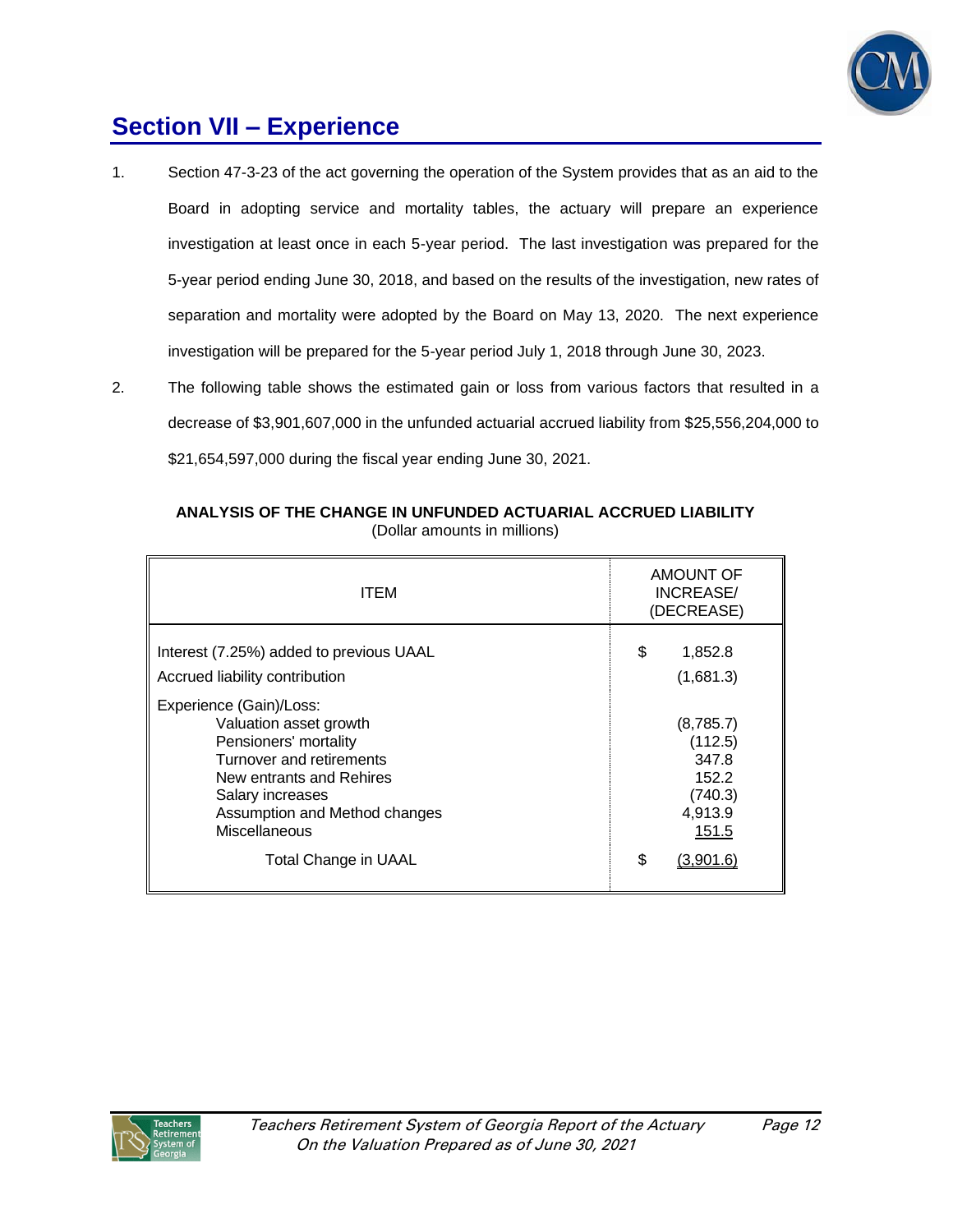

## **Section VII – Experience**

- 1. Section 47-3-23 of the act governing the operation of the System provides that as an aid to the Board in adopting service and mortality tables, the actuary will prepare an experience investigation at least once in each 5-year period. The last investigation was prepared for the 5-year period ending June 30, 2018, and based on the results of the investigation, new rates of separation and mortality were adopted by the Board on May 13, 2020. The next experience investigation will be prepared for the 5-year period July 1, 2018 through June 30, 2023.
- 2. The following table shows the estimated gain or loss from various factors that resulted in a decrease of \$3,901,607,000 in the unfunded actuarial accrued liability from \$25,556,204,000 to \$21,654,597,000 during the fiscal year ending June 30, 2021.

| <b>ITEM</b>                                                                                                                                                                                                                             | <b>AMOUNT OF</b><br>INCREASE/<br>(DECREASE)                                              |  |
|-----------------------------------------------------------------------------------------------------------------------------------------------------------------------------------------------------------------------------------------|------------------------------------------------------------------------------------------|--|
| Interest (7.25%) added to previous UAAL<br>Accrued liability contribution                                                                                                                                                               | \$<br>1,852.8<br>(1,681.3)                                                               |  |
| Experience (Gain)/Loss:<br>Valuation asset growth<br>Pensioners' mortality<br>Turnover and retirements<br>New entrants and Rehires<br>Salary increases<br>Assumption and Method changes<br>Miscellaneous<br><b>Total Change in UAAL</b> | (8,785.7)<br>(112.5)<br>347.8<br>152.2<br>(740.3)<br>4,913.9<br>151.5<br>\$<br>(3.901.6) |  |

#### **ANALYSIS OF THE CHANGE IN UNFUNDED ACTUARIAL ACCRUED LIABILITY** (Dollar amounts in millions)

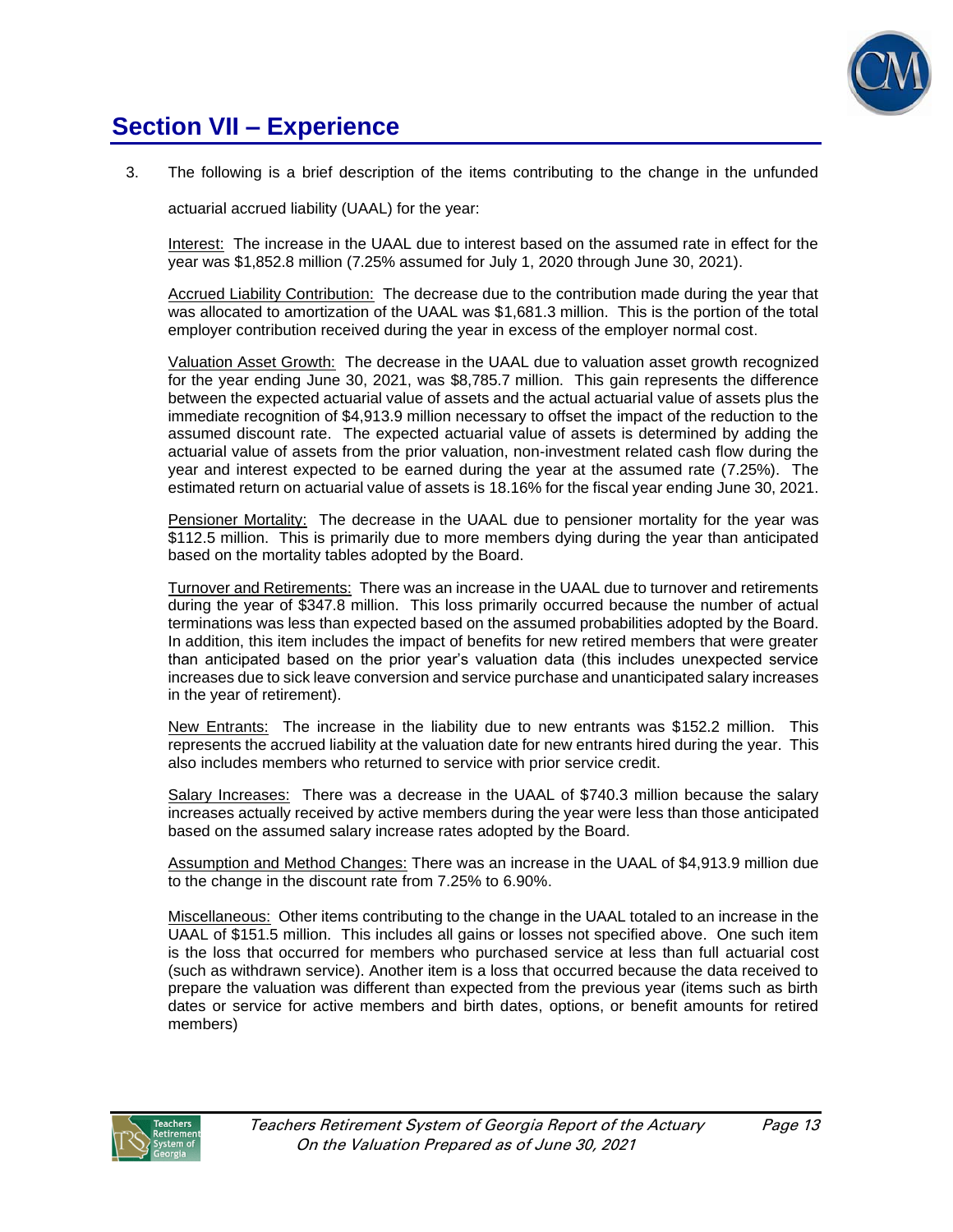

## **Section VII – Experience**

3. The following is a brief description of the items contributing to the change in the unfunded

actuarial accrued liability (UAAL) for the year:

Interest: The increase in the UAAL due to interest based on the assumed rate in effect for the year was \$1,852.8 million (7.25% assumed for July 1, 2020 through June 30, 2021).

Accrued Liability Contribution: The decrease due to the contribution made during the year that was allocated to amortization of the UAAL was \$1,681.3 million. This is the portion of the total employer contribution received during the year in excess of the employer normal cost.

Valuation Asset Growth: The decrease in the UAAL due to valuation asset growth recognized for the year ending June 30, 2021, was \$8,785.7 million. This gain represents the difference between the expected actuarial value of assets and the actual actuarial value of assets plus the immediate recognition of \$4,913.9 million necessary to offset the impact of the reduction to the assumed discount rate. The expected actuarial value of assets is determined by adding the actuarial value of assets from the prior valuation, non-investment related cash flow during the year and interest expected to be earned during the year at the assumed rate (7.25%). The estimated return on actuarial value of assets is 18.16% for the fiscal year ending June 30, 2021.

Pensioner Mortality: The decrease in the UAAL due to pensioner mortality for the year was \$112.5 million. This is primarily due to more members dying during the year than anticipated based on the mortality tables adopted by the Board.

Turnover and Retirements: There was an increase in the UAAL due to turnover and retirements during the year of \$347.8 million. This loss primarily occurred because the number of actual terminations was less than expected based on the assumed probabilities adopted by the Board. In addition, this item includes the impact of benefits for new retired members that were greater than anticipated based on the prior year's valuation data (this includes unexpected service increases due to sick leave conversion and service purchase and unanticipated salary increases in the year of retirement).

New Entrants: The increase in the liability due to new entrants was \$152.2 million. This represents the accrued liability at the valuation date for new entrants hired during the year. This also includes members who returned to service with prior service credit.

Salary Increases: There was a decrease in the UAAL of \$740.3 million because the salary increases actually received by active members during the year were less than those anticipated based on the assumed salary increase rates adopted by the Board.

Assumption and Method Changes: There was an increase in the UAAL of \$4,913.9 million due to the change in the discount rate from 7.25% to 6.90%.

Miscellaneous: Other items contributing to the change in the UAAL totaled to an increase in the UAAL of \$151.5 million. This includes all gains or losses not specified above. One such item is the loss that occurred for members who purchased service at less than full actuarial cost (such as withdrawn service). Another item is a loss that occurred because the data received to prepare the valuation was different than expected from the previous year (items such as birth dates or service for active members and birth dates, options, or benefit amounts for retired members)

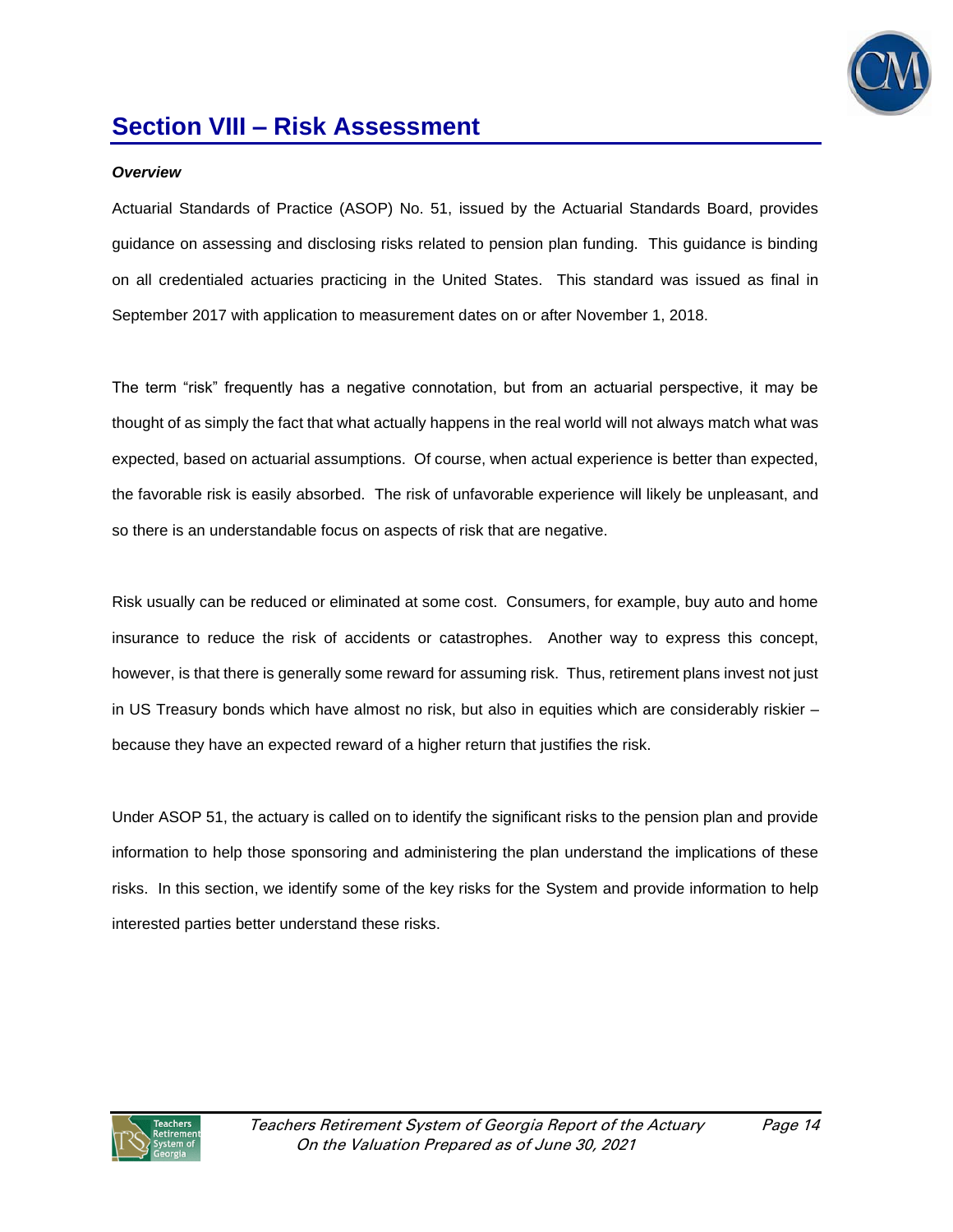

#### *Overview*

Actuarial Standards of Practice (ASOP) No. 51, issued by the Actuarial Standards Board, provides guidance on assessing and disclosing risks related to pension plan funding. This guidance is binding on all credentialed actuaries practicing in the United States. This standard was issued as final in September 2017 with application to measurement dates on or after November 1, 2018.

The term "risk" frequently has a negative connotation, but from an actuarial perspective, it may be thought of as simply the fact that what actually happens in the real world will not always match what was expected, based on actuarial assumptions. Of course, when actual experience is better than expected, the favorable risk is easily absorbed. The risk of unfavorable experience will likely be unpleasant, and so there is an understandable focus on aspects of risk that are negative.

Risk usually can be reduced or eliminated at some cost. Consumers, for example, buy auto and home insurance to reduce the risk of accidents or catastrophes. Another way to express this concept, however, is that there is generally some reward for assuming risk. Thus, retirement plans invest not just in US Treasury bonds which have almost no risk, but also in equities which are considerably riskier – because they have an expected reward of a higher return that justifies the risk.

Under ASOP 51, the actuary is called on to identify the significant risks to the pension plan and provide information to help those sponsoring and administering the plan understand the implications of these risks. In this section, we identify some of the key risks for the System and provide information to help interested parties better understand these risks.

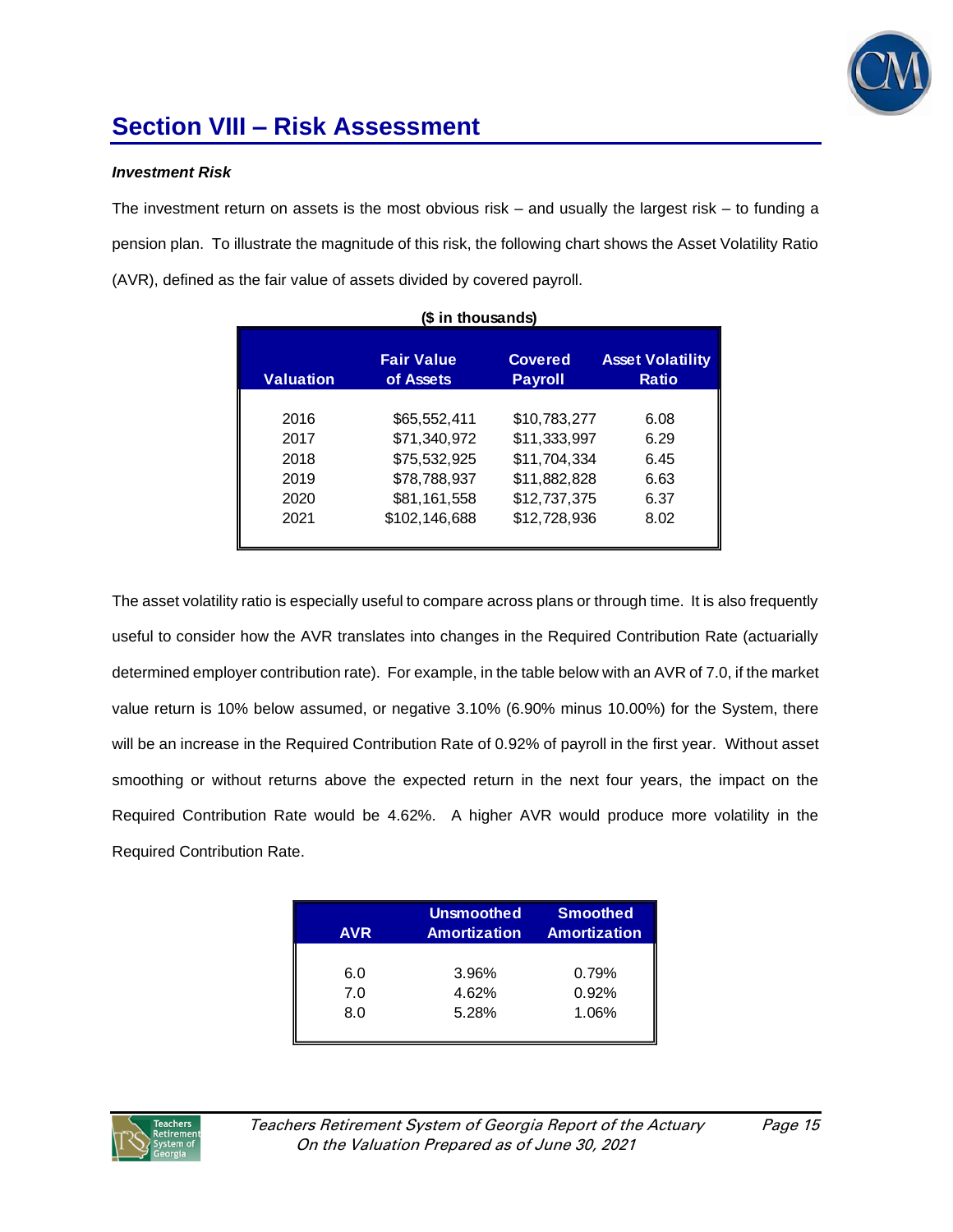

#### *Investment Risk*

The investment return on assets is the most obvious risk – and usually the largest risk – to funding a pension plan. To illustrate the magnitude of this risk, the following chart shows the Asset Volatility Ratio (AVR), defined as the fair value of assets divided by covered payroll.

| (\$ in thousands) |                                |                                  |                                         |  |  |
|-------------------|--------------------------------|----------------------------------|-----------------------------------------|--|--|
| <b>Valuation</b>  | <b>Fair Value</b><br>of Assets | <b>Covered</b><br><b>Payroll</b> | <b>Asset Volatility</b><br><b>Ratio</b> |  |  |
| 2016              | \$65,552,411                   | \$10,783,277                     | 6.08                                    |  |  |
| 2017              | \$71,340,972                   | \$11,333,997                     | 6.29                                    |  |  |
| 2018              | \$75,532,925                   | \$11,704,334                     | 6.45                                    |  |  |
| 2019              | \$78,788,937                   | \$11,882,828                     | 6.63                                    |  |  |
| 2020              | \$81,161,558                   | \$12,737,375                     | 6.37                                    |  |  |
| 2021              | \$102,146,688                  | \$12,728,936                     | 8.02                                    |  |  |
|                   |                                |                                  |                                         |  |  |

The asset volatility ratio is especially useful to compare across plans or through time. It is also frequently useful to consider how the AVR translates into changes in the Required Contribution Rate (actuarially determined employer contribution rate). For example, in the table below with an AVR of 7.0, if the market value return is 10% below assumed, or negative 3.10% (6.90% minus 10.00%) for the System, there will be an increase in the Required Contribution Rate of 0.92% of payroll in the first year. Without asset smoothing or without returns above the expected return in the next four years, the impact on the Required Contribution Rate would be 4.62%. A higher AVR would produce more volatility in the Required Contribution Rate.

| <b>AVR</b> | <b>Unsmoothed</b><br><b>Amortization</b> | <b>Smoothed</b><br>Amortization |
|------------|------------------------------------------|---------------------------------|
| 6.0        | 3.96%                                    | 0.79%                           |
| 7.0        | 4.62%                                    | 0.92%                           |
| 8.0        | 5.28%                                    | 1.06%                           |
|            |                                          |                                 |

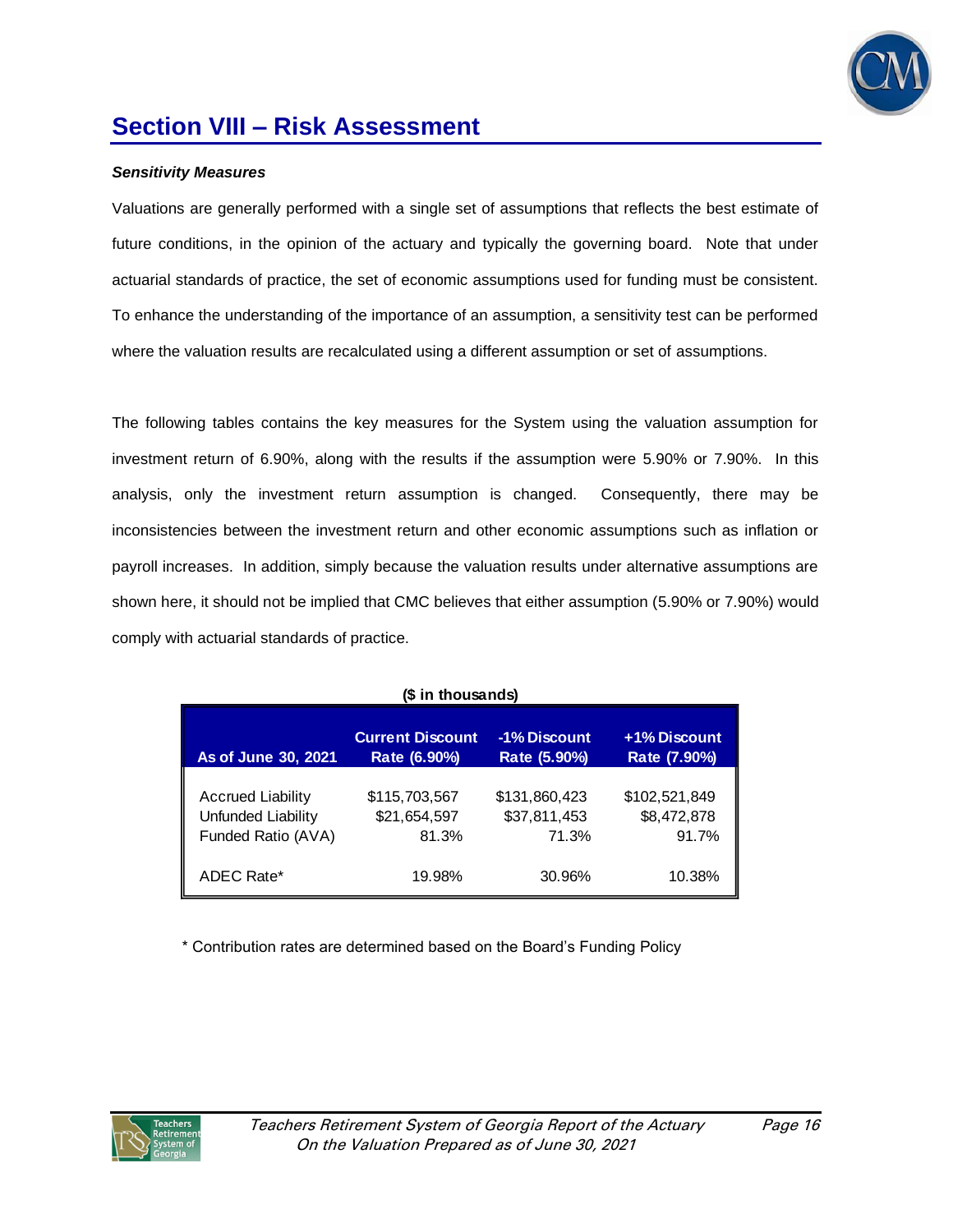

### *Sensitivity Measures*

Valuations are generally performed with a single set of assumptions that reflects the best estimate of future conditions, in the opinion of the actuary and typically the governing board. Note that under actuarial standards of practice, the set of economic assumptions used for funding must be consistent. To enhance the understanding of the importance of an assumption, a sensitivity test can be performed where the valuation results are recalculated using a different assumption or set of assumptions.

The following tables contains the key measures for the System using the valuation assumption for investment return of 6.90%, along with the results if the assumption were 5.90% or 7.90%. In this analysis, only the investment return assumption is changed. Consequently, there may be inconsistencies between the investment return and other economic assumptions such as inflation or payroll increases. In addition, simply because the valuation results under alternative assumptions are shown here, it should not be implied that CMC believes that either assumption (5.90% or 7.90%) would comply with actuarial standards of practice.

| (\$ in thousands)                                                                                                              |                                        |                                        |                                       |  |  |  |
|--------------------------------------------------------------------------------------------------------------------------------|----------------------------------------|----------------------------------------|---------------------------------------|--|--|--|
| +1% Discount<br><b>Current Discount</b><br>-1% Discount<br>As of June 30, 2021<br>Rate (5.90%)<br>Rate (6.90%)<br>Rate (7.90%) |                                        |                                        |                                       |  |  |  |
| <b>Accrued Liability</b><br>Unfunded Liability<br>Funded Ratio (AVA)                                                           | \$115,703,567<br>\$21,654,597<br>81.3% | \$131,860,423<br>\$37,811,453<br>71.3% | \$102,521,849<br>\$8,472,878<br>91.7% |  |  |  |
| ADEC Rate*                                                                                                                     | 19.98%                                 | 30.96%                                 | 10.38%                                |  |  |  |

\* Contribution rates are determined based on the Board's Funding Policy

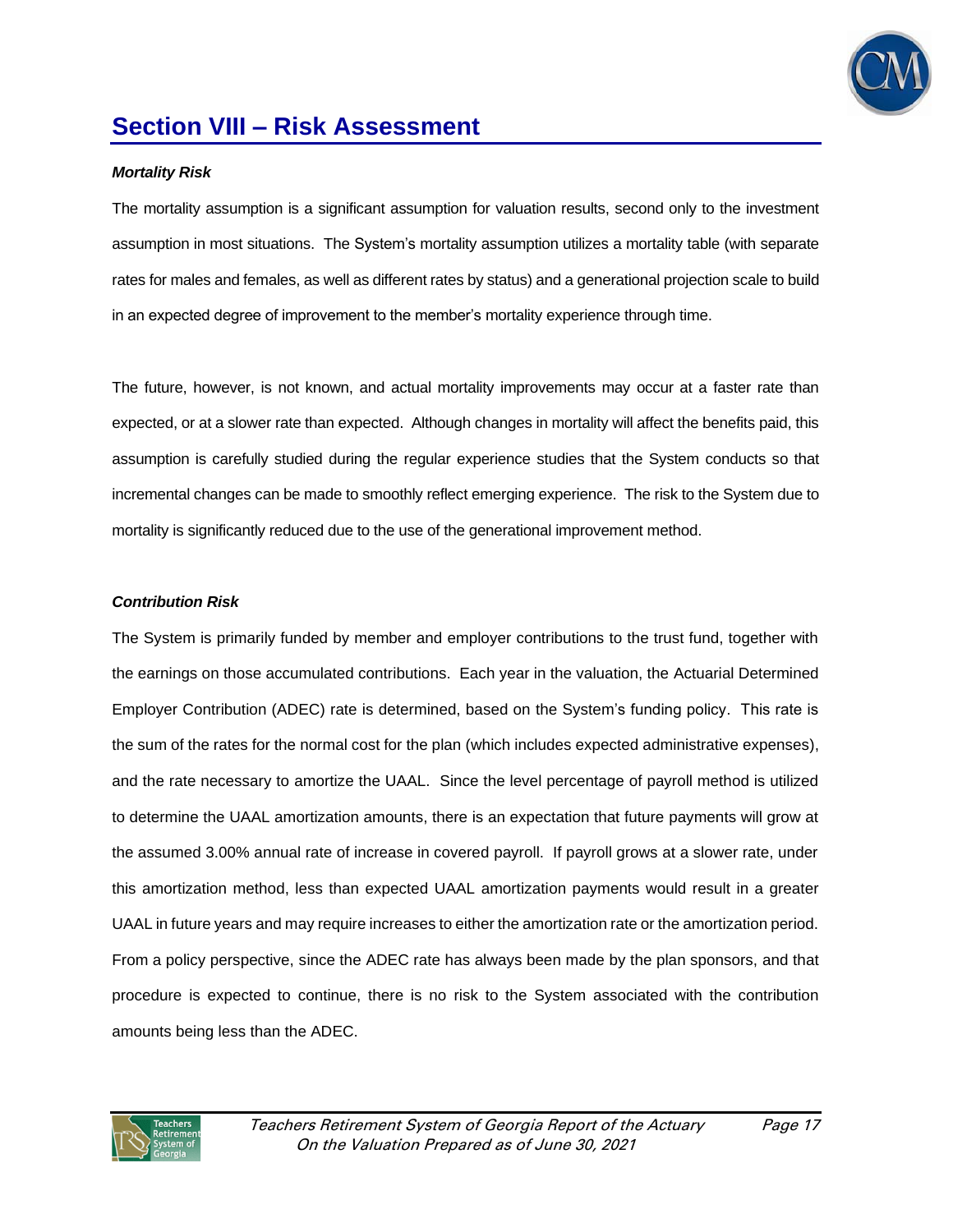

#### *Mortality Risk*

The mortality assumption is a significant assumption for valuation results, second only to the investment assumption in most situations. The System's mortality assumption utilizes a mortality table (with separate rates for males and females, as well as different rates by status) and a generational projection scale to build in an expected degree of improvement to the member's mortality experience through time.

The future, however, is not known, and actual mortality improvements may occur at a faster rate than expected, or at a slower rate than expected. Although changes in mortality will affect the benefits paid, this assumption is carefully studied during the regular experience studies that the System conducts so that incremental changes can be made to smoothly reflect emerging experience. The risk to the System due to mortality is significantly reduced due to the use of the generational improvement method.

#### *Contribution Risk*

The System is primarily funded by member and employer contributions to the trust fund, together with the earnings on those accumulated contributions. Each year in the valuation, the Actuarial Determined Employer Contribution (ADEC) rate is determined, based on the System's funding policy. This rate is the sum of the rates for the normal cost for the plan (which includes expected administrative expenses), and the rate necessary to amortize the UAAL. Since the level percentage of payroll method is utilized to determine the UAAL amortization amounts, there is an expectation that future payments will grow at the assumed 3.00% annual rate of increase in covered payroll. If payroll grows at a slower rate, under this amortization method, less than expected UAAL amortization payments would result in a greater UAAL in future years and may require increases to either the amortization rate or the amortization period. From a policy perspective, since the ADEC rate has always been made by the plan sponsors, and that procedure is expected to continue, there is no risk to the System associated with the contribution amounts being less than the ADEC.

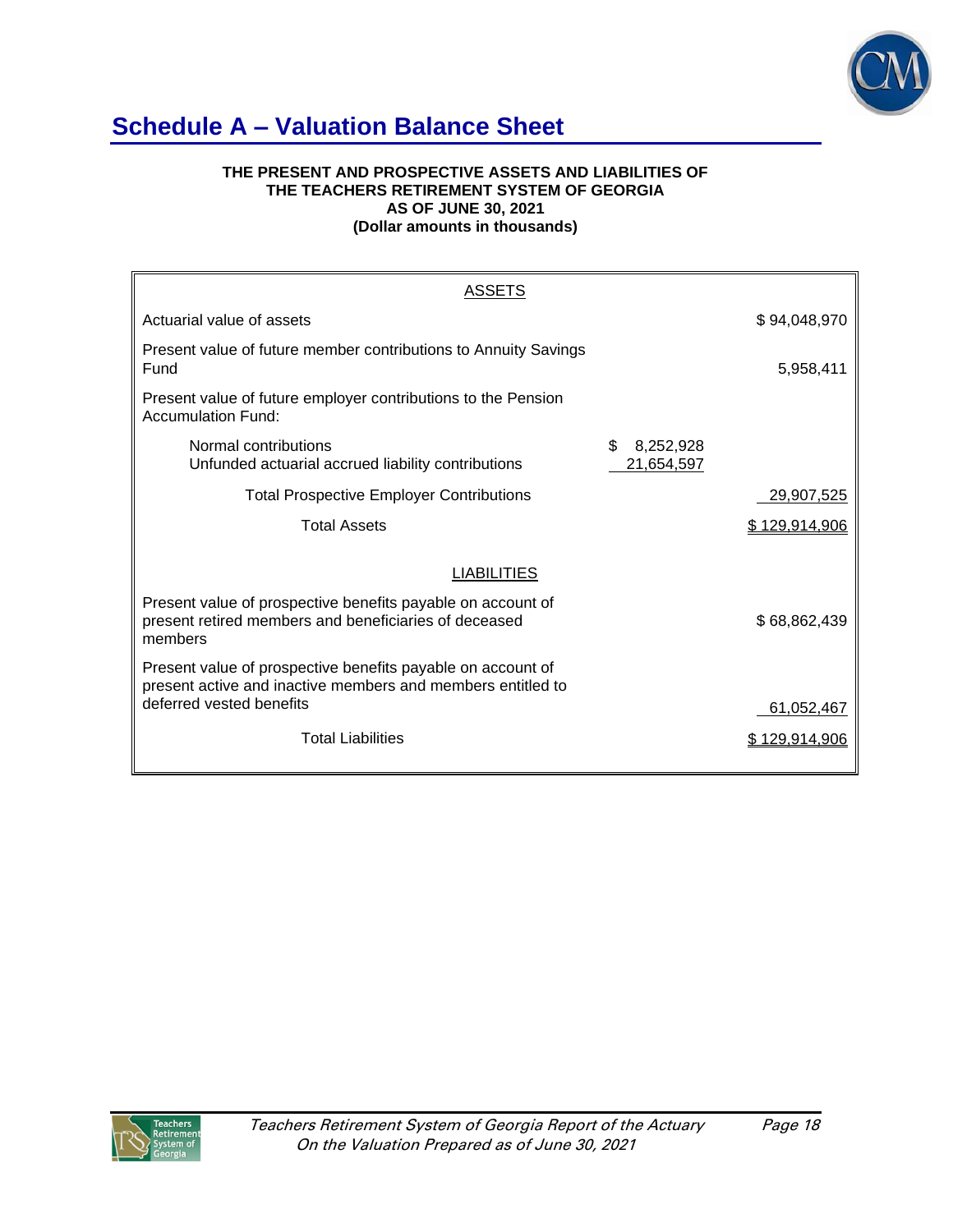

# **Schedule A – Valuation Balance Sheet**

#### **THE PRESENT AND PROSPECTIVE ASSETS AND LIABILITIES OF THE TEACHERS RETIREMENT SYSTEM OF GEORGIA AS OF JUNE 30, 2021 (Dollar amounts in thousands)**

| ASSETS                                                                                                                                                 |                               |               |
|--------------------------------------------------------------------------------------------------------------------------------------------------------|-------------------------------|---------------|
| Actuarial value of assets                                                                                                                              |                               | \$94,048,970  |
| Present value of future member contributions to Annuity Savings<br>Fund                                                                                |                               | 5,958,411     |
| Present value of future employer contributions to the Pension<br>Accumulation Fund:                                                                    |                               |               |
| Normal contributions<br>Unfunded actuarial accrued liability contributions                                                                             | \$<br>8,252,928<br>21,654,597 |               |
| <b>Total Prospective Employer Contributions</b>                                                                                                        |                               | 29,907,525    |
| <b>Total Assets</b>                                                                                                                                    |                               | \$129,914,906 |
| <b>LIABILITIES</b>                                                                                                                                     |                               |               |
| Present value of prospective benefits payable on account of<br>present retired members and beneficiaries of deceased<br>members                        |                               | \$68,862,439  |
| Present value of prospective benefits payable on account of<br>present active and inactive members and members entitled to<br>deferred vested benefits |                               |               |
|                                                                                                                                                        |                               | 61,052,467    |
| <b>Total Liabilities</b>                                                                                                                               |                               | \$129.914.906 |

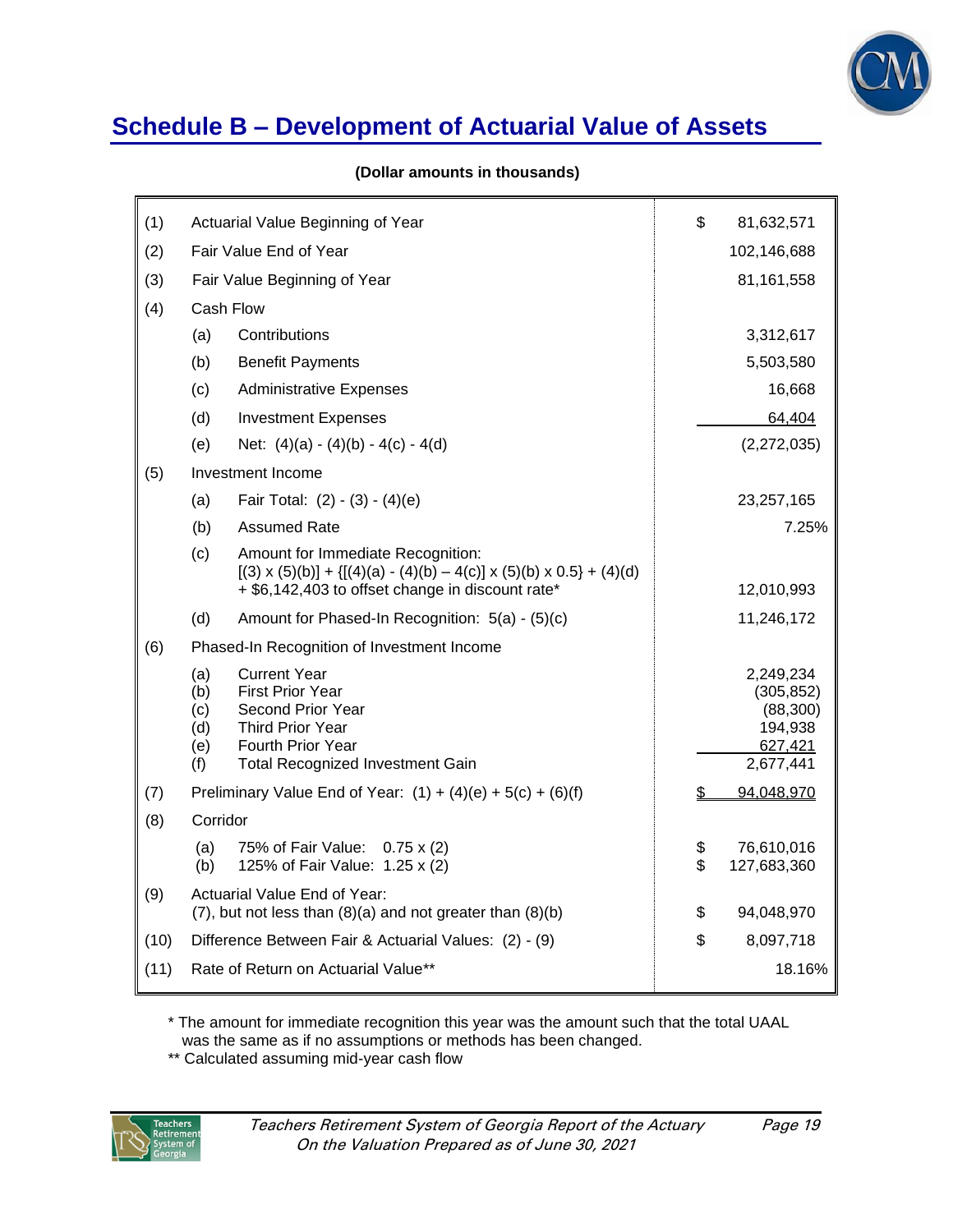

# **Schedule B – Development of Actuarial Value of Assets**

|  |  |  | (Dollar amounts in thousands) |
|--|--|--|-------------------------------|
|--|--|--|-------------------------------|

| (1)  | Actuarial Value Beginning of Year                                                                                                                                                    | \$<br>81,632,571                      |
|------|--------------------------------------------------------------------------------------------------------------------------------------------------------------------------------------|---------------------------------------|
| (2)  | Fair Value End of Year                                                                                                                                                               | 102,146,688                           |
| (3)  | Fair Value Beginning of Year                                                                                                                                                         | 81,161,558                            |
| (4)  | Cash Flow                                                                                                                                                                            |                                       |
|      | Contributions<br>(a)                                                                                                                                                                 | 3,312,617                             |
|      | (b)<br><b>Benefit Payments</b>                                                                                                                                                       | 5,503,580                             |
|      | (c)<br><b>Administrative Expenses</b>                                                                                                                                                | 16,668                                |
|      | (d)<br><b>Investment Expenses</b>                                                                                                                                                    | 64,404                                |
|      | (e)<br>Net: $(4)(a) - (4)(b) - 4(c) - 4(d)$                                                                                                                                          | (2,272,035)                           |
| (5)  | Investment Income                                                                                                                                                                    |                                       |
|      | Fair Total: $(2) - (3) - (4)(e)$<br>(a)                                                                                                                                              | 23,257,165                            |
|      | <b>Assumed Rate</b><br>(b)                                                                                                                                                           | 7.25%                                 |
|      | (c)<br>Amount for Immediate Recognition:<br>$[(3) \times (5)(b)] + {[(4)(a) - (4)(b) - 4(c)] \times (5)(b) \times 0.5} + (4)(d)$<br>+ \$6,142,403 to offset change in discount rate* | 12,010,993                            |
|      | (d)<br>Amount for Phased-In Recognition: 5(a) - (5)(c)                                                                                                                               | 11,246,172                            |
|      |                                                                                                                                                                                      |                                       |
| (6)  | Phased-In Recognition of Investment Income                                                                                                                                           |                                       |
|      | (a)<br><b>Current Year</b><br>(b)<br><b>First Prior Year</b>                                                                                                                         | 2,249,234<br>(305, 852)               |
|      | (c)<br>Second Prior Year                                                                                                                                                             | (88, 300)                             |
|      | (d)<br>Third Prior Year<br>Fourth Prior Year<br>(e)                                                                                                                                  | 194,938<br>627,421                    |
|      | <b>Total Recognized Investment Gain</b><br>(f)                                                                                                                                       | 2,677,441                             |
| (7)  | Preliminary Value End of Year: $(1) + (4)(e) + 5(c) + (6)(f)$                                                                                                                        | 94,048,970                            |
| (8)  | Corridor                                                                                                                                                                             |                                       |
|      | (a)<br>75% of Fair Value: 0.75 x (2)<br>125% of Fair Value: 1.25 x (2)<br>(b)                                                                                                        | \$<br>76,610,016<br>\$<br>127,683,360 |
| (9)  | Actuarial Value End of Year:<br>$(7)$ , but not less than $(8)(a)$ and not greater than $(8)(b)$                                                                                     | \$<br>94,048,970                      |
| (10) | Difference Between Fair & Actuarial Values: (2) - (9)                                                                                                                                | \$<br>8,097,718                       |
| (11) | Rate of Return on Actuarial Value**                                                                                                                                                  | 18.16%                                |

\* The amount for immediate recognition this year was the amount such that the total UAAL was the same as if no assumptions or methods has been changed.

\*\* Calculated assuming mid-year cash flow

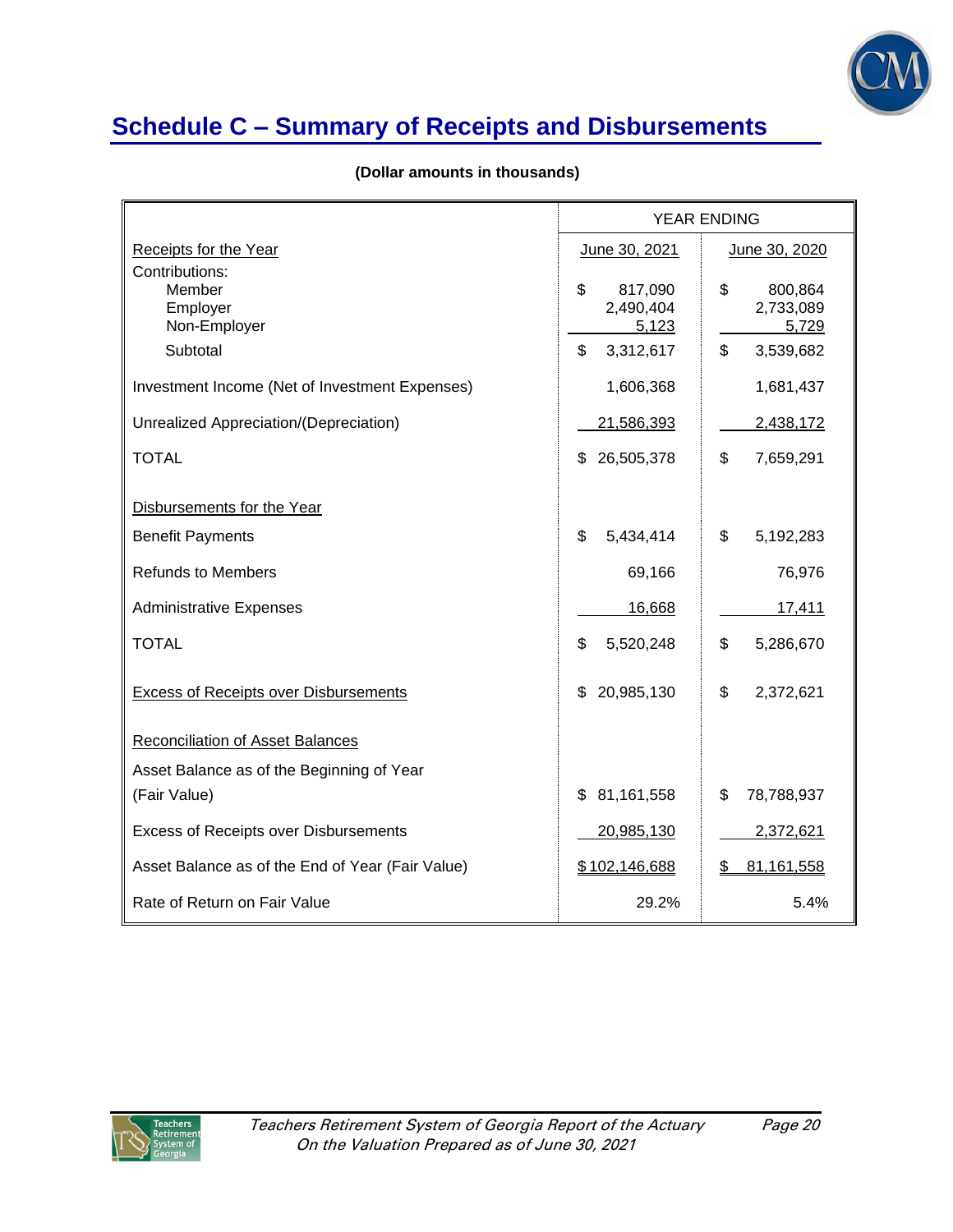

# **Schedule C – Summary of Receipts and Disbursements**

|  |  |  | (Dollar amounts in thousands) |
|--|--|--|-------------------------------|
|--|--|--|-------------------------------|

|                                                                  | <b>YEAR ENDING</b>                                     |                                                        |  |
|------------------------------------------------------------------|--------------------------------------------------------|--------------------------------------------------------|--|
| Receipts for the Year                                            | June 30, 2021                                          | June 30, 2020                                          |  |
| Contributions:<br>Member<br>Employer<br>Non-Employer<br>Subtotal | \$<br>817,090<br>2,490,404<br>5,123<br>\$<br>3,312,617 | \$<br>800,864<br>2,733,089<br>5,729<br>\$<br>3,539,682 |  |
|                                                                  |                                                        |                                                        |  |
| Investment Income (Net of Investment Expenses)                   | 1,606,368                                              | 1,681,437                                              |  |
| Unrealized Appreciation/(Depreciation)                           | 21,586,393                                             | 2,438,172                                              |  |
| <b>TOTAL</b>                                                     | 26,505,378<br>\$                                       | \$<br>7,659,291                                        |  |
|                                                                  |                                                        |                                                        |  |
| Disbursements for the Year                                       |                                                        |                                                        |  |
| <b>Benefit Payments</b>                                          | \$<br>5,434,414                                        | \$<br>5,192,283                                        |  |
| <b>Refunds to Members</b>                                        | 69,166                                                 | 76,976                                                 |  |
| <b>Administrative Expenses</b>                                   | 16,668                                                 | 17,411                                                 |  |
| <b>TOTAL</b>                                                     | \$<br>5,520,248                                        | \$<br>5,286,670                                        |  |
| <b>Excess of Receipts over Disbursements</b>                     | 20,985,130<br>\$                                       | \$<br>2,372,621                                        |  |
| Reconciliation of Asset Balances                                 |                                                        |                                                        |  |
| Asset Balance as of the Beginning of Year                        |                                                        |                                                        |  |
| (Fair Value)                                                     | \$<br>81,161,558                                       | \$<br>78,788,937                                       |  |
| <b>Excess of Receipts over Disbursements</b>                     | 20,985,130                                             | 2,372,621                                              |  |
| Asset Balance as of the End of Year (Fair Value)                 | \$102,146,688                                          | 81,161,558<br>S                                        |  |
| Rate of Return on Fair Value                                     | 29.2%                                                  | 5.4%                                                   |  |

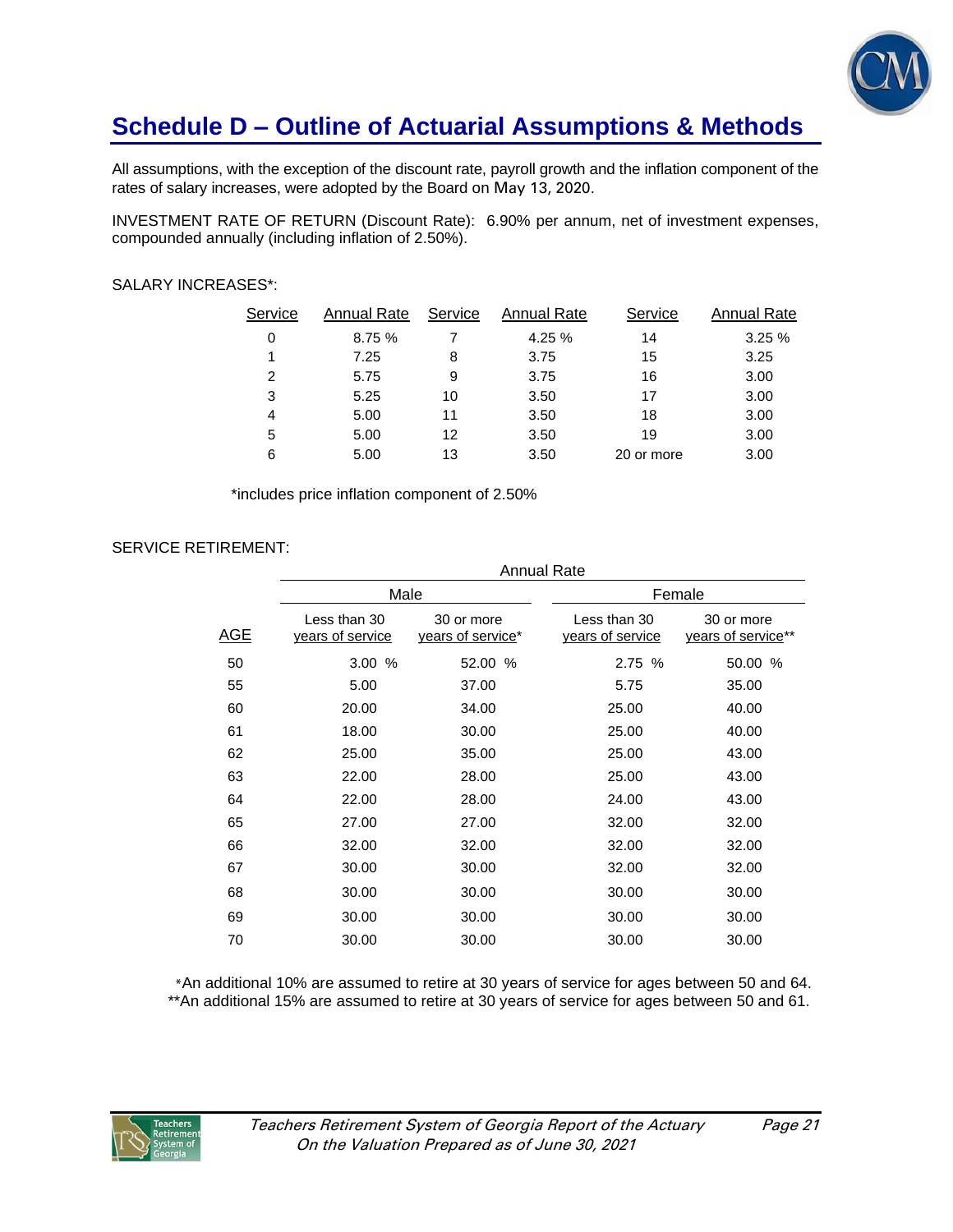

# **Schedule D – Outline of Actuarial Assumptions & Methods**

All assumptions, with the exception of the discount rate, payroll growth and the inflation component of the rates of salary increases, were adopted by the Board on May 13, 2020.

INVESTMENT RATE OF RETURN (Discount Rate): 6.90% per annum, net of investment expenses, compounded annually (including inflation of 2.50%).

### SALARY INCREASES\*:

| S <u>ervice</u> | <b>Annual Rate</b> | Service | Annual Rate | Service    | Annual Rate |
|-----------------|--------------------|---------|-------------|------------|-------------|
| 0               | 8.75 %             |         | 4.25 %      | 14         | 3.25%       |
| 1               | 7.25               | 8       | 3.75        | 15         | 3.25        |
| 2               | 5.75               | 9       | 3.75        | 16         | 3.00        |
| 3               | 5.25               | 10      | 3.50        | 17         | 3.00        |
| 4               | 5.00               | 11      | 3.50        | 18         | 3.00        |
| 5               | 5.00               | 12      | 3.50        | 19         | 3.00        |
| 6               | 5.00               | 13      | 3.50        | 20 or more | 3.00        |

\*includes price inflation component of 2.50%

## SERVICE RETIREMENT:

|            | <b>Annual Rate</b>               |                                 |                                  |                                  |  |  |
|------------|----------------------------------|---------------------------------|----------------------------------|----------------------------------|--|--|
|            | Male                             |                                 | Female                           |                                  |  |  |
| <b>AGE</b> | Less than 30<br>years of service | 30 or more<br>years of service* | Less than 30<br>years of service | 30 or more<br>years of service** |  |  |
| 50         | 3.00 %                           | 52.00 %                         | 2.75 %                           | 50.00 %                          |  |  |
| 55         | 5.00                             | 37.00                           | 5.75                             | 35.00                            |  |  |
| 60         | 20.00                            | 34.00                           | 25.00                            | 40.00                            |  |  |
| 61         | 18.00                            | 30.00                           | 25.00                            | 40.00                            |  |  |
| 62         | 25.00                            | 35.00                           | 25.00                            | 43.00                            |  |  |
| 63         | 22.00                            | 28.00                           | 25.00                            | 43.00                            |  |  |
| 64         | 22.00                            | 28.00                           | 24.00                            | 43.00                            |  |  |
| 65         | 27.00                            | 27.00                           | 32.00                            | 32.00                            |  |  |
| 66         | 32.00                            | 32.00                           | 32.00                            | 32.00                            |  |  |
| 67         | 30.00                            | 30.00                           | 32.00                            | 32.00                            |  |  |
| 68         | 30.00                            | 30.00                           | 30.00                            | 30.00                            |  |  |
| 69         | 30.00                            | 30.00                           | 30.00                            | 30.00                            |  |  |
| 70         | 30.00                            | 30.00                           | 30.00                            | 30.00                            |  |  |
|            |                                  |                                 |                                  |                                  |  |  |

 \*An additional 10% are assumed to retire at 30 years of service for ages between 50 and 64. \*\*An additional 15% are assumed to retire at 30 years of service for ages between 50 and 61.

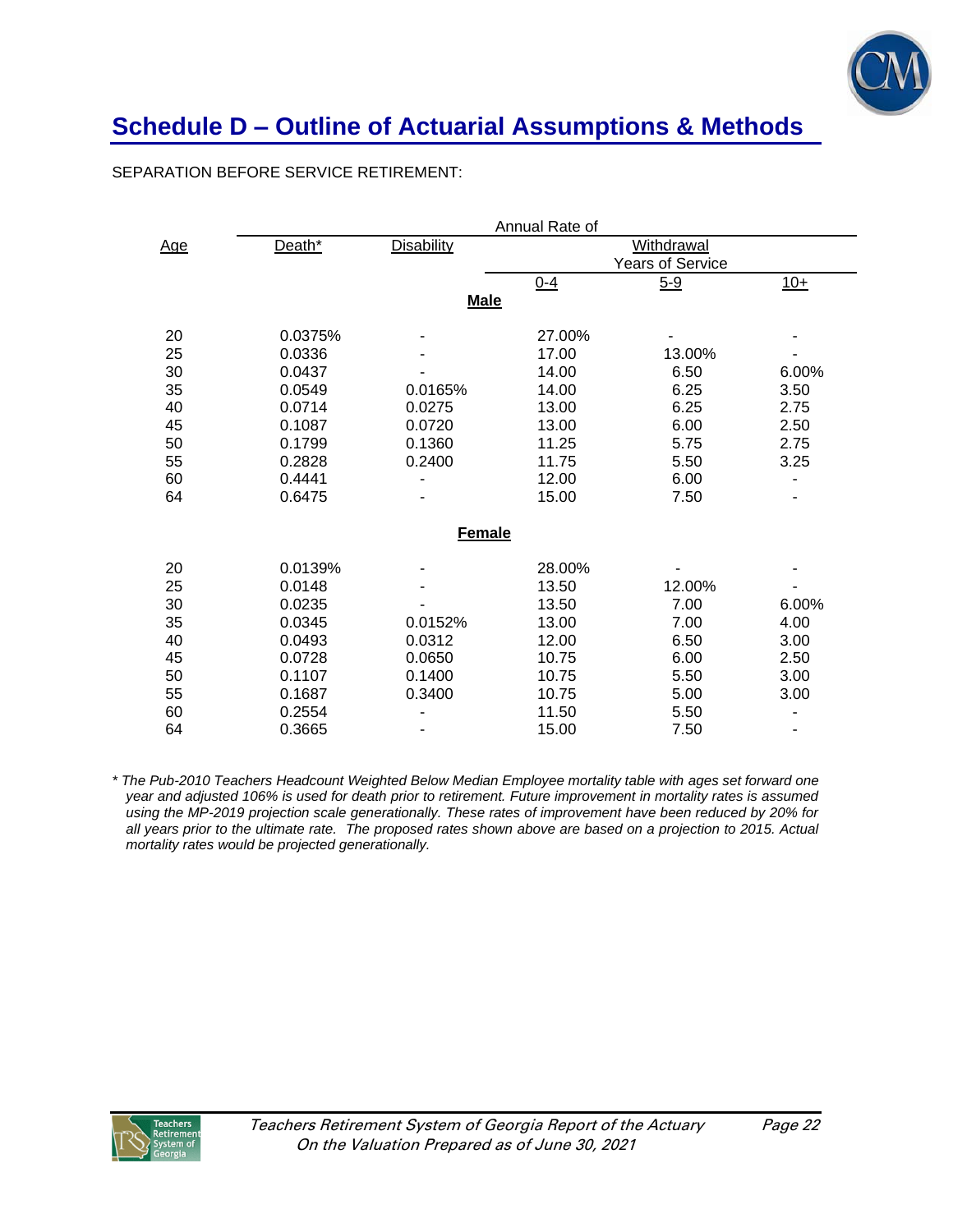

# **Schedule D – Outline of Actuarial Assumptions & Methods**

## SEPARATION BEFORE SERVICE RETIREMENT:

|            |         |                   | Annual Rate of |                  |       |
|------------|---------|-------------------|----------------|------------------|-------|
| <u>Age</u> | Death*  | <b>Disability</b> | Withdrawal     |                  |       |
|            |         |                   |                | Years of Service |       |
|            |         |                   | $0 - 4$        | $5 - 9$          | $10+$ |
|            |         | <b>Male</b>       |                |                  |       |
| 20         | 0.0375% |                   | 27.00%         |                  |       |
| 25         | 0.0336  |                   | 17.00          | 13.00%           |       |
| 30         | 0.0437  |                   | 14.00          | 6.50             | 6.00% |
| 35         | 0.0549  | 0.0165%           | 14.00          | 6.25             | 3.50  |
| 40         | 0.0714  | 0.0275            | 13.00          | 6.25             | 2.75  |
| 45         | 0.1087  | 0.0720            | 13.00          | 6.00             | 2.50  |
| 50         | 0.1799  | 0.1360            | 11.25          | 5.75             | 2.75  |
| 55         | 0.2828  | 0.2400            | 11.75          | 5.50             | 3.25  |
| 60         | 0.4441  |                   | 12.00          | 6.00             |       |
| 64         | 0.6475  |                   | 15.00          | 7.50             |       |
|            |         | <b>Female</b>     |                |                  |       |
| 20         | 0.0139% |                   | 28.00%         |                  |       |
| 25         | 0.0148  |                   | 13.50          | 12.00%           |       |
| 30         | 0.0235  |                   | 13.50          | 7.00             | 6.00% |
| 35         | 0.0345  | 0.0152%           | 13.00          | 7.00             | 4.00  |
| 40         | 0.0493  | 0.0312            | 12.00          | 6.50             | 3.00  |
| 45         | 0.0728  | 0.0650            | 10.75          | 6.00             | 2.50  |
| 50         | 0.1107  | 0.1400            | 10.75          | 5.50             | 3.00  |
| 55         | 0.1687  | 0.3400            | 10.75          | 5.00             | 3.00  |
| 60         | 0.2554  |                   | 11.50          | 5.50             | -     |
| 64         | 0.3665  |                   | 15.00          | 7.50             |       |

*\* The Pub-2010 Teachers Headcount Weighted Below Median Employee mortality table with ages set forward one year and adjusted 106% is used for death prior to retirement. Future improvement in mortality rates is assumed using the MP-2019 projection scale generationally. These rates of improvement have been reduced by 20% for all years prior to the ultimate rate. The proposed rates shown above are based on a projection to 2015. Actual mortality rates would be projected generationally.*

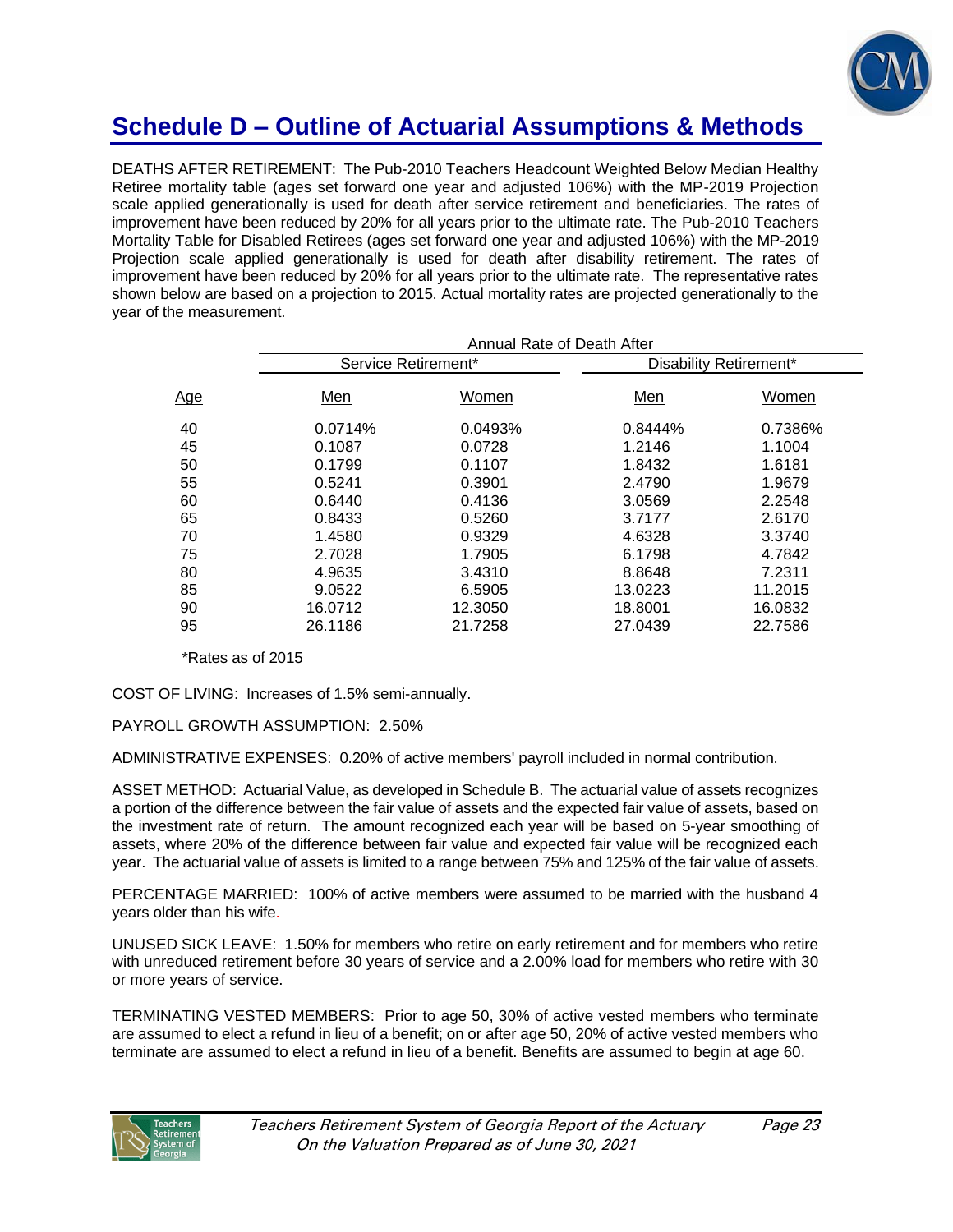

# **Schedule D – Outline of Actuarial Assumptions & Methods**

DEATHS AFTER RETIREMENT: The Pub-2010 Teachers Headcount Weighted Below Median Healthy Retiree mortality table (ages set forward one year and adjusted 106%) with the MP-2019 Projection scale applied generationally is used for death after service retirement and beneficiaries. The rates of improvement have been reduced by 20% for all years prior to the ultimate rate. The Pub-2010 Teachers Mortality Table for Disabled Retirees (ages set forward one year and adjusted 106%) with the MP-2019 Projection scale applied generationally is used for death after disability retirement. The rates of improvement have been reduced by 20% for all years prior to the ultimate rate. The representative rates shown below are based on a projection to 2015. Actual mortality rates are projected generationally to the year of the measurement.

| Annual Rate of Death After |         |                        |         |  |  |  |  |
|----------------------------|---------|------------------------|---------|--|--|--|--|
|                            |         | Disability Retirement* |         |  |  |  |  |
| Men                        | Women   | Men                    | Women   |  |  |  |  |
| 0.0714%                    | 0.0493% | 0.8444%                | 0.7386% |  |  |  |  |
| 0.1087                     | 0.0728  | 1.2146                 | 1.1004  |  |  |  |  |
| 0.1799                     | 0.1107  | 1.8432                 | 1.6181  |  |  |  |  |
| 0.5241                     | 0.3901  | 2.4790                 | 1.9679  |  |  |  |  |
| 0.6440                     | 0.4136  | 3.0569                 | 2.2548  |  |  |  |  |
| 0.8433                     | 0.5260  | 3.7177                 | 2.6170  |  |  |  |  |
| 1.4580                     | 0.9329  | 4.6328                 | 3.3740  |  |  |  |  |
| 2.7028                     | 1.7905  | 6.1798                 | 4.7842  |  |  |  |  |
| 4.9635                     | 3.4310  | 8.8648                 | 7.2311  |  |  |  |  |
| 9.0522                     | 6.5905  | 13.0223                | 11.2015 |  |  |  |  |
| 16.0712                    | 12.3050 | 18.8001                | 16.0832 |  |  |  |  |
| 26.1186                    | 21.7258 | 27.0439                | 22.7586 |  |  |  |  |
|                            |         | Service Retirement*    |         |  |  |  |  |

\*Rates as of 2015

COST OF LIVING: Increases of 1.5% semi-annually.

PAYROLL GROWTH ASSUMPTION: 2.50%

ADMINISTRATIVE EXPENSES: 0.20% of active members' payroll included in normal contribution.

ASSET METHOD: Actuarial Value, as developed in Schedule B. The actuarial value of assets recognizes a portion of the difference between the fair value of assets and the expected fair value of assets, based on the investment rate of return. The amount recognized each year will be based on 5-year smoothing of assets, where 20% of the difference between fair value and expected fair value will be recognized each year. The actuarial value of assets is limited to a range between 75% and 125% of the fair value of assets.

PERCENTAGE MARRIED: 100% of active members were assumed to be married with the husband 4 years older than his wife.

UNUSED SICK LEAVE: 1.50% for members who retire on early retirement and for members who retire with unreduced retirement before 30 years of service and a 2.00% load for members who retire with 30 or more years of service.

TERMINATING VESTED MEMBERS: Prior to age 50, 30% of active vested members who terminate are assumed to elect a refund in lieu of a benefit; on or after age 50, 20% of active vested members who terminate are assumed to elect a refund in lieu of a benefit. Benefits are assumed to begin at age 60.

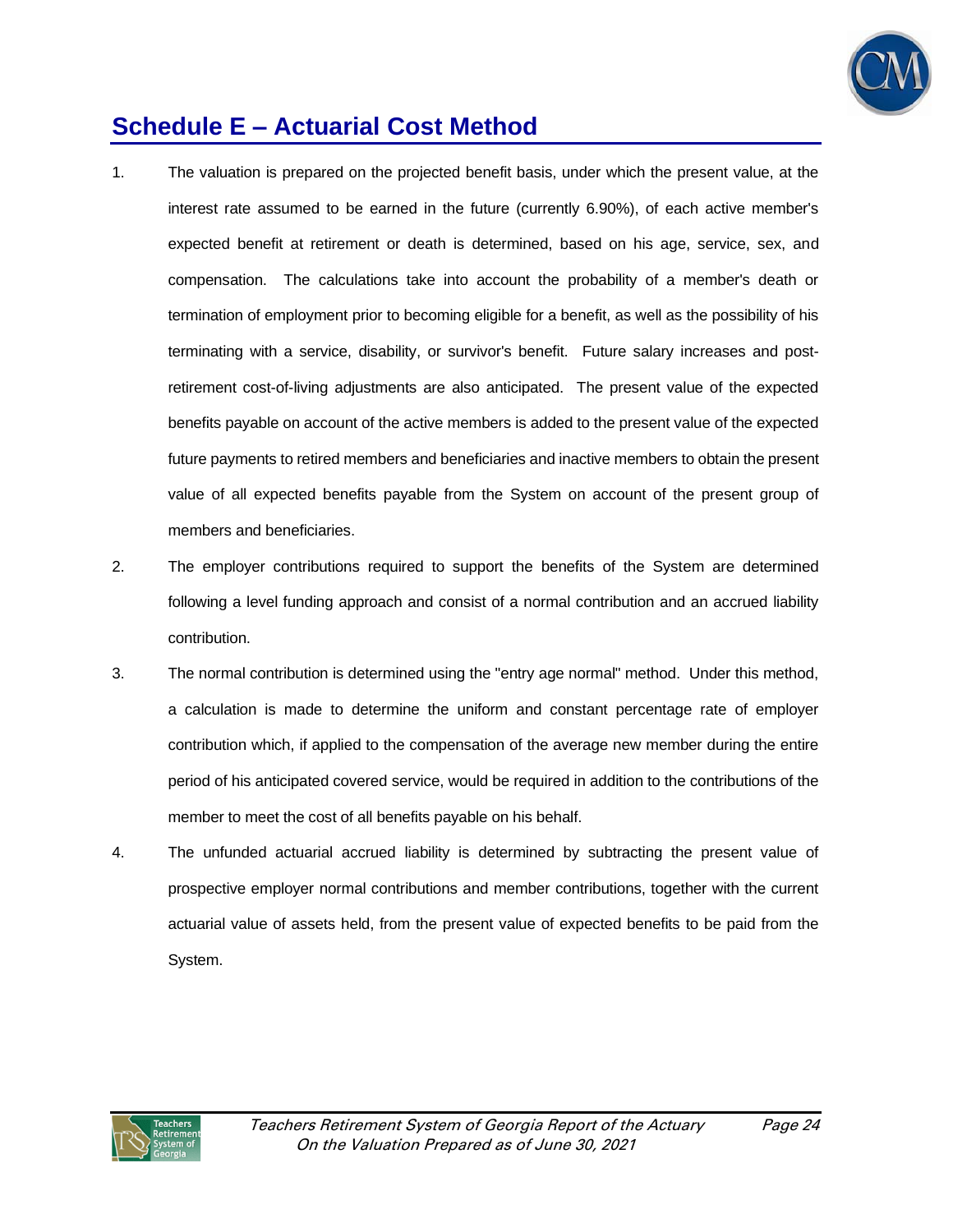

# **Schedule E – Actuarial Cost Method**

- 1. The valuation is prepared on the projected benefit basis, under which the present value, at the interest rate assumed to be earned in the future (currently 6.90%), of each active member's expected benefit at retirement or death is determined, based on his age, service, sex, and compensation. The calculations take into account the probability of a member's death or termination of employment prior to becoming eligible for a benefit, as well as the possibility of his terminating with a service, disability, or survivor's benefit. Future salary increases and postretirement cost-of-living adjustments are also anticipated. The present value of the expected benefits payable on account of the active members is added to the present value of the expected future payments to retired members and beneficiaries and inactive members to obtain the present value of all expected benefits payable from the System on account of the present group of members and beneficiaries.
- 2. The employer contributions required to support the benefits of the System are determined following a level funding approach and consist of a normal contribution and an accrued liability contribution.
- 3. The normal contribution is determined using the "entry age normal" method. Under this method, a calculation is made to determine the uniform and constant percentage rate of employer contribution which, if applied to the compensation of the average new member during the entire period of his anticipated covered service, would be required in addition to the contributions of the member to meet the cost of all benefits payable on his behalf.
- 4. The unfunded actuarial accrued liability is determined by subtracting the present value of prospective employer normal contributions and member contributions, together with the current actuarial value of assets held, from the present value of expected benefits to be paid from the System.

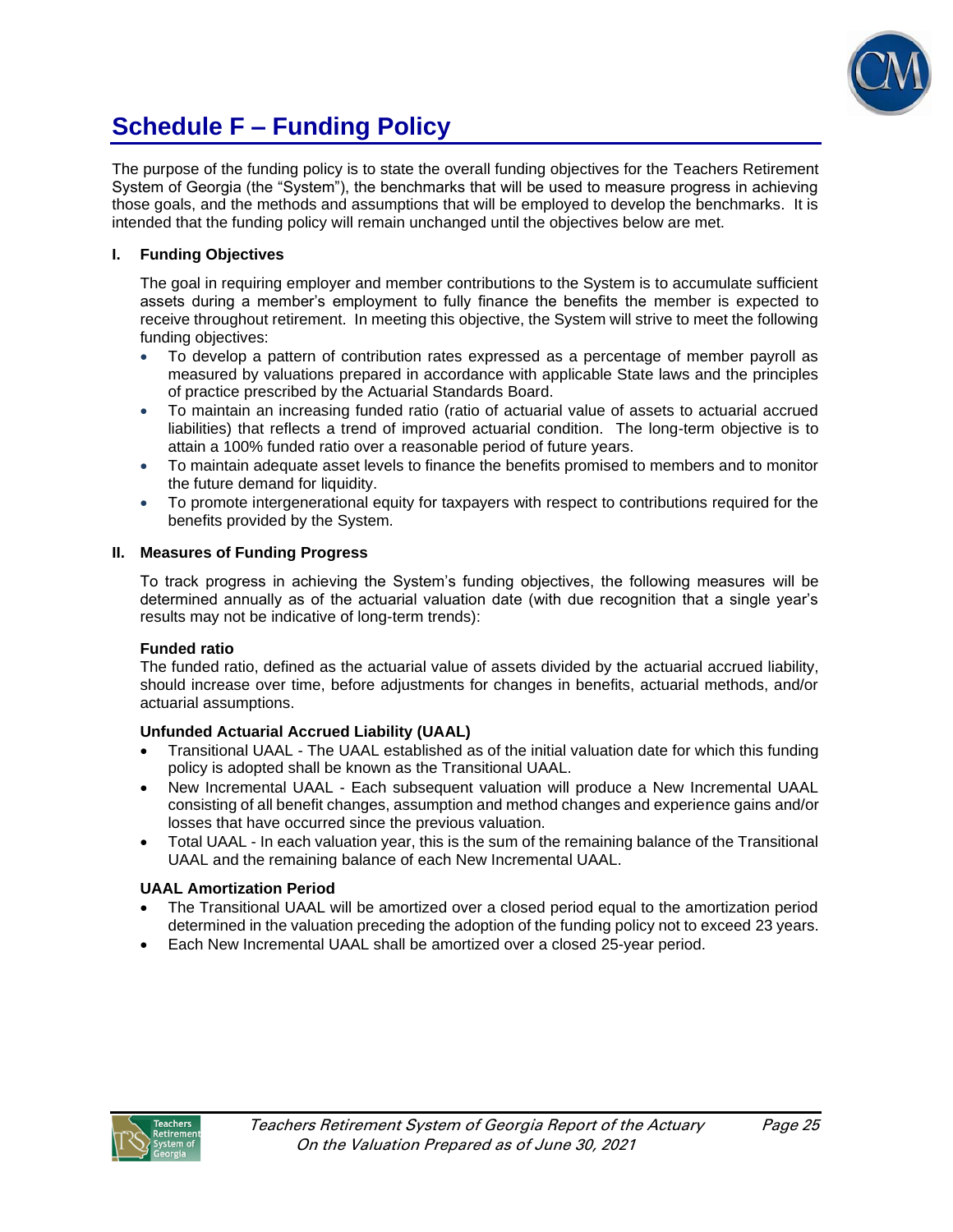

# **Schedule F – Funding Policy**

The purpose of the funding policy is to state the overall funding objectives for the Teachers Retirement System of Georgia (the "System"), the benchmarks that will be used to measure progress in achieving those goals, and the methods and assumptions that will be employed to develop the benchmarks. It is intended that the funding policy will remain unchanged until the objectives below are met.

## **I. Funding Objectives**

The goal in requiring employer and member contributions to the System is to accumulate sufficient assets during a member's employment to fully finance the benefits the member is expected to receive throughout retirement. In meeting this objective, the System will strive to meet the following funding objectives:

- To develop a pattern of contribution rates expressed as a percentage of member payroll as measured by valuations prepared in accordance with applicable State laws and the principles of practice prescribed by the Actuarial Standards Board.
- To maintain an increasing funded ratio (ratio of actuarial value of assets to actuarial accrued liabilities) that reflects a trend of improved actuarial condition. The long-term objective is to attain a 100% funded ratio over a reasonable period of future years.
- To maintain adequate asset levels to finance the benefits promised to members and to monitor the future demand for liquidity.
- To promote intergenerational equity for taxpayers with respect to contributions required for the benefits provided by the System.

#### **II. Measures of Funding Progress**

To track progress in achieving the System's funding objectives, the following measures will be determined annually as of the actuarial valuation date (with due recognition that a single year's results may not be indicative of long-term trends):

#### **Funded ratio**

The funded ratio, defined as the actuarial value of assets divided by the actuarial accrued liability, should increase over time, before adjustments for changes in benefits, actuarial methods, and/or actuarial assumptions.

## **Unfunded Actuarial Accrued Liability (UAAL)**

- Transitional UAAL The UAAL established as of the initial valuation date for which this funding policy is adopted shall be known as the Transitional UAAL.
- New Incremental UAAL Each subsequent valuation will produce a New Incremental UAAL consisting of all benefit changes, assumption and method changes and experience gains and/or losses that have occurred since the previous valuation.
- Total UAAL In each valuation year, this is the sum of the remaining balance of the Transitional UAAL and the remaining balance of each New Incremental UAAL.

## **UAAL Amortization Period**

- The Transitional UAAL will be amortized over a closed period equal to the amortization period determined in the valuation preceding the adoption of the funding policy not to exceed 23 years.
- Each New Incremental UAAL shall be amortized over a closed 25-year period.

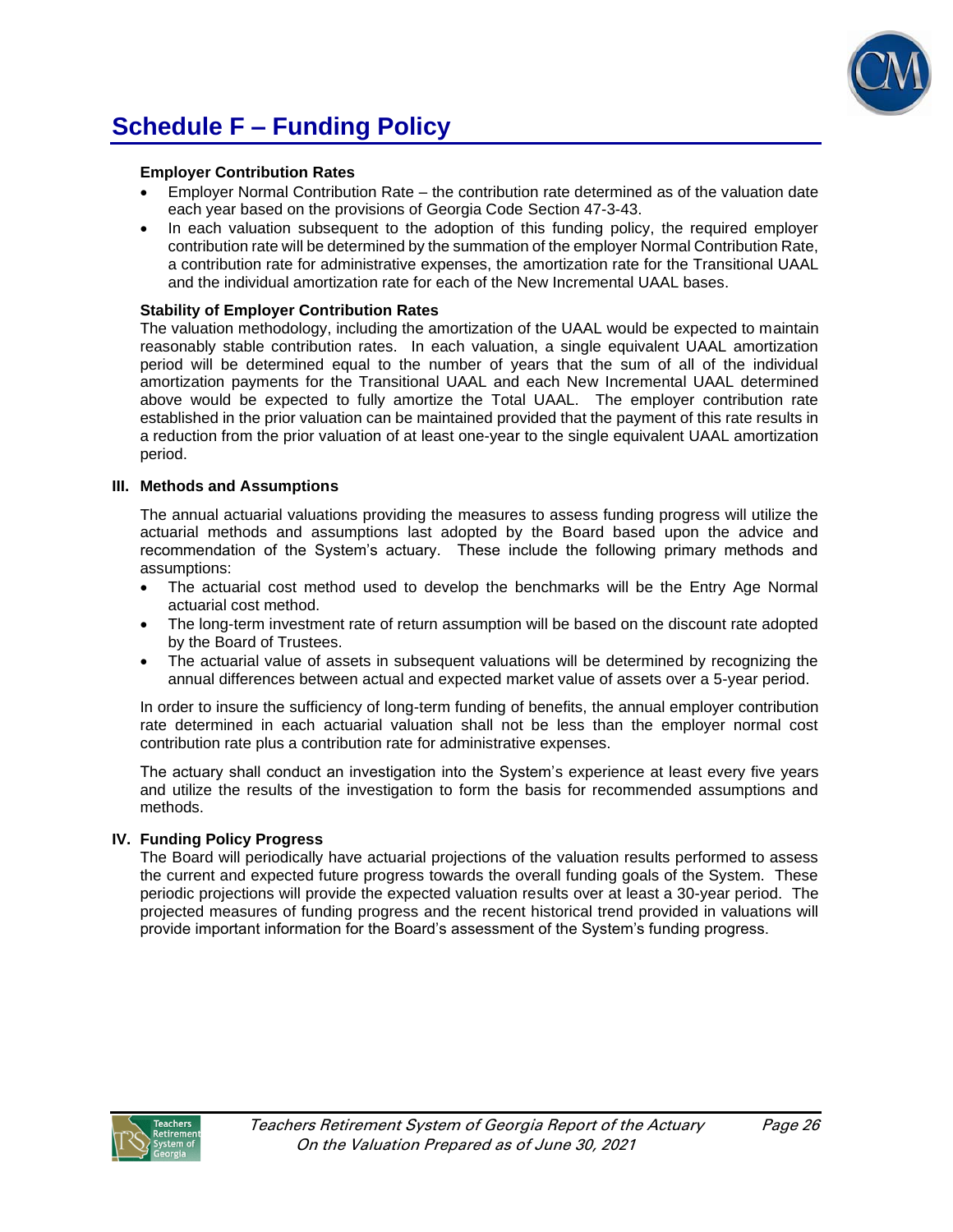

# **Schedule F – Funding Policy**

#### **Employer Contribution Rates**

- Employer Normal Contribution Rate the contribution rate determined as of the valuation date each year based on the provisions of Georgia Code Section 47-3-43.
- In each valuation subsequent to the adoption of this funding policy, the required employer contribution rate will be determined by the summation of the employer Normal Contribution Rate, a contribution rate for administrative expenses, the amortization rate for the Transitional UAAL and the individual amortization rate for each of the New Incremental UAAL bases.

#### **Stability of Employer Contribution Rates**

The valuation methodology, including the amortization of the UAAL would be expected to maintain reasonably stable contribution rates. In each valuation, a single equivalent UAAL amortization period will be determined equal to the number of years that the sum of all of the individual amortization payments for the Transitional UAAL and each New Incremental UAAL determined above would be expected to fully amortize the Total UAAL. The employer contribution rate established in the prior valuation can be maintained provided that the payment of this rate results in a reduction from the prior valuation of at least one-year to the single equivalent UAAL amortization period.

#### **III. Methods and Assumptions**

The annual actuarial valuations providing the measures to assess funding progress will utilize the actuarial methods and assumptions last adopted by the Board based upon the advice and recommendation of the System's actuary. These include the following primary methods and assumptions:

- The actuarial cost method used to develop the benchmarks will be the Entry Age Normal actuarial cost method.
- The long-term investment rate of return assumption will be based on the discount rate adopted by the Board of Trustees.
- The actuarial value of assets in subsequent valuations will be determined by recognizing the annual differences between actual and expected market value of assets over a 5-year period.

In order to insure the sufficiency of long-term funding of benefits, the annual employer contribution rate determined in each actuarial valuation shall not be less than the employer normal cost contribution rate plus a contribution rate for administrative expenses.

The actuary shall conduct an investigation into the System's experience at least every five years and utilize the results of the investigation to form the basis for recommended assumptions and methods.

#### **IV. Funding Policy Progress**

The Board will periodically have actuarial projections of the valuation results performed to assess the current and expected future progress towards the overall funding goals of the System. These periodic projections will provide the expected valuation results over at least a 30-year period. The projected measures of funding progress and the recent historical trend provided in valuations will provide important information for the Board's assessment of the System's funding progress.

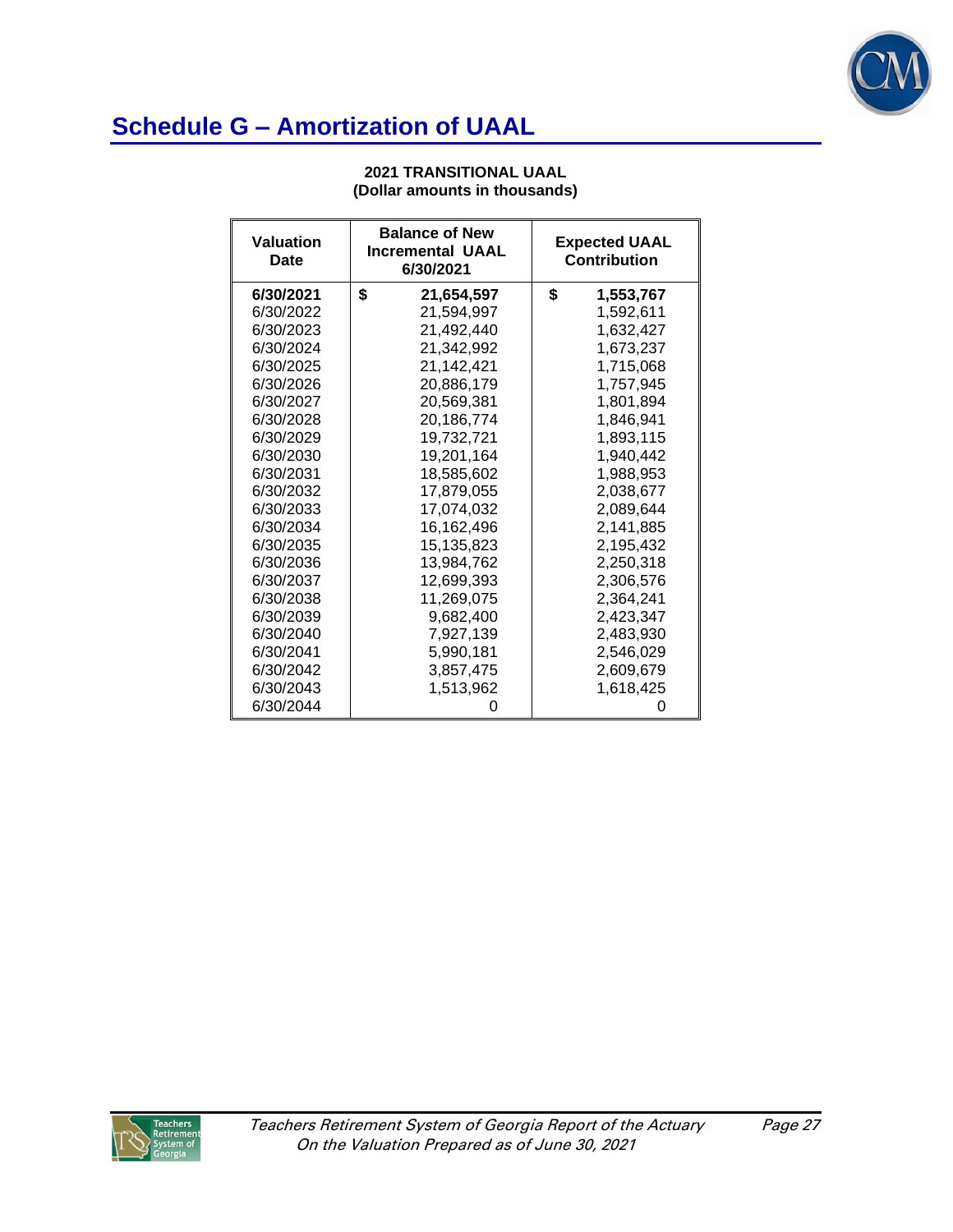

# **Schedule G – Amortization of UAAL**

| <b>Valuation</b><br>Date | <b>Balance of New</b><br><b>Incremental UAAL</b><br>6/30/2021 | <b>Expected UAAL</b><br>Contribution |
|--------------------------|---------------------------------------------------------------|--------------------------------------|
| 6/30/2021                | \$<br>21,654,597                                              | \$<br>1,553,767                      |
| 6/30/2022                | 21.594.997                                                    | 1,592,611                            |
| 6/30/2023                | 21,492,440                                                    | 1,632,427                            |
| 6/30/2024                | 21,342,992                                                    | 1,673,237                            |
| 6/30/2025                | 21,142,421                                                    | 1,715,068                            |
| 6/30/2026                | 20,886,179                                                    | 1,757,945                            |
| 6/30/2027                | 20,569,381                                                    | 1,801,894                            |
| 6/30/2028                | 20.186.774                                                    | 1,846,941                            |
| 6/30/2029                | 19,732,721                                                    | 1,893,115                            |
| 6/30/2030                | 19,201,164                                                    | 1,940,442                            |
| 6/30/2031                | 18,585,602                                                    | 1,988,953                            |
| 6/30/2032                | 17,879,055                                                    | 2,038,677                            |
| 6/30/2033                | 17,074,032                                                    | 2,089,644                            |
| 6/30/2034                | 16,162,496                                                    | 2,141,885                            |
| 6/30/2035                | 15,135,823                                                    | 2,195,432                            |
| 6/30/2036                | 13,984,762                                                    | 2,250,318                            |
| 6/30/2037                | 12,699,393                                                    | 2,306,576                            |
| 6/30/2038                | 11,269,075                                                    | 2,364,241                            |
| 6/30/2039                | 9,682,400                                                     | 2,423,347                            |
| 6/30/2040                | 7,927,139                                                     | 2,483,930                            |
| 6/30/2041                | 5.990.181                                                     | 2,546,029                            |
| 6/30/2042                | 3,857,475                                                     | 2,609,679                            |
| 6/30/2043                | 1,513,962                                                     | 1,618,425                            |
| 6/30/2044                |                                                               |                                      |

#### **2021 TRANSITIONAL UAAL (Dollar amounts in thousands)**

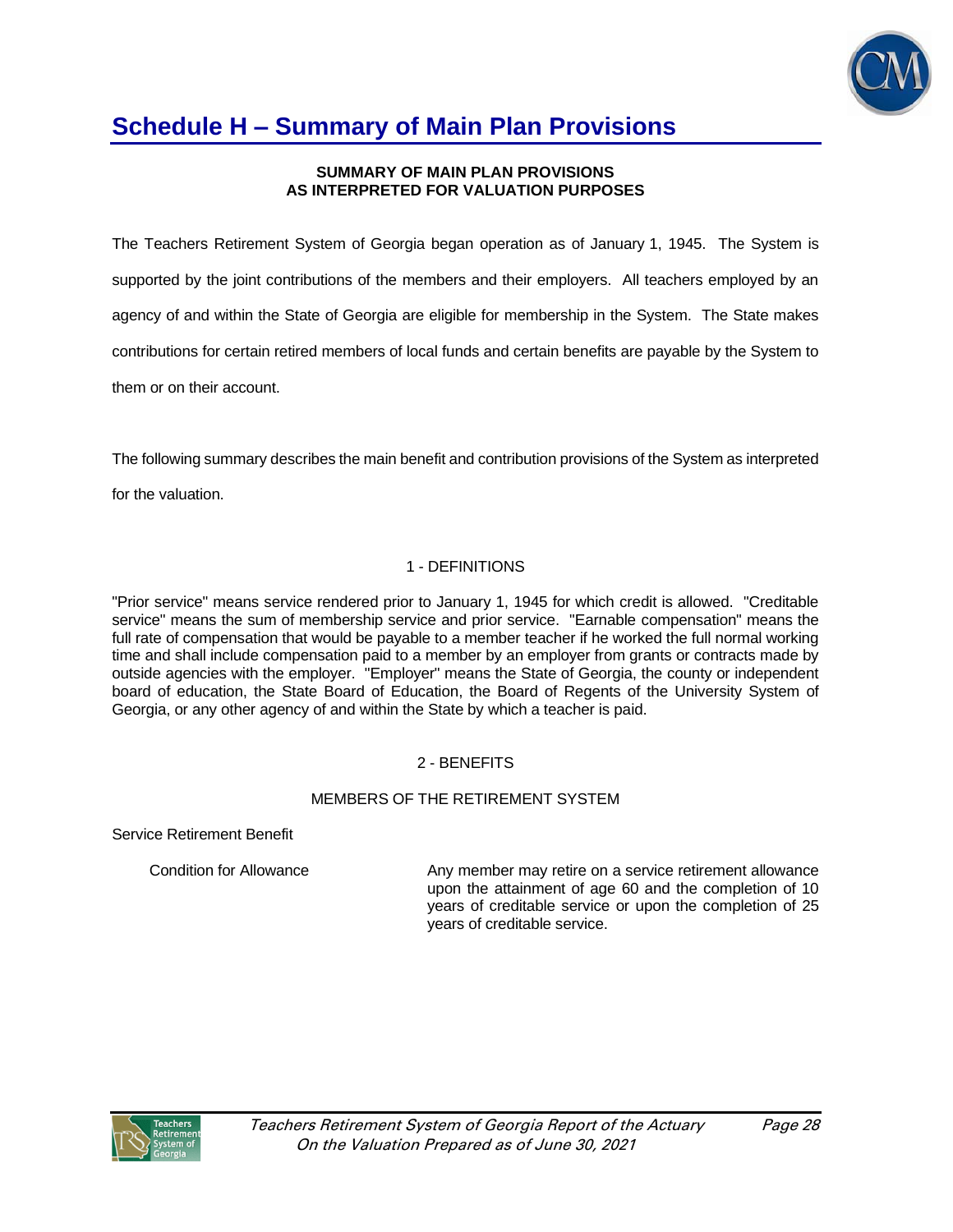

### **SUMMARY OF MAIN PLAN PROVISIONS AS INTERPRETED FOR VALUATION PURPOSES**

The Teachers Retirement System of Georgia began operation as of January 1, 1945. The System is supported by the joint contributions of the members and their employers. All teachers employed by an agency of and within the State of Georgia are eligible for membership in the System. The State makes contributions for certain retired members of local funds and certain benefits are payable by the System to them or on their account.

The following summary describes the main benefit and contribution provisions of the System as interpreted

for the valuation.

## 1 - DEFINITIONS

"Prior service" means service rendered prior to January 1, 1945 for which credit is allowed. "Creditable service" means the sum of membership service and prior service. "Earnable compensation" means the full rate of compensation that would be payable to a member teacher if he worked the full normal working time and shall include compensation paid to a member by an employer from grants or contracts made by outside agencies with the employer. "Employer" means the State of Georgia, the county or independent board of education, the State Board of Education, the Board of Regents of the University System of Georgia, or any other agency of and within the State by which a teacher is paid.

## 2 - BENEFITS

## MEMBERS OF THE RETIREMENT SYSTEM

Service Retirement Benefit

Condition for Allowance Any member may retire on a service retirement allowance upon the attainment of age 60 and the completion of 10 years of creditable service or upon the completion of 25 years of creditable service.

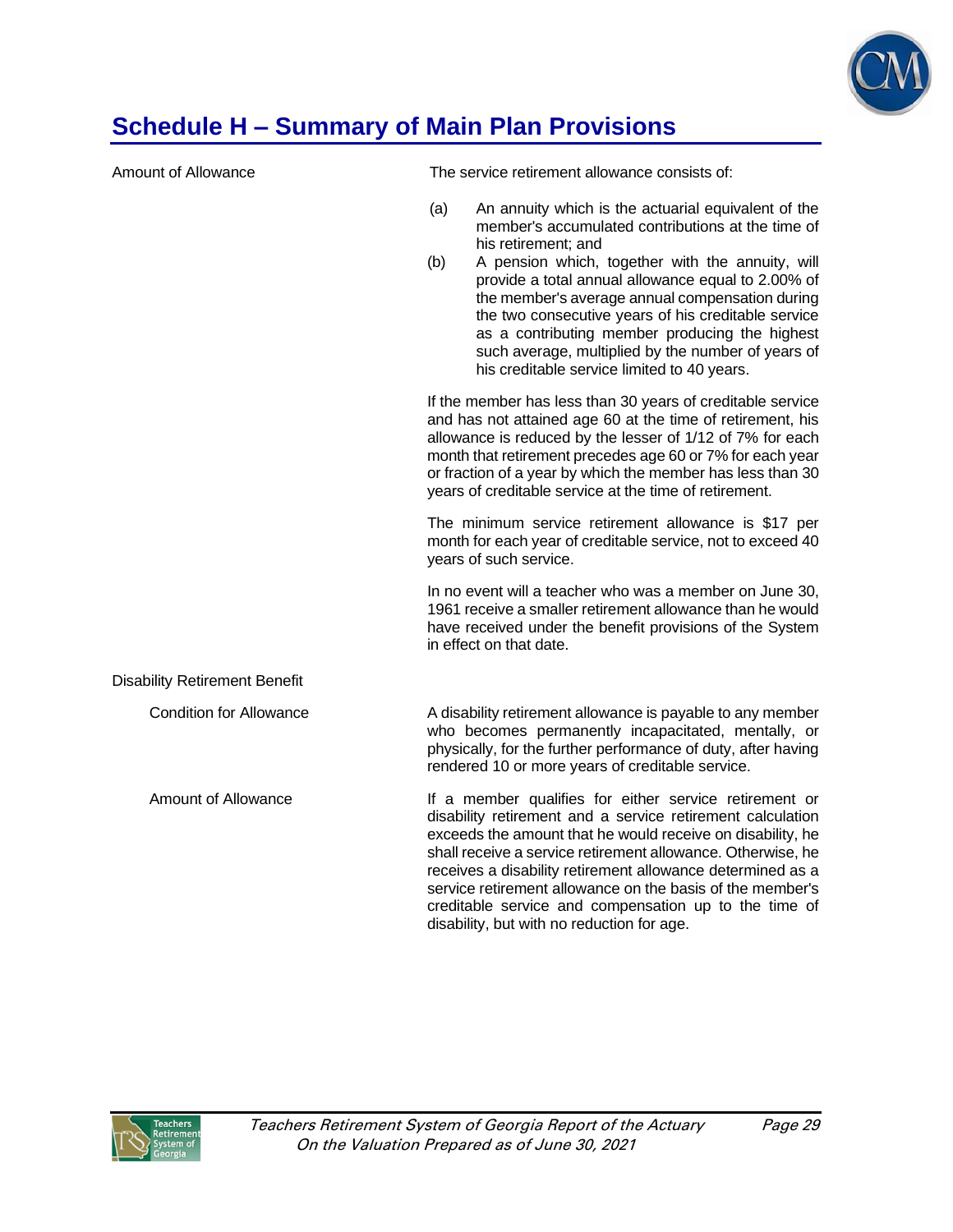

| Amount of Allowance                  | The service retirement allowance consists of:                                                                                                                                                                                                                                                                                                                                                                                                                                                                            |  |  |  |  |
|--------------------------------------|--------------------------------------------------------------------------------------------------------------------------------------------------------------------------------------------------------------------------------------------------------------------------------------------------------------------------------------------------------------------------------------------------------------------------------------------------------------------------------------------------------------------------|--|--|--|--|
|                                      | (a)<br>An annuity which is the actuarial equivalent of the<br>member's accumulated contributions at the time of<br>his retirement; and<br>A pension which, together with the annuity, will<br>(b)<br>provide a total annual allowance equal to 2.00% of<br>the member's average annual compensation during<br>the two consecutive years of his creditable service<br>as a contributing member producing the highest<br>such average, multiplied by the number of years of<br>his creditable service limited to 40 years. |  |  |  |  |
|                                      | If the member has less than 30 years of creditable service<br>and has not attained age 60 at the time of retirement, his<br>allowance is reduced by the lesser of 1/12 of 7% for each<br>month that retirement precedes age 60 or 7% for each year<br>or fraction of a year by which the member has less than 30<br>years of creditable service at the time of retirement.                                                                                                                                               |  |  |  |  |
|                                      | The minimum service retirement allowance is \$17 per<br>month for each year of creditable service, not to exceed 40<br>years of such service.                                                                                                                                                                                                                                                                                                                                                                            |  |  |  |  |
|                                      | In no event will a teacher who was a member on June 30,<br>1961 receive a smaller retirement allowance than he would<br>have received under the benefit provisions of the System<br>in effect on that date.                                                                                                                                                                                                                                                                                                              |  |  |  |  |
| <b>Disability Retirement Benefit</b> |                                                                                                                                                                                                                                                                                                                                                                                                                                                                                                                          |  |  |  |  |
| <b>Condition for Allowance</b>       | A disability retirement allowance is payable to any member<br>who becomes permanently incapacitated, mentally, or<br>physically, for the further performance of duty, after having<br>rendered 10 or more years of creditable service.                                                                                                                                                                                                                                                                                   |  |  |  |  |
| Amount of Allowance                  | If a member qualifies for either service retirement or<br>disability retirement and a service retirement calculation<br>exceeds the amount that he would receive on disability, he<br>shall receive a service retirement allowance. Otherwise, he<br>receives a disability retirement allowance determined as a<br>service retirement allowance on the basis of the member's<br>creditable service and compensation up to the time of<br>disability, but with no reduction for age.                                      |  |  |  |  |

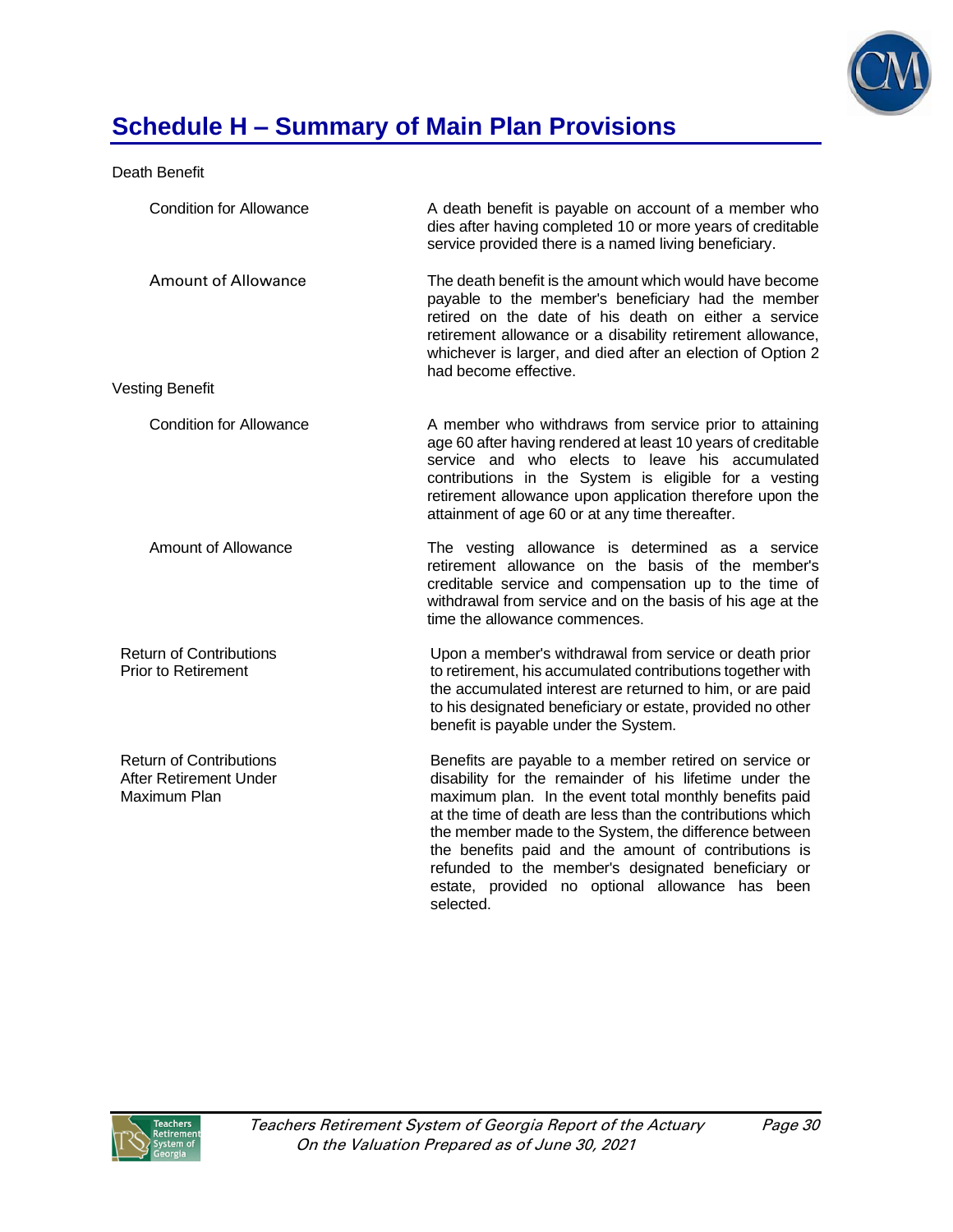

### Death Benefit

| <b>Condition for Allowance</b>                                           | A death benefit is payable on account of a member who<br>dies after having completed 10 or more years of creditable<br>service provided there is a named living beneficiary.                                                                                                                                                                                                                                                                                                    |
|--------------------------------------------------------------------------|---------------------------------------------------------------------------------------------------------------------------------------------------------------------------------------------------------------------------------------------------------------------------------------------------------------------------------------------------------------------------------------------------------------------------------------------------------------------------------|
| <b>Amount of Allowance</b>                                               | The death benefit is the amount which would have become<br>payable to the member's beneficiary had the member<br>retired on the date of his death on either a service<br>retirement allowance or a disability retirement allowance,<br>whichever is larger, and died after an election of Option 2<br>had become effective.                                                                                                                                                     |
| Vesting Benefit                                                          |                                                                                                                                                                                                                                                                                                                                                                                                                                                                                 |
| <b>Condition for Allowance</b>                                           | A member who withdraws from service prior to attaining<br>age 60 after having rendered at least 10 years of creditable<br>service and who elects to leave his accumulated<br>contributions in the System is eligible for a vesting<br>retirement allowance upon application therefore upon the<br>attainment of age 60 or at any time thereafter.                                                                                                                               |
| Amount of Allowance                                                      | The vesting allowance is determined as a service<br>retirement allowance on the basis of the member's<br>creditable service and compensation up to the time of<br>withdrawal from service and on the basis of his age at the<br>time the allowance commences.                                                                                                                                                                                                                   |
| <b>Return of Contributions</b><br><b>Prior to Retirement</b>             | Upon a member's withdrawal from service or death prior<br>to retirement, his accumulated contributions together with<br>the accumulated interest are returned to him, or are paid<br>to his designated beneficiary or estate, provided no other<br>benefit is payable under the System.                                                                                                                                                                                         |
| <b>Return of Contributions</b><br>After Retirement Under<br>Maximum Plan | Benefits are payable to a member retired on service or<br>disability for the remainder of his lifetime under the<br>maximum plan. In the event total monthly benefits paid<br>at the time of death are less than the contributions which<br>the member made to the System, the difference between<br>the benefits paid and the amount of contributions is<br>refunded to the member's designated beneficiary or<br>estate, provided no optional allowance has been<br>selected. |

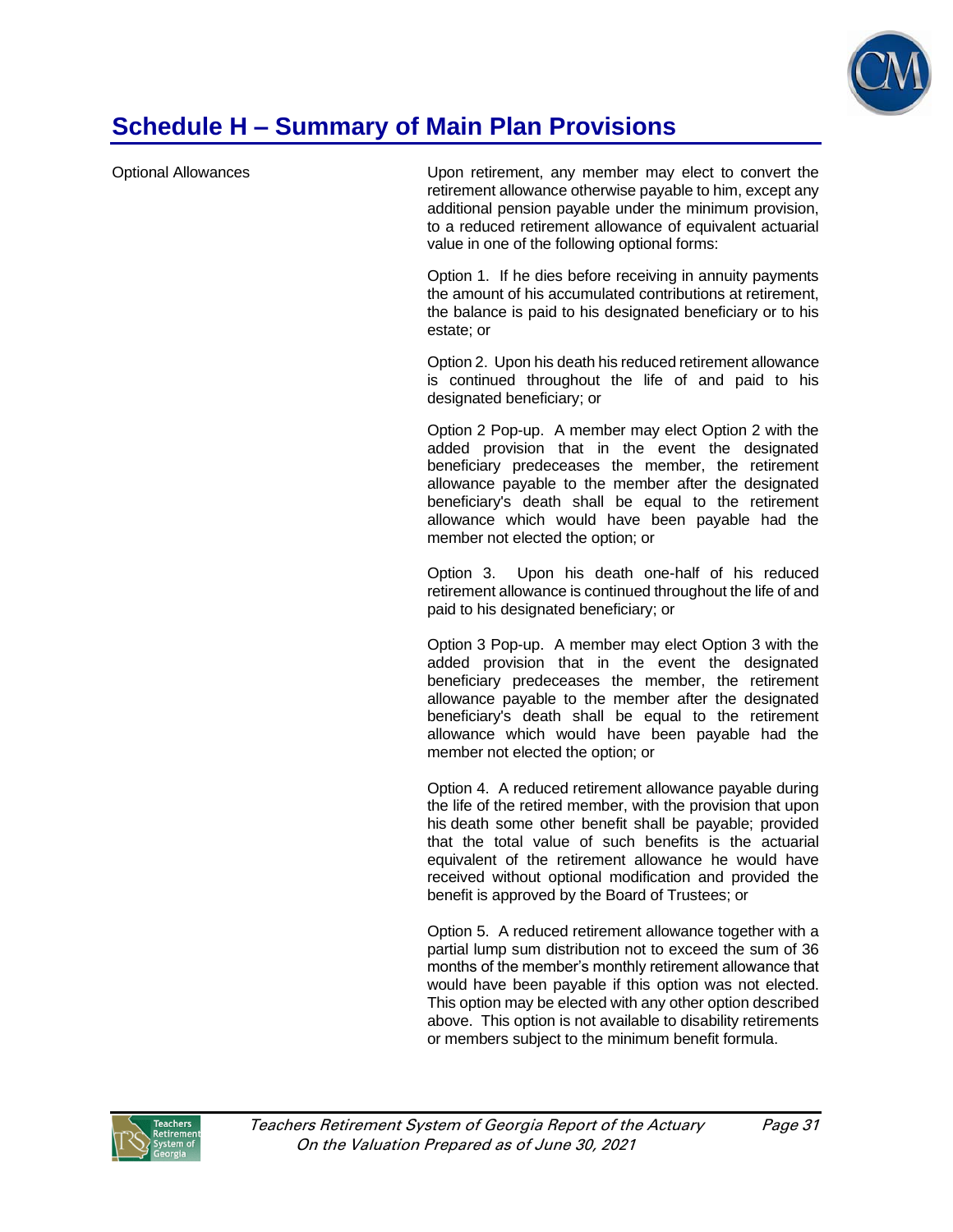

Optional Allowances Upon retirement, any member may elect to convert the retirement allowance otherwise payable to him, except any additional pension payable under the minimum provision, to a reduced retirement allowance of equivalent actuarial value in one of the following optional forms:

> Option 1. If he dies before receiving in annuity payments the amount of his accumulated contributions at retirement, the balance is paid to his designated beneficiary or to his estate; or

> Option 2. Upon his death his reduced retirement allowance is continued throughout the life of and paid to his designated beneficiary; or

> Option 2 Pop-up. A member may elect Option 2 with the added provision that in the event the designated beneficiary predeceases the member, the retirement allowance payable to the member after the designated beneficiary's death shall be equal to the retirement allowance which would have been payable had the member not elected the option; or

> Option 3. Upon his death one-half of his reduced retirement allowance is continued throughout the life of and paid to his designated beneficiary; or

> Option 3 Pop-up. A member may elect Option 3 with the added provision that in the event the designated beneficiary predeceases the member, the retirement allowance payable to the member after the designated beneficiary's death shall be equal to the retirement allowance which would have been payable had the member not elected the option; or

> Option 4. A reduced retirement allowance payable during the life of the retired member, with the provision that upon his death some other benefit shall be payable; provided that the total value of such benefits is the actuarial equivalent of the retirement allowance he would have received without optional modification and provided the benefit is approved by the Board of Trustees; or

> Option 5. A reduced retirement allowance together with a partial lump sum distribution not to exceed the sum of 36 months of the member's monthly retirement allowance that would have been payable if this option was not elected. This option may be elected with any other option described above. This option is not available to disability retirements or members subject to the minimum benefit formula.

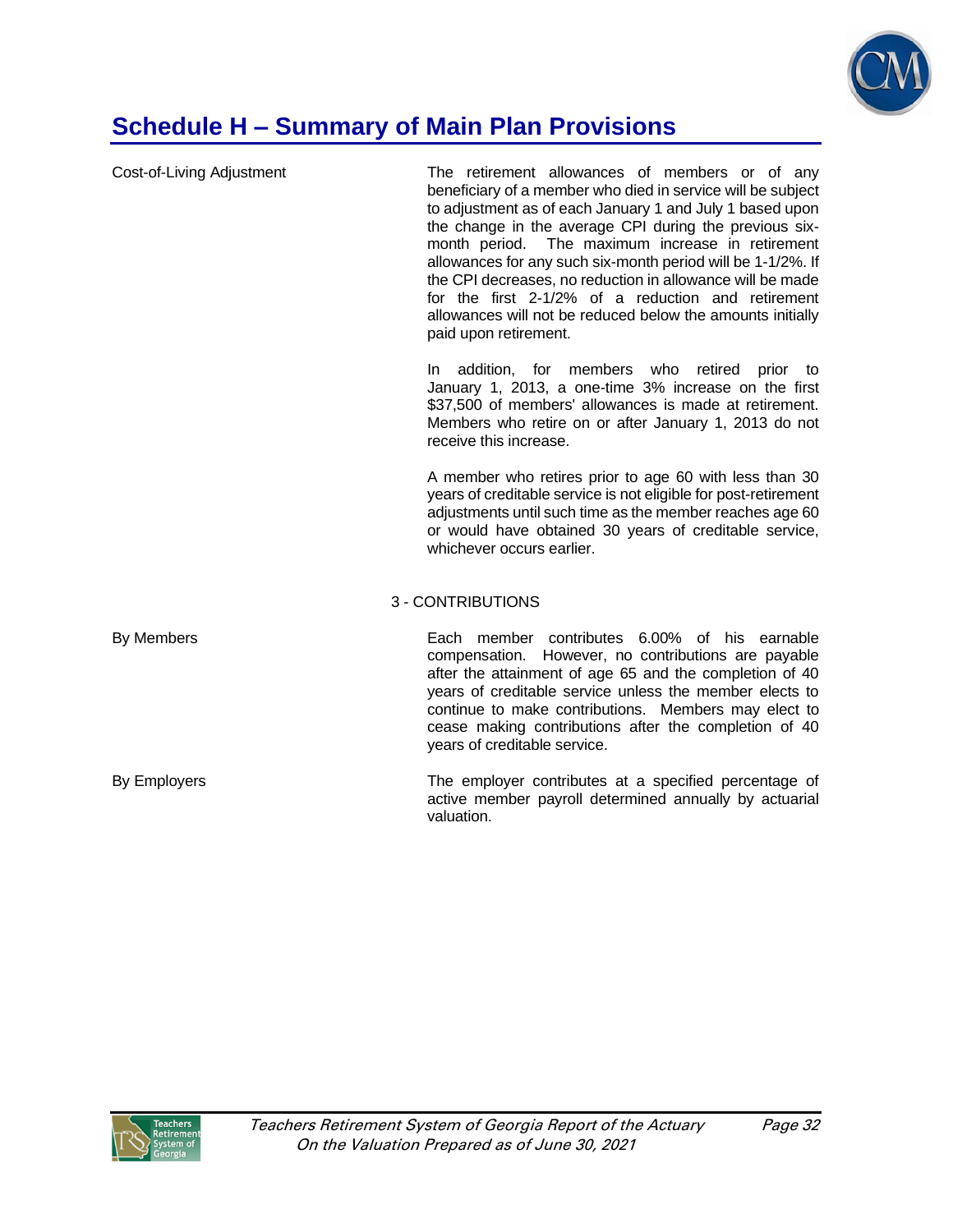

| Cost-of-Living Adjustment | The retirement allowances of members or of any<br>beneficiary of a member who died in service will be subject<br>to adjustment as of each January 1 and July 1 based upon<br>the change in the average CPI during the previous six-<br>month period. The maximum increase in retirement<br>allowances for any such six-month period will be 1-1/2%. If<br>the CPI decreases, no reduction in allowance will be made<br>for the first 2-1/2% of a reduction and retirement<br>allowances will not be reduced below the amounts initially<br>paid upon retirement. |
|---------------------------|------------------------------------------------------------------------------------------------------------------------------------------------------------------------------------------------------------------------------------------------------------------------------------------------------------------------------------------------------------------------------------------------------------------------------------------------------------------------------------------------------------------------------------------------------------------|
|                           | addition, for members who retired<br>prior<br>In.<br>to<br>January 1, 2013, a one-time 3% increase on the first<br>\$37,500 of members' allowances is made at retirement.<br>Members who retire on or after January 1, 2013 do not<br>receive this increase.                                                                                                                                                                                                                                                                                                     |
|                           | A member who retires prior to age 60 with less than 30<br>years of creditable service is not eligible for post-retirement<br>adjustments until such time as the member reaches age 60<br>or would have obtained 30 years of creditable service,<br>whichever occurs earlier.                                                                                                                                                                                                                                                                                     |
|                           | 3 - CONTRIBUTIONS                                                                                                                                                                                                                                                                                                                                                                                                                                                                                                                                                |
| By Members                | Each member contributes 6.00% of his earnable<br>compensation. However, no contributions are payable<br>after the attainment of age 65 and the completion of 40<br>years of creditable service unless the member elects to<br>continue to make contributions. Members may elect to<br>cease making contributions after the completion of 40<br>years of creditable service.                                                                                                                                                                                      |
| By Employers              | The employer contributes at a specified percentage of<br>active member payroll determined annually by actuarial<br>valuation.                                                                                                                                                                                                                                                                                                                                                                                                                                    |

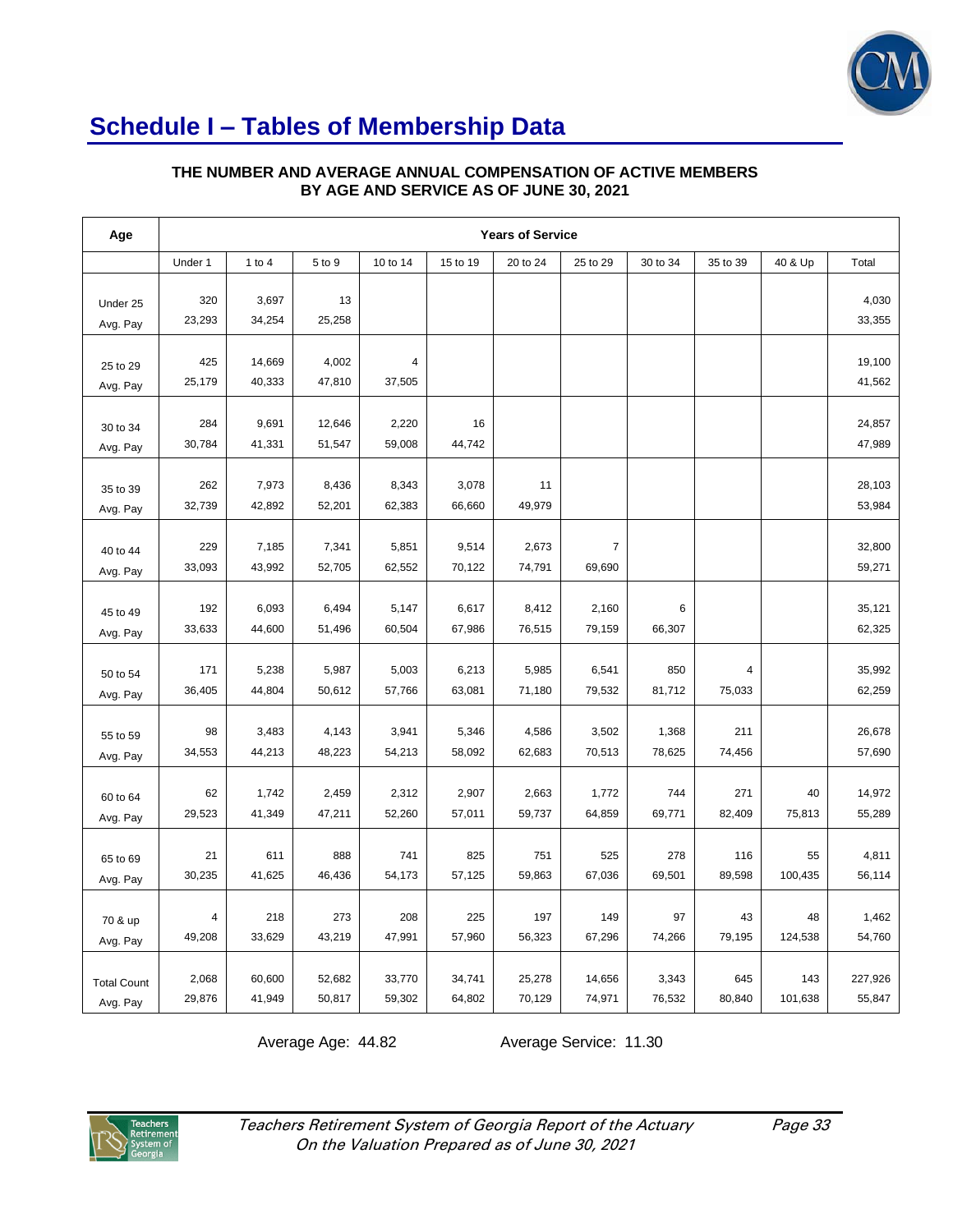

# **Schedule I – Tables of Membership Data**

#### **THE NUMBER AND AVERAGE ANNUAL COMPENSATION OF ACTIVE MEMBERS BY AGE AND SERVICE AS OF JUNE 30, 2021**

| Age                            | <b>Years of Service</b> |                  |                  |                  |                  |                  |                            |                 |               |                |                   |
|--------------------------------|-------------------------|------------------|------------------|------------------|------------------|------------------|----------------------------|-----------------|---------------|----------------|-------------------|
|                                | Under 1                 | 1 to $4$         | 5 to 9           | 10 to 14         | 15 to 19         | 20 to 24         | 25 to 29                   | 30 to 34        | 35 to 39      | 40 & Up        | Total             |
| Under 25<br>Avg. Pay           | 320<br>23,293           | 3,697<br>34,254  | 13<br>25,258     |                  |                  |                  |                            |                 |               |                | 4,030<br>33,355   |
| 25 to 29<br>Avg. Pay           | 425<br>25,179           | 14,669<br>40,333 | 4,002<br>47,810  | 4<br>37,505      |                  |                  |                            |                 |               |                | 19,100<br>41,562  |
| 30 to 34<br>Avg. Pay           | 284<br>30,784           | 9,691<br>41,331  | 12,646<br>51,547 | 2,220<br>59,008  | 16<br>44,742     |                  |                            |                 |               |                | 24,857<br>47,989  |
| 35 to 39<br>Avg. Pay           | 262<br>32,739           | 7,973<br>42,892  | 8,436<br>52,201  | 8,343<br>62,383  | 3,078<br>66,660  | 11<br>49,979     |                            |                 |               |                | 28,103<br>53,984  |
| 40 to 44<br>Avg. Pay           | 229<br>33,093           | 7,185<br>43,992  | 7,341<br>52,705  | 5,851<br>62,552  | 9,514<br>70,122  | 2,673<br>74,791  | $\boldsymbol{7}$<br>69,690 |                 |               |                | 32,800<br>59,271  |
| 45 to 49<br>Avg. Pay           | 192<br>33,633           | 6,093<br>44,600  | 6,494<br>51,496  | 5,147<br>60,504  | 6,617<br>67,986  | 8,412<br>76,515  | 2,160<br>79,159            | 6<br>66,307     |               |                | 35,121<br>62,325  |
| 50 to 54<br>Avg. Pay           | 171<br>36,405           | 5,238<br>44,804  | 5,987<br>50,612  | 5,003<br>57,766  | 6,213<br>63,081  | 5,985<br>71,180  | 6,541<br>79,532            | 850<br>81,712   | 4<br>75,033   |                | 35,992<br>62,259  |
| 55 to 59<br>Avg. Pay           | 98<br>34,553            | 3,483<br>44,213  | 4,143<br>48,223  | 3,941<br>54,213  | 5,346<br>58,092  | 4,586<br>62,683  | 3,502<br>70,513            | 1,368<br>78,625 | 211<br>74,456 |                | 26,678<br>57,690  |
| 60 to 64<br>Avg. Pay           | 62<br>29,523            | 1,742<br>41,349  | 2,459<br>47,211  | 2,312<br>52,260  | 2,907<br>57,011  | 2,663<br>59,737  | 1,772<br>64,859            | 744<br>69,771   | 271<br>82,409 | 40<br>75,813   | 14,972<br>55,289  |
| 65 to 69<br>Avg. Pay           | 21<br>30,235            | 611<br>41,625    | 888<br>46,436    | 741<br>54,173    | 825<br>57,125    | 751<br>59,863    | 525<br>67,036              | 278<br>69,501   | 116<br>89,598 | 55<br>100,435  | 4,811<br>56,114   |
| 70 & up<br>Avg. Pay            | 4<br>49,208             | 218<br>33,629    | 273<br>43,219    | 208<br>47,991    | 225<br>57,960    | 197<br>56,323    | 149<br>67,296              | 97<br>74,266    | 43<br>79,195  | 48<br>124,538  | 1,462<br>54,760   |
| <b>Total Count</b><br>Avg. Pay | 2,068<br>29,876         | 60,600<br>41,949 | 52,682<br>50,817 | 33,770<br>59,302 | 34,741<br>64,802 | 25,278<br>70,129 | 14,656<br>74,971           | 3,343<br>76,532 | 645<br>80,840 | 143<br>101,638 | 227,926<br>55,847 |

Average Age: 44.82 Average Service: 11.30

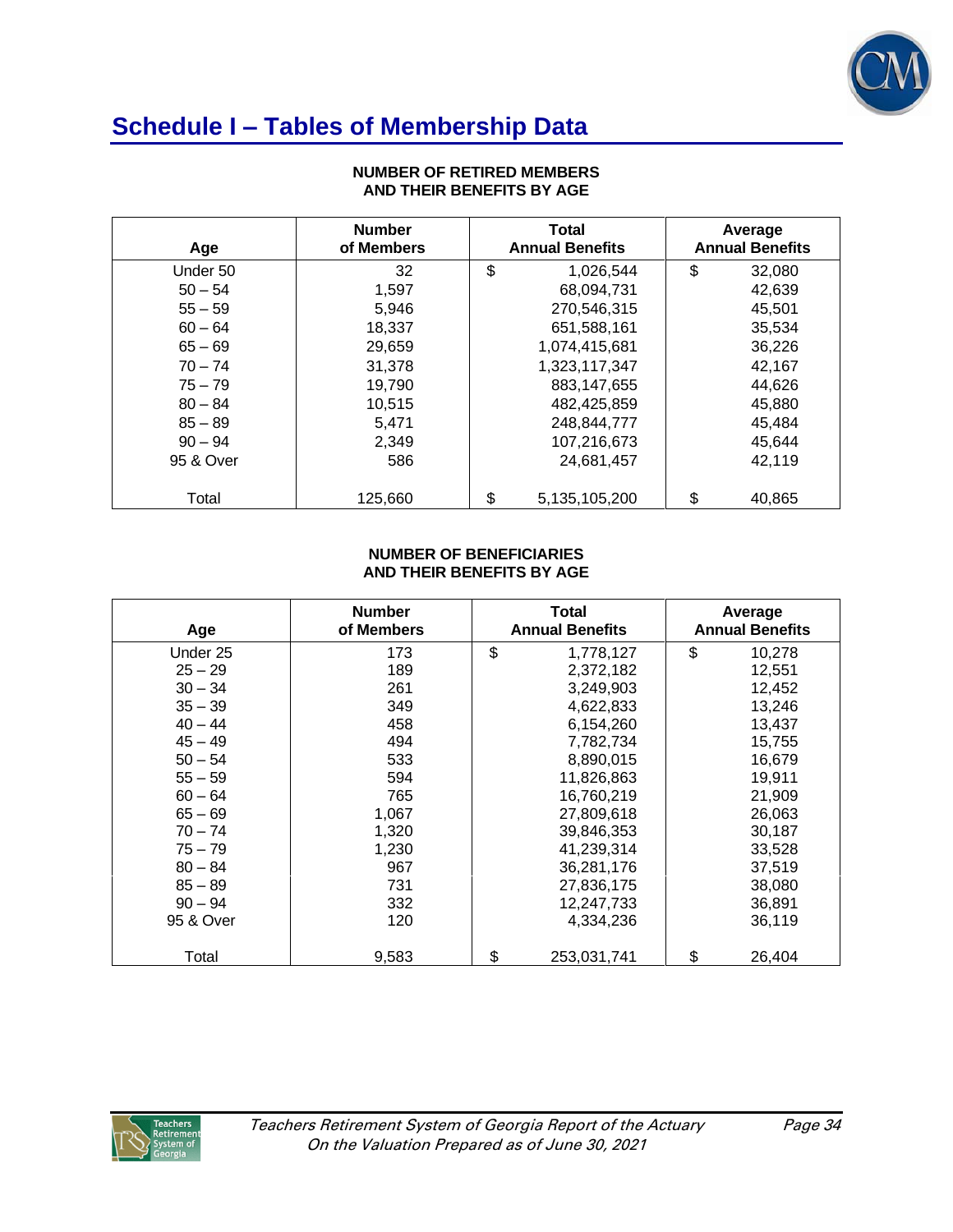

## **Schedule I – Tables of Membership Data**

| Age       | <b>Number</b><br>of Members | <b>Total</b><br><b>Annual Benefits</b> |    | Average<br><b>Annual Benefits</b> |
|-----------|-----------------------------|----------------------------------------|----|-----------------------------------|
| Under 50  | 32                          | \$<br>1,026,544                        | \$ | 32,080                            |
| $50 - 54$ | 1,597                       | 68,094,731                             |    | 42,639                            |
| $55 - 59$ | 5,946                       | 270,546,315                            |    | 45,501                            |
| $60 - 64$ | 18,337                      | 651,588,161                            |    | 35,534                            |
| $65 - 69$ | 29,659                      | 1,074,415,681                          |    | 36,226                            |
| $70 - 74$ | 31,378                      | 1,323,117,347                          |    | 42,167                            |
| $75 - 79$ | 19,790                      | 883,147,655                            |    | 44,626                            |
| $80 - 84$ | 10,515                      | 482.425.859                            |    | 45,880                            |
| $85 - 89$ | 5,471                       | 248,844,777                            |    | 45,484                            |
| $90 - 94$ | 2,349                       | 107,216,673                            |    | 45.644                            |
| 95 & Over | 586                         | 24,681,457                             |    | 42,119                            |
| Total     | 125,660                     | \$<br>5,135,105,200                    | \$ | 40,865                            |

#### **NUMBER OF RETIRED MEMBERS AND THEIR BENEFITS BY AGE**

### **NUMBER OF BENEFICIARIES AND THEIR BENEFITS BY AGE**

| Age       | <b>Number</b><br>of Members | Total<br><b>Annual Benefits</b> | Average<br><b>Annual Benefits</b> |
|-----------|-----------------------------|---------------------------------|-----------------------------------|
| Under 25  | 173                         | \$<br>1,778,127                 | \$<br>10,278                      |
| $25 - 29$ | 189                         | 2,372,182                       | 12,551                            |
| $30 - 34$ | 261                         | 3,249,903                       | 12,452                            |
| $35 - 39$ | 349                         | 4,622,833                       | 13,246                            |
| $40 - 44$ | 458                         | 6,154,260                       | 13,437                            |
| $45 - 49$ | 494                         | 7,782,734                       | 15,755                            |
| $50 - 54$ | 533                         | 8,890,015                       | 16,679                            |
| $55 - 59$ | 594                         | 11,826,863                      | 19,911                            |
| $60 - 64$ | 765                         | 16,760,219                      | 21,909                            |
| $65 - 69$ | 1,067                       | 27,809,618                      | 26,063                            |
| $70 - 74$ | 1,320                       | 39,846,353                      | 30,187                            |
| $75 - 79$ | 1,230                       | 41,239,314                      | 33,528                            |
| $80 - 84$ | 967                         | 36,281,176                      | 37,519                            |
| $85 - 89$ | 731                         | 27,836,175                      | 38,080                            |
| $90 - 94$ | 332                         | 12,247,733                      | 36,891                            |
| 95 & Over | 120                         | 4,334,236                       | 36,119                            |
| Total     | 9,583                       | \$<br>253,031,741               | \$<br>26,404                      |

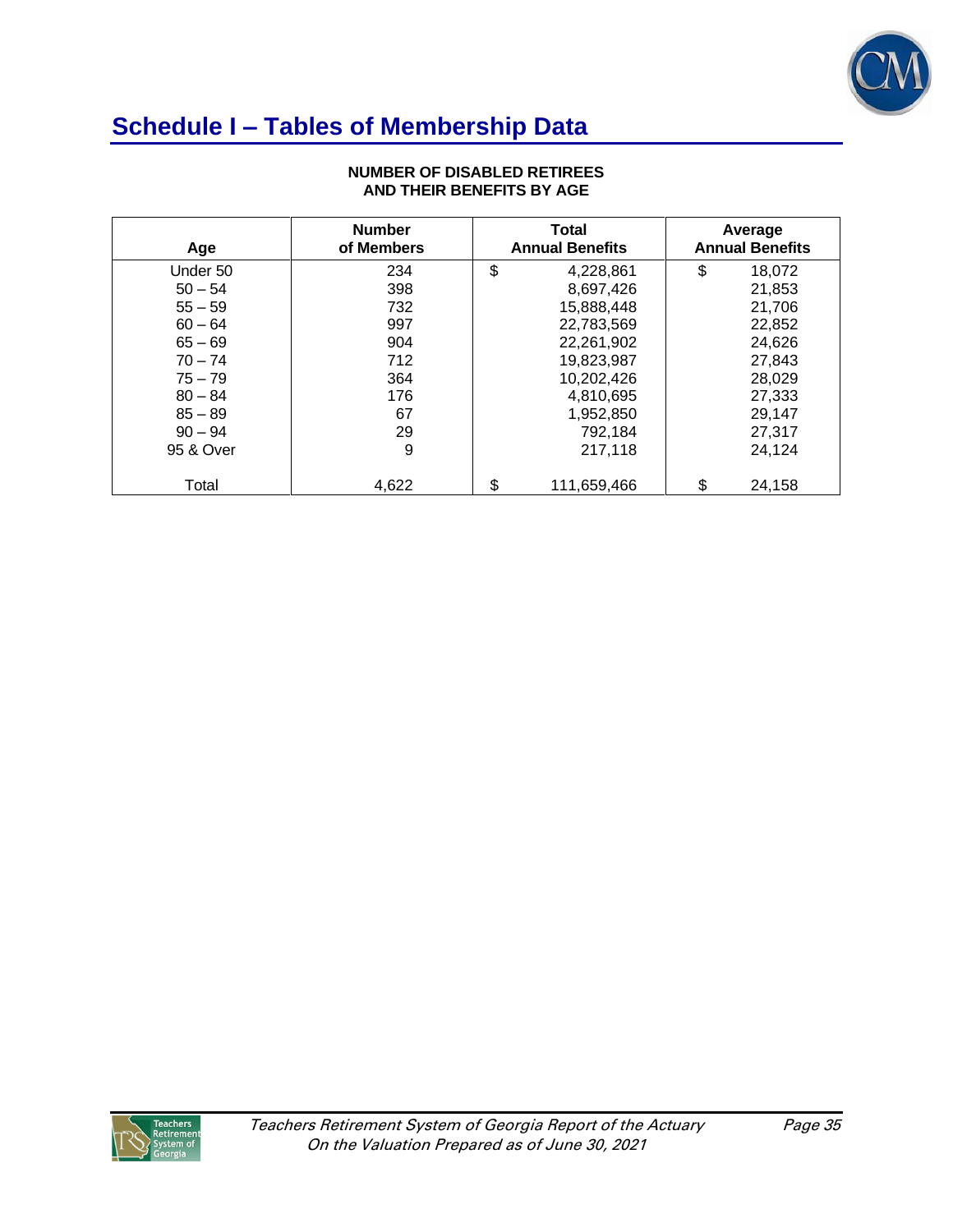

# **Schedule I – Tables of Membership Data**

| Age       | <b>Number</b><br>of Members | <b>Total</b><br><b>Annual Benefits</b> | Average<br><b>Annual Benefits</b> |
|-----------|-----------------------------|----------------------------------------|-----------------------------------|
| Under 50  | 234                         | \$<br>4,228,861                        | \$<br>18,072                      |
| $50 - 54$ | 398                         | 8,697,426                              | 21,853                            |
| $55 - 59$ | 732                         | 15,888,448                             | 21,706                            |
| $60 - 64$ | 997                         | 22.783.569                             | 22,852                            |
| $65 - 69$ | 904                         | 22,261,902                             | 24,626                            |
| $70 - 74$ | 712                         | 19.823.987                             | 27,843                            |
| $75 - 79$ | 364                         | 10.202.426                             | 28,029                            |
| $80 - 84$ | 176                         | 4,810,695                              | 27,333                            |
| $85 - 89$ | 67                          | 1,952,850                              | 29,147                            |
| $90 - 94$ | 29                          | 792.184                                | 27,317                            |
| 95 & Over | 9                           | 217.118                                | 24,124                            |
| Total     | 4,622                       | \$<br>111,659,466                      | \$<br>24,158                      |

### **NUMBER OF DISABLED RETIREES AND THEIR BENEFITS BY AGE**

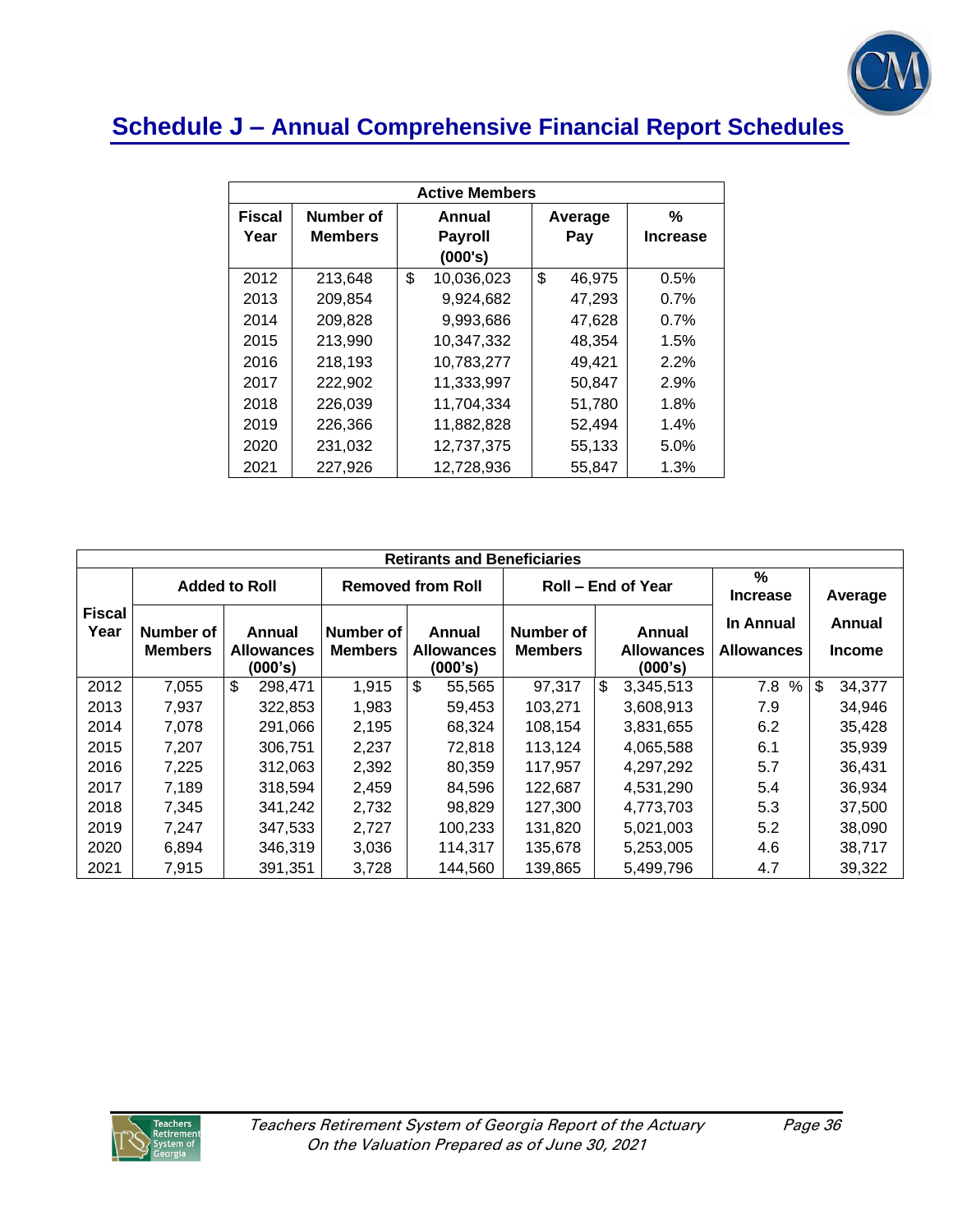

# **Schedule J – Annual Comprehensive Financial Report Schedules**

| <b>Active Members</b> |                             |                                     |                |                      |  |  |  |  |
|-----------------------|-----------------------------|-------------------------------------|----------------|----------------------|--|--|--|--|
| <b>Fiscal</b><br>Year | Number of<br><b>Members</b> | Annual<br><b>Payroll</b><br>(000's) | Average<br>Pay | %<br><b>Increase</b> |  |  |  |  |
| 2012                  | 213,648                     | \$<br>10,036,023                    | \$<br>46,975   | 0.5%                 |  |  |  |  |
| 2013                  | 209,854                     | 9,924,682                           | 47,293         | 0.7%                 |  |  |  |  |
| 2014                  | 209,828                     | 9,993,686                           | 47,628         | 0.7%                 |  |  |  |  |
| 2015                  | 213,990                     | 10,347,332                          | 48,354         | 1.5%                 |  |  |  |  |
| 2016                  | 218,193                     | 10,783,277                          | 49,421         | 2.2%                 |  |  |  |  |
| 2017                  | 222,902                     | 11,333,997                          | 50,847         | 2.9%                 |  |  |  |  |
| 2018                  | 226,039                     | 11,704,334                          | 51,780         | 1.8%                 |  |  |  |  |
| 2019                  | 226,366                     | 11,882,828                          | 52,494         | 1.4%                 |  |  |  |  |
| 2020                  | 231,032                     | 12,737,375                          | 55,133         | 5.0%                 |  |  |  |  |
| 2021                  | 227,926                     | 12,728,936                          | 55,847         | 1.3%                 |  |  |  |  |

|                       | <b>Retirants and Beneficiaries</b> |                                        |                             |                                        |                             |                                        |                                  |                         |  |  |  |
|-----------------------|------------------------------------|----------------------------------------|-----------------------------|----------------------------------------|-----------------------------|----------------------------------------|----------------------------------|-------------------------|--|--|--|
|                       | <b>Added to Roll</b>               |                                        |                             | <b>Removed from Roll</b>               |                             | Roll – End of Year                     | $\frac{9}{6}$<br><b>Increase</b> | Average                 |  |  |  |
| <b>Fiscal</b><br>Year | Number of<br><b>Members</b>        | Annual<br><b>Allowances</b><br>(000's) | Number of<br><b>Members</b> | Annual<br><b>Allowances</b><br>(000's) | Number of<br><b>Members</b> | Annual<br><b>Allowances</b><br>(000's) | In Annual<br><b>Allowances</b>   | Annual<br><b>Income</b> |  |  |  |
| 2012                  | 7,055                              | $\mathfrak{S}$<br>298.471              | 1,915                       | \$<br>55,565                           | 97,317                      | \$<br>3,345,513                        | %<br>7.8                         | \$<br>34,377            |  |  |  |
| 2013                  | 7,937                              | 322,853                                | 1,983                       | 59,453                                 | 103,271                     | 3,608,913                              | 7.9                              | 34,946                  |  |  |  |
| 2014                  | 7.078                              | 291,066                                | 2,195                       | 68.324                                 | 108.154                     | 3,831,655                              | 6.2                              | 35,428                  |  |  |  |
| 2015                  | 7,207                              | 306.751                                | 2,237                       | 72.818                                 | 113.124                     | 4,065,588                              | 6.1                              | 35,939                  |  |  |  |
| 2016                  | 7,225                              | 312,063                                | 2,392                       | 80,359                                 | 117,957                     | 4,297,292                              | 5.7                              | 36,431                  |  |  |  |
| 2017                  | 7.189                              | 318,594                                | 2,459                       | 84,596                                 | 122,687                     | 4,531,290                              | 5.4                              | 36,934                  |  |  |  |
| 2018                  | 7,345                              | 341,242                                | 2,732                       | 98,829                                 | 127.300                     | 4.773.703                              | 5.3                              | 37,500                  |  |  |  |
| 2019                  | 7,247                              | 347,533                                | 2,727                       | 100,233                                | 131,820                     | 5,021,003                              | 5.2                              | 38,090                  |  |  |  |
| 2020                  | 6,894                              | 346,319                                | 3,036                       | 114,317                                | 135.678                     | 5,253,005                              | 4.6                              | 38,717                  |  |  |  |
| 2021                  | 7,915                              | 391,351                                | 3,728                       | 144.560                                | 139,865                     | 5,499,796                              | 4.7                              | 39,322                  |  |  |  |